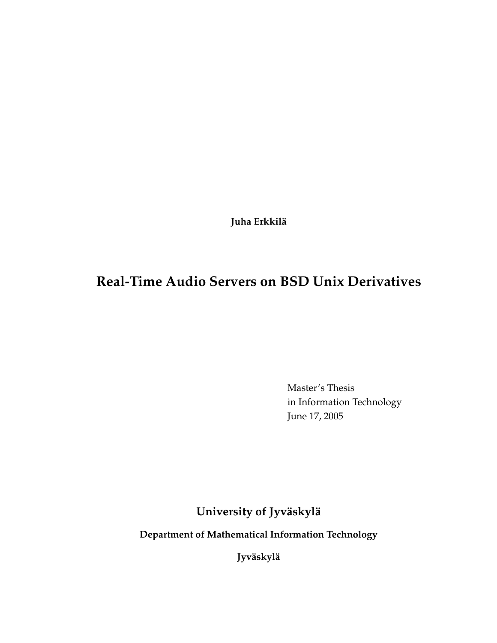**Juha Erkkilä**

# **Real-Time Audio Servers on BSD Unix Derivatives**

Master's Thesis in Information Technology June 17, 2005

**University of Jyväskylä**

**Department of Mathematical Information Technology**

**Jyväskylä**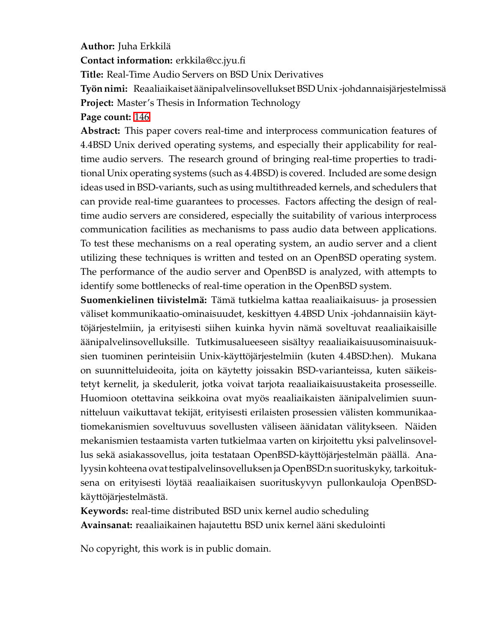#### **Author:** Juha Erkkilä

**Contact information:** erkkila@cc.jyu.fi

**Title:** Real-Time Audio Servers on BSD Unix Derivatives

**Työnnimi:** Reaaliaikaiset äänipalvelinsovelluksetBSDUnix -johdannaisjärjestelmissä **Project:** Master's Thesis in Information Technology

**Page count:** [146](#page-145-0)

**Abstract:** This paper covers real-time and interprocess communication features of 4.4BSD Unix derived operating systems, and especially their applicability for realtime audio servers. The research ground of bringing real-time properties to traditional Unix operating systems (such as 4.4BSD) is covered. Included are some design ideas used in BSD-variants, such as using multithreaded kernels, and schedulers that can provide real-time guarantees to processes. Factors affecting the design of realtime audio servers are considered, especially the suitability of various interprocess communication facilities as mechanisms to pass audio data between applications. To test these mechanisms on a real operating system, an audio server and a client utilizing these techniques is written and tested on an OpenBSD operating system. The performance of the audio server and OpenBSD is analyzed, with attempts to identify some bottlenecks of real-time operation in the OpenBSD system.

**Suomenkielinen tiivistelmä:** Tämä tutkielma kattaa reaaliaikaisuus- ja prosessien väliset kommunikaatio-ominaisuudet, keskittyen 4.4BSD Unix -johdannaisiin käyttöjärjestelmiin, ja erityisesti siihen kuinka hyvin nämä soveltuvat reaaliaikaisille äänipalvelinsovelluksille. Tutkimusalueeseen sisältyy reaaliaikaisuusominaisuuksien tuominen perinteisiin Unix-käyttöjärjestelmiin (kuten 4.4BSD:hen). Mukana on suunnitteluideoita, joita on käytetty joissakin BSD-varianteissa, kuten säikeistetyt kernelit, ja skedulerit, jotka voivat tarjota reaaliaikaisuustakeita prosesseille. Huomioon otettavina seikkoina ovat myös reaaliaikaisten äänipalvelimien suunnitteluun vaikuttavat tekijät, erityisesti erilaisten prosessien välisten kommunikaatiomekanismien soveltuvuus sovellusten väliseen äänidatan välitykseen. Näiden mekanismien testaamista varten tutkielmaa varten on kirjoitettu yksi palvelinsovellus sekä asiakassovellus, joita testataan OpenBSD-käyttöjärjestelmän päällä. Analyysin kohteena ovat testipalvelinsovelluksen ja OpenBSD:n suorituskyky, tarkoituksena on erityisesti löytää reaaliaikaisen suorituskyvyn pullonkauloja OpenBSDkäyttöjärjestelmästä.

**Keywords:** real-time distributed BSD unix kernel audio scheduling **Avainsanat:** reaaliaikainen hajautettu BSD unix kernel ääni skedulointi

No copyright, this work is in public domain.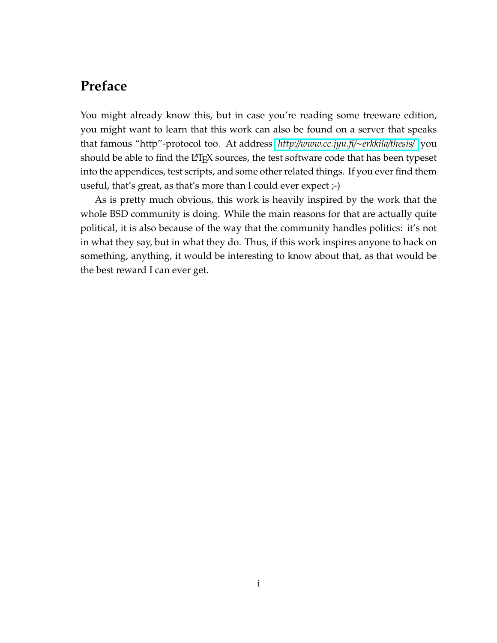## <span id="page-2-0"></span>**Preface**

You might already know this, but in case you're reading some treeware edition, you might want to learn that this work can also be found on a server that speaks that famous "http"-protocol too. At address *http:*//*[www.cc.jyu.fi](http://www.cc.jyu.fi/~erkkila/thesis/)*/∼*erkkila*/*thesis*/ you should be able to find the LATEX sources, the test software code that has been typeset into the appendices, test scripts, and some other related things. If you ever find them useful, that's great, as that's more than I could ever expect ;-)

As is pretty much obvious, this work is heavily inspired by the work that the whole BSD community is doing. While the main reasons for that are actually quite political, it is also because of the way that the community handles politics: it's not in what they say, but in what they do. Thus, if this work inspires anyone to hack on something, anything, it would be interesting to know about that, as that would be the best reward I can ever get.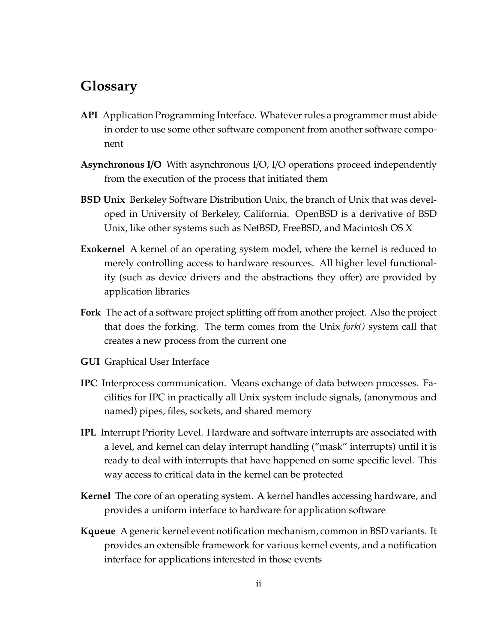## <span id="page-3-0"></span>**Glossary**

- **API** Application Programming Interface. Whatever rules a programmer must abide in order to use some other software component from another software component
- **Asynchronous I**/**O** With asynchronous I/O, I/O operations proceed independently from the execution of the process that initiated them
- **BSD Unix** Berkeley Software Distribution Unix, the branch of Unix that was developed in University of Berkeley, California. OpenBSD is a derivative of BSD Unix, like other systems such as NetBSD, FreeBSD, and Macintosh OS X
- **Exokernel** A kernel of an operating system model, where the kernel is reduced to merely controlling access to hardware resources. All higher level functionality (such as device drivers and the abstractions they offer) are provided by application libraries
- **Fork** The act of a software project splitting off from another project. Also the project that does the forking. The term comes from the Unix *fork()* system call that creates a new process from the current one
- **GUI** Graphical User Interface
- **IPC** Interprocess communication. Means exchange of data between processes. Facilities for IPC in practically all Unix system include signals, (anonymous and named) pipes, files, sockets, and shared memory
- **IPL** Interrupt Priority Level. Hardware and software interrupts are associated with a level, and kernel can delay interrupt handling ("mask" interrupts) until it is ready to deal with interrupts that have happened on some specific level. This way access to critical data in the kernel can be protected
- **Kernel** The core of an operating system. A kernel handles accessing hardware, and provides a uniform interface to hardware for application software
- **Kqueue** A generic kernel event notification mechanism, common in BSD variants. It provides an extensible framework for various kernel events, and a notification interface for applications interested in those events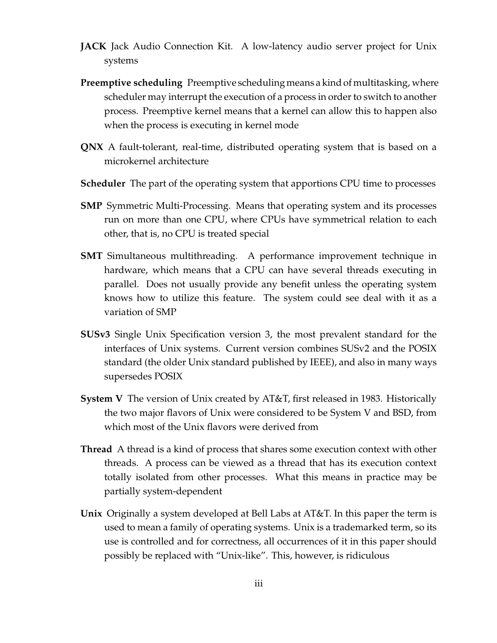- **JACK** Jack Audio Connection Kit. A low-latency audio server project for Unix systems
- **Preemptive scheduling** Preemptive scheduling means a kindof multitasking, where scheduler may interrupt the execution of a process in order to switch to another process. Preemptive kernel means that a kernel can allow this to happen also when the process is executing in kernel mode
- **QNX** A fault-tolerant, real-time, distributed operating system that is based on a microkernel architecture
- **Scheduler** The part of the operating system that apportions CPU time to processes
- **SMP** Symmetric Multi-Processing. Means that operating system and its processes run on more than one CPU, where CPUs have symmetrical relation to each other, that is, no CPU is treated special
- **SMT** Simultaneous multithreading. A performance improvement technique in hardware, which means that a CPU can have several threads executing in parallel. Does not usually provide any benefit unless the operating system knows how to utilize this feature. The system could see deal with it as a variation of SMP
- **SUSv3** Single Unix Specification version 3, the most prevalent standard for the interfaces of Unix systems. Current version combines SUSv2 and the POSIX standard (the older Unix standard published by IEEE), and also in many ways supersedes POSIX
- **System V** The version of Unix created by AT&T, first released in 1983. Historically the two major flavors of Unix were considered to be System V and BSD, from which most of the Unix flavors were derived from
- **Thread** A thread is a kind of process that shares some execution context with other threads. A process can be viewed as a thread that has its execution context totally isolated from other processes. What this means in practice may be partially system-dependent
- **Unix** Originally a system developed at Bell Labs at AT&T. In this paper the term is used to mean a family of operating systems. Unix is a trademarked term, so its use is controlled and for correctness, all occurrences of it in this paper should possibly be replaced with "Unix-like". This, however, is ridiculous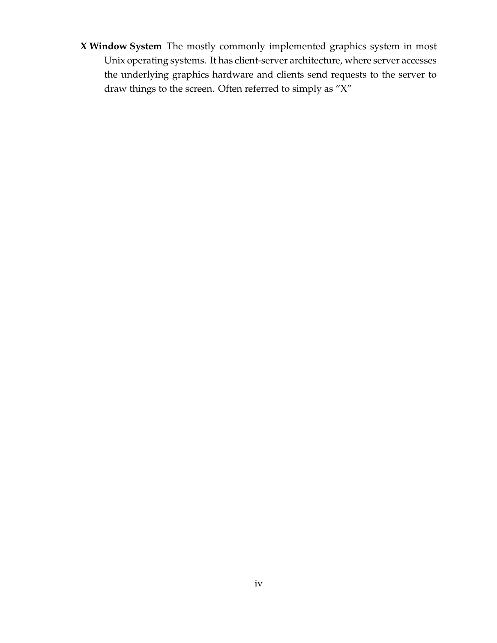**X Window System** The mostly commonly implemented graphics system in most Unix operating systems. It has client-server architecture, where server accesses the underlying graphics hardware and clients send requests to the server to draw things to the screen. Often referred to simply as "X"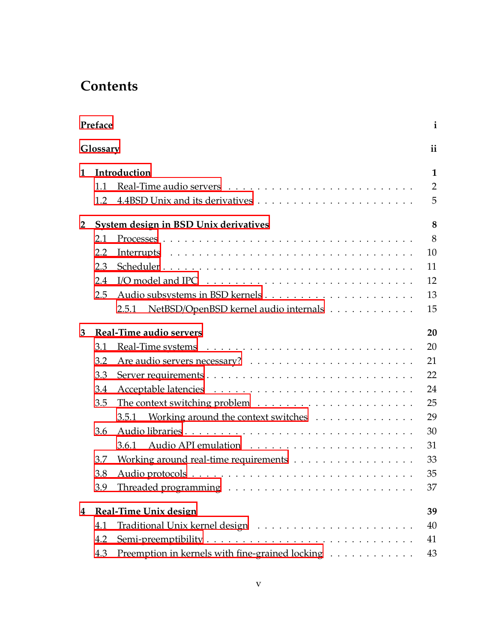# **Contents**

| Preface        |                                       |                                                 |                |  |  |  |
|----------------|---------------------------------------|-------------------------------------------------|----------------|--|--|--|
| Glossary       |                                       |                                                 |                |  |  |  |
| 1              | Introduction                          |                                                 |                |  |  |  |
|                | 1.1                                   |                                                 | $\overline{2}$ |  |  |  |
|                | 1.2                                   |                                                 | 5              |  |  |  |
| $\overline{2}$ | System design in BSD Unix derivatives |                                                 |                |  |  |  |
|                | 2.1                                   |                                                 | 8              |  |  |  |
|                | 2.2                                   |                                                 | 10             |  |  |  |
|                | 2.3                                   |                                                 | 11             |  |  |  |
|                | 2.4                                   |                                                 | 12             |  |  |  |
|                | 2.5                                   |                                                 | 13             |  |  |  |
|                |                                       | NetBSD/OpenBSD kernel audio internals<br>2.5.1  | 15             |  |  |  |
| 3              | <b>Real-Time audio servers</b>        |                                                 |                |  |  |  |
|                | 3.1                                   |                                                 | 20             |  |  |  |
|                | 3.2                                   |                                                 | 21             |  |  |  |
|                | 3.3                                   |                                                 | 22             |  |  |  |
|                | 3.4                                   |                                                 | 24             |  |  |  |
|                | 3.5                                   |                                                 | 25             |  |  |  |
|                |                                       | Working around the context switches<br>3.5.1    | 29             |  |  |  |
|                | 3.6                                   |                                                 | 30             |  |  |  |
|                |                                       | 3.6.1                                           | 31             |  |  |  |
|                | 3.7                                   |                                                 | 33             |  |  |  |
|                | 3.8                                   |                                                 | 35             |  |  |  |
|                | 3.9                                   |                                                 | 37             |  |  |  |
| 4              | Real-Time Unix design<br>39           |                                                 |                |  |  |  |
|                | 4.1                                   |                                                 | 40             |  |  |  |
|                | 4.2                                   |                                                 | 41             |  |  |  |
|                | 4.3                                   | Preemption in kernels with fine-grained locking | 43             |  |  |  |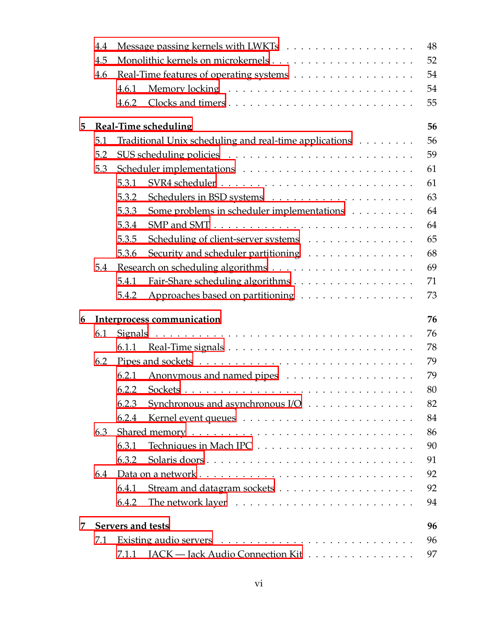|   | 4.4                     |                                                              | 48 |  |  |  |  |  |  |  |
|---|-------------------------|--------------------------------------------------------------|----|--|--|--|--|--|--|--|
|   | 4.5                     |                                                              | 52 |  |  |  |  |  |  |  |
|   | 4.6                     | Real-Time features of operating systems                      | 54 |  |  |  |  |  |  |  |
|   |                         | 4.6.1                                                        | 54 |  |  |  |  |  |  |  |
|   |                         | 4.6.2                                                        | 55 |  |  |  |  |  |  |  |
| 5 |                         | 56<br>Real-Time scheduling                                   |    |  |  |  |  |  |  |  |
|   | 5.1                     | 56<br>Traditional Unix scheduling and real-time applications |    |  |  |  |  |  |  |  |
|   | 5.2                     |                                                              | 59 |  |  |  |  |  |  |  |
|   | 5.3                     |                                                              | 61 |  |  |  |  |  |  |  |
|   |                         | 5.3.1                                                        | 61 |  |  |  |  |  |  |  |
|   |                         | 5.3.2                                                        | 63 |  |  |  |  |  |  |  |
|   |                         | 5.3.3<br>Some problems in scheduler implementations          | 64 |  |  |  |  |  |  |  |
|   |                         | 5.3.4                                                        | 64 |  |  |  |  |  |  |  |
|   |                         | 5.3.5<br>Scheduling of client-server systems                 | 65 |  |  |  |  |  |  |  |
|   |                         | 5.3.6<br>Security and scheduler partitioning                 | 68 |  |  |  |  |  |  |  |
|   | 5.4                     |                                                              | 69 |  |  |  |  |  |  |  |
|   |                         | Fair-Share scheduling algorithms<br>5.4.1                    | 71 |  |  |  |  |  |  |  |
|   |                         | Approaches based on partitioning<br>5.4.2                    | 73 |  |  |  |  |  |  |  |
| 6 |                         | 76<br>Interprocess communication                             |    |  |  |  |  |  |  |  |
|   | 6.1                     |                                                              | 76 |  |  |  |  |  |  |  |
|   |                         | 6.1.1                                                        | 78 |  |  |  |  |  |  |  |
|   | 6.2                     |                                                              | 79 |  |  |  |  |  |  |  |
|   |                         | 6.2.1                                                        | 79 |  |  |  |  |  |  |  |
|   |                         | 6.2.2                                                        | 80 |  |  |  |  |  |  |  |
|   |                         | 6.2.3 Synchronous and asynchronous $I/O$                     | 82 |  |  |  |  |  |  |  |
|   |                         | 6.2.4                                                        | 84 |  |  |  |  |  |  |  |
|   | 6.3                     |                                                              | 86 |  |  |  |  |  |  |  |
|   |                         | 6.3.1<br>Techniques in Mach IPC                              | 90 |  |  |  |  |  |  |  |
|   |                         | 6.3.2<br>Solaris doors                                       | 91 |  |  |  |  |  |  |  |
|   | 6.4                     |                                                              | 92 |  |  |  |  |  |  |  |
|   |                         | 6.4.1                                                        | 92 |  |  |  |  |  |  |  |
|   |                         | 6.4.2                                                        | 94 |  |  |  |  |  |  |  |
| 7 | Servers and tests<br>96 |                                                              |    |  |  |  |  |  |  |  |
|   | 7.1                     |                                                              | 96 |  |  |  |  |  |  |  |
|   |                         | JACK — Jack Audio Connection Kit<br>7.1.1                    | 97 |  |  |  |  |  |  |  |
|   |                         |                                                              |    |  |  |  |  |  |  |  |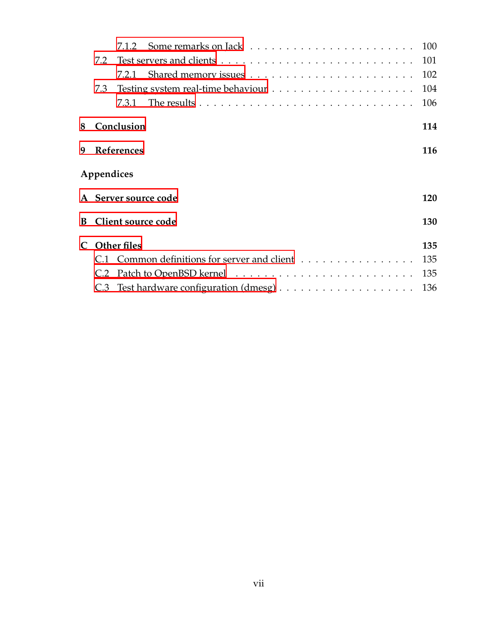|                             | 7.2                  |  |                                                                                             |     |  |  |  |  |  |
|-----------------------------|----------------------|--|---------------------------------------------------------------------------------------------|-----|--|--|--|--|--|
|                             |                      |  |                                                                                             | 102 |  |  |  |  |  |
|                             | 7.3                  |  |                                                                                             | 104 |  |  |  |  |  |
|                             |                      |  | 7.3.1 The results $\dots \dots \dots \dots \dots \dots \dots \dots \dots \dots \dots \dots$ | 106 |  |  |  |  |  |
| 8                           | Conclusion           |  |                                                                                             |     |  |  |  |  |  |
| 9                           | References           |  |                                                                                             |     |  |  |  |  |  |
| Appendices                  |                      |  |                                                                                             |     |  |  |  |  |  |
|                             | A Server source code |  |                                                                                             |     |  |  |  |  |  |
| B.                          | Client source code   |  |                                                                                             |     |  |  |  |  |  |
| $\mathcal{C}_{\mathcal{C}}$ | <b>Other files</b>   |  |                                                                                             |     |  |  |  |  |  |
|                             |                      |  | C.1 Common definitions for server and client                                                | 135 |  |  |  |  |  |
|                             | C.2                  |  |                                                                                             | 135 |  |  |  |  |  |
|                             |                      |  |                                                                                             |     |  |  |  |  |  |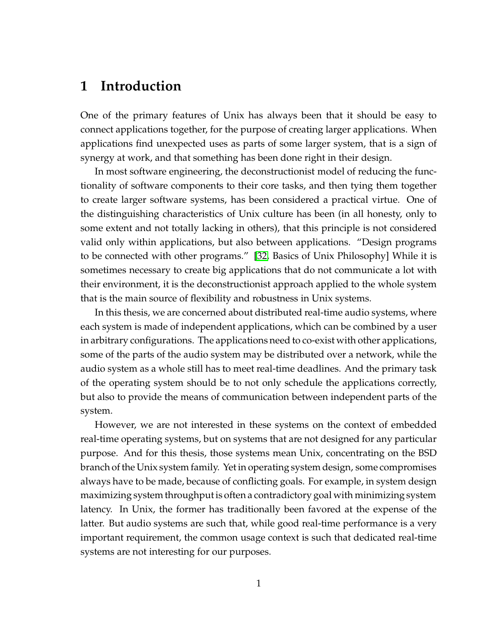## **1 Introduction**

One of the primary features of Unix has always been that it should be easy to connect applications together, for the purpose of creating larger applications. When applications find unexpected uses as parts of some larger system, that is a sign of synergy at work, and that something has been done right in their design.

In most software engineering, the deconstructionist model of reducing the functionality of software components to their core tasks, and then tying them together to create larger software systems, has been considered a practical virtue. One of the distinguishing characteristics of Unix culture has been (in all honesty, only to some extent and not totally lacking in others), that this principle is not considered valid only within applications, but also between applications. "Design programs to be connected with other programs." [\[32,](#page-126-0) Basics of Unix Philosophy] While it is sometimes necessary to create big applications that do not communicate a lot with their environment, it is the deconstructionist approach applied to the whole system that is the main source of flexibility and robustness in Unix systems.

In this thesis, we are concerned about distributed real-time audio systems, where each system is made of independent applications, which can be combined by a user in arbitrary configurations. The applications need to co-exist with other applications, some of the parts of the audio system may be distributed over a network, while the audio system as a whole still has to meet real-time deadlines. And the primary task of the operating system should be to not only schedule the applications correctly, but also to provide the means of communication between independent parts of the system.

However, we are not interested in these systems on the context of embedded real-time operating systems, but on systems that are not designed for any particular purpose. And for this thesis, those systems mean Unix, concentrating on the BSD branch of the Unix system family. Yet in operating system design, some compromises always have to be made, because of conflicting goals. For example, in system design maximizing system throughput is often a contradictory goal with minimizing system latency. In Unix, the former has traditionally been favored at the expense of the latter. But audio systems are such that, while good real-time performance is a very important requirement, the common usage context is such that dedicated real-time systems are not interesting for our purposes.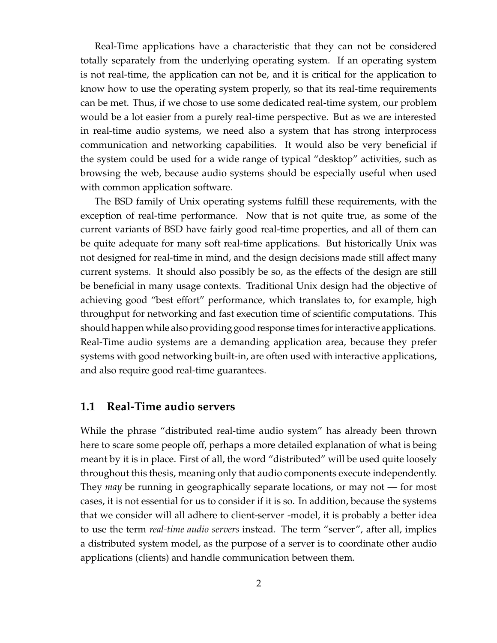Real-Time applications have a characteristic that they can not be considered totally separately from the underlying operating system. If an operating system is not real-time, the application can not be, and it is critical for the application to know how to use the operating system properly, so that its real-time requirements can be met. Thus, if we chose to use some dedicated real-time system, our problem would be a lot easier from a purely real-time perspective. But as we are interested in real-time audio systems, we need also a system that has strong interprocess communication and networking capabilities. It would also be very beneficial if the system could be used for a wide range of typical "desktop" activities, such as browsing the web, because audio systems should be especially useful when used with common application software.

The BSD family of Unix operating systems fulfill these requirements, with the exception of real-time performance. Now that is not quite true, as some of the current variants of BSD have fairly good real-time properties, and all of them can be quite adequate for many soft real-time applications. But historically Unix was not designed for real-time in mind, and the design decisions made still affect many current systems. It should also possibly be so, as the effects of the design are still be beneficial in many usage contexts. Traditional Unix design had the objective of achieving good "best effort" performance, which translates to, for example, high throughput for networking and fast execution time of scientific computations. This should happen while also providing good response times for interactive applications. Real-Time audio systems are a demanding application area, because they prefer systems with good networking built-in, are often used with interactive applications, and also require good real-time guarantees.

### <span id="page-10-0"></span>**1.1 Real-Time audio servers**

While the phrase "distributed real-time audio system" has already been thrown here to scare some people off, perhaps a more detailed explanation of what is being meant by it is in place. First of all, the word "distributed" will be used quite loosely throughout this thesis, meaning only that audio components execute independently. They *may* be running in geographically separate locations, or may not — for most cases, it is not essential for us to consider if it is so. In addition, because the systems that we consider will all adhere to client-server -model, it is probably a better idea to use the term *real-time audio servers* instead. The term "server", after all, implies a distributed system model, as the purpose of a server is to coordinate other audio applications (clients) and handle communication between them.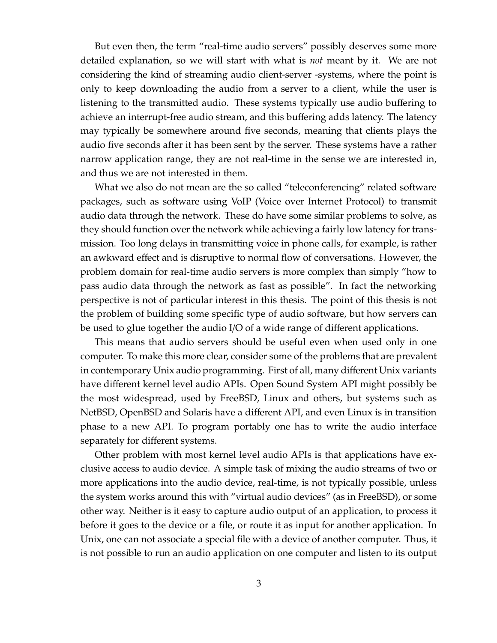But even then, the term "real-time audio servers" possibly deserves some more detailed explanation, so we will start with what is *not* meant by it. We are not considering the kind of streaming audio client-server -systems, where the point is only to keep downloading the audio from a server to a client, while the user is listening to the transmitted audio. These systems typically use audio buffering to achieve an interrupt-free audio stream, and this buffering adds latency. The latency may typically be somewhere around five seconds, meaning that clients plays the audio five seconds after it has been sent by the server. These systems have a rather narrow application range, they are not real-time in the sense we are interested in, and thus we are not interested in them.

What we also do not mean are the so called "teleconferencing" related software packages, such as software using VoIP (Voice over Internet Protocol) to transmit audio data through the network. These do have some similar problems to solve, as they should function over the network while achieving a fairly low latency for transmission. Too long delays in transmitting voice in phone calls, for example, is rather an awkward effect and is disruptive to normal flow of conversations. However, the problem domain for real-time audio servers is more complex than simply "how to pass audio data through the network as fast as possible". In fact the networking perspective is not of particular interest in this thesis. The point of this thesis is not the problem of building some specific type of audio software, but how servers can be used to glue together the audio I/O of a wide range of different applications.

This means that audio servers should be useful even when used only in one computer. To make this more clear, consider some of the problems that are prevalent in contemporary Unix audio programming. First of all, many different Unix variants have different kernel level audio APIs. Open Sound System API might possibly be the most widespread, used by FreeBSD, Linux and others, but systems such as NetBSD, OpenBSD and Solaris have a different API, and even Linux is in transition phase to a new API. To program portably one has to write the audio interface separately for different systems.

Other problem with most kernel level audio APIs is that applications have exclusive access to audio device. A simple task of mixing the audio streams of two or more applications into the audio device, real-time, is not typically possible, unless the system works around this with "virtual audio devices" (as in FreeBSD), or some other way. Neither is it easy to capture audio output of an application, to process it before it goes to the device or a file, or route it as input for another application. In Unix, one can not associate a special file with a device of another computer. Thus, it is not possible to run an audio application on one computer and listen to its output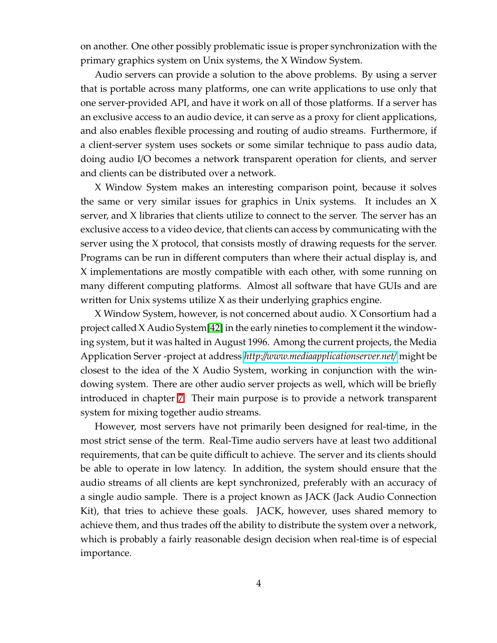on another. One other possibly problematic issue is proper synchronization with the primary graphics system on Unix systems, the X Window System.

Audio servers can provide a solution to the above problems. By using a server that is portable across many platforms, one can write applications to use only that one server-provided API, and have it work on all of those platforms. If a server has an exclusive access to an audio device, it can serve as a proxy for client applications, and also enables flexible processing and routing of audio streams. Furthermore, if a client-server system uses sockets or some similar technique to pass audio data, doing audio I/O becomes a network transparent operation for clients, and server and clients can be distributed over a network.

X Window System makes an interesting comparison point, because it solves the same or very similar issues for graphics in Unix systems. It includes an X server, and X libraries that clients utilize to connect to the server. The server has an exclusive access to a video device, that clients can access by communicating with the server using the X protocol, that consists mostly of drawing requests for the server. Programs can be run in different computers than where their actual display is, and X implementations are mostly compatible with each other, with some running on many different computing platforms. Almost all software that have GUIs and are written for Unix systems utilize X as their underlying graphics engine.

X Window System, however, is not concerned about audio. X Consortium had a project called X Audio System[\[42\]](#page-127-0) in the early nineties to complement it the windowing system, but it was halted in August 1996. Among the current projects, the Media Application Server -project at address *http:*//*[www.mediaapplicationserver.net](http://www.mediaapplicationserver.net/)*/ might be closest to the idea of the X Audio System, working in conjunction with the windowing system. There are other audio server projects as well, which will be briefly introduced in chapter [7.](#page-104-0) Their main purpose is to provide a network transparent system for mixing together audio streams.

However, most servers have not primarily been designed for real-time, in the most strict sense of the term. Real-Time audio servers have at least two additional requirements, that can be quite difficult to achieve. The server and its clients should be able to operate in low latency. In addition, the system should ensure that the audio streams of all clients are kept synchronized, preferably with an accuracy of a single audio sample. There is a project known as JACK (Jack Audio Connection Kit), that tries to achieve these goals. JACK, however, uses shared memory to achieve them, and thus trades off the ability to distribute the system over a network, which is probably a fairly reasonable design decision when real-time is of especial importance.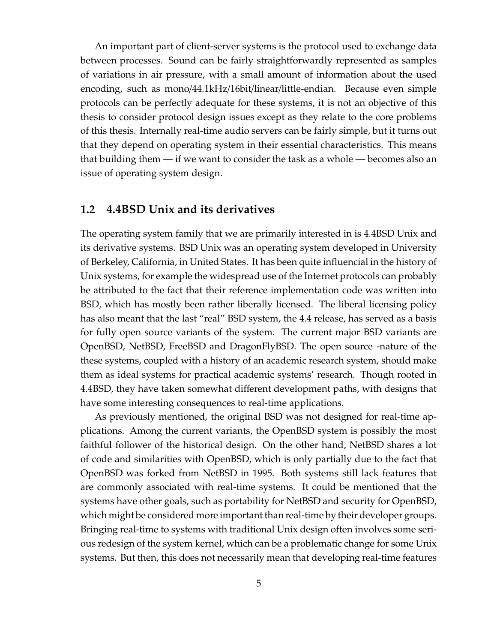An important part of client-server systems is the protocol used to exchange data between processes. Sound can be fairly straightforwardly represented as samples of variations in air pressure, with a small amount of information about the used encoding, such as mono/44.1kHz/16bit/linear/little-endian. Because even simple protocols can be perfectly adequate for these systems, it is not an objective of this thesis to consider protocol design issues except as they relate to the core problems of this thesis. Internally real-time audio servers can be fairly simple, but it turns out that they depend on operating system in their essential characteristics. This means that building them — if we want to consider the task as a whole — becomes also an issue of operating system design.

#### <span id="page-13-0"></span>**1.2 4.4BSD Unix and its derivatives**

The operating system family that we are primarily interested in is 4.4BSD Unix and its derivative systems. BSD Unix was an operating system developed in University of Berkeley, California, in United States. It has been quite influencial in the history of Unix systems, for example the widespread use of the Internet protocols can probably be attributed to the fact that their reference implementation code was written into BSD, which has mostly been rather liberally licensed. The liberal licensing policy has also meant that the last "real" BSD system, the 4.4 release, has served as a basis for fully open source variants of the system. The current major BSD variants are OpenBSD, NetBSD, FreeBSD and DragonFlyBSD. The open source -nature of the these systems, coupled with a history of an academic research system, should make them as ideal systems for practical academic systems' research. Though rooted in 4.4BSD, they have taken somewhat different development paths, with designs that have some interesting consequences to real-time applications.

As previously mentioned, the original BSD was not designed for real-time applications. Among the current variants, the OpenBSD system is possibly the most faithful follower of the historical design. On the other hand, NetBSD shares a lot of code and similarities with OpenBSD, which is only partially due to the fact that OpenBSD was forked from NetBSD in 1995. Both systems still lack features that are commonly associated with real-time systems. It could be mentioned that the systems have other goals, such as portability for NetBSD and security for OpenBSD, which might be considered more important than real-time by their developer groups. Bringing real-time to systems with traditional Unix design often involves some serious redesign of the system kernel, which can be a problematic change for some Unix systems. But then, this does not necessarily mean that developing real-time features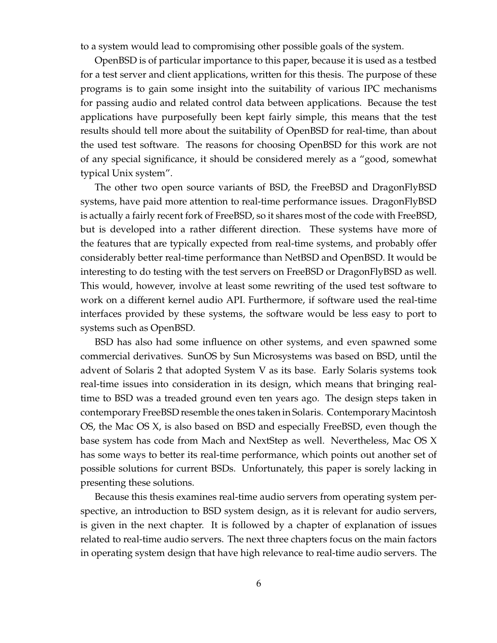to a system would lead to compromising other possible goals of the system.

OpenBSD is of particular importance to this paper, because it is used as a testbed for a test server and client applications, written for this thesis. The purpose of these programs is to gain some insight into the suitability of various IPC mechanisms for passing audio and related control data between applications. Because the test applications have purposefully been kept fairly simple, this means that the test results should tell more about the suitability of OpenBSD for real-time, than about the used test software. The reasons for choosing OpenBSD for this work are not of any special significance, it should be considered merely as a "good, somewhat typical Unix system".

The other two open source variants of BSD, the FreeBSD and DragonFlyBSD systems, have paid more attention to real-time performance issues. DragonFlyBSD is actually a fairly recent fork of FreeBSD, so it shares most of the code with FreeBSD, but is developed into a rather different direction. These systems have more of the features that are typically expected from real-time systems, and probably offer considerably better real-time performance than NetBSD and OpenBSD. It would be interesting to do testing with the test servers on FreeBSD or DragonFlyBSD as well. This would, however, involve at least some rewriting of the used test software to work on a different kernel audio API. Furthermore, if software used the real-time interfaces provided by these systems, the software would be less easy to port to systems such as OpenBSD.

BSD has also had some influence on other systems, and even spawned some commercial derivatives. SunOS by Sun Microsystems was based on BSD, until the advent of Solaris 2 that adopted System V as its base. Early Solaris systems took real-time issues into consideration in its design, which means that bringing realtime to BSD was a treaded ground even ten years ago. The design steps taken in contemporary FreeBSD resemble the ones taken in Solaris. Contemporary Macintosh OS, the Mac OS X, is also based on BSD and especially FreeBSD, even though the base system has code from Mach and NextStep as well. Nevertheless, Mac OS X has some ways to better its real-time performance, which points out another set of possible solutions for current BSDs. Unfortunately, this paper is sorely lacking in presenting these solutions.

Because this thesis examines real-time audio servers from operating system perspective, an introduction to BSD system design, as it is relevant for audio servers, is given in the next chapter. It is followed by a chapter of explanation of issues related to real-time audio servers. The next three chapters focus on the main factors in operating system design that have high relevance to real-time audio servers. The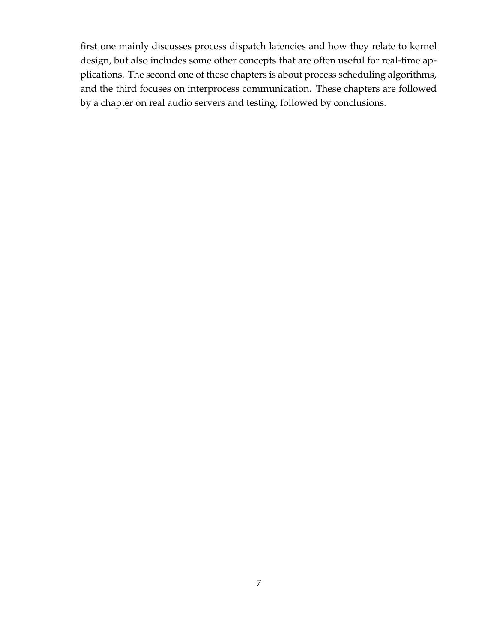first one mainly discusses process dispatch latencies and how they relate to kernel design, but also includes some other concepts that are often useful for real-time applications. The second one of these chapters is about process scheduling algorithms, and the third focuses on interprocess communication. These chapters are followed by a chapter on real audio servers and testing, followed by conclusions.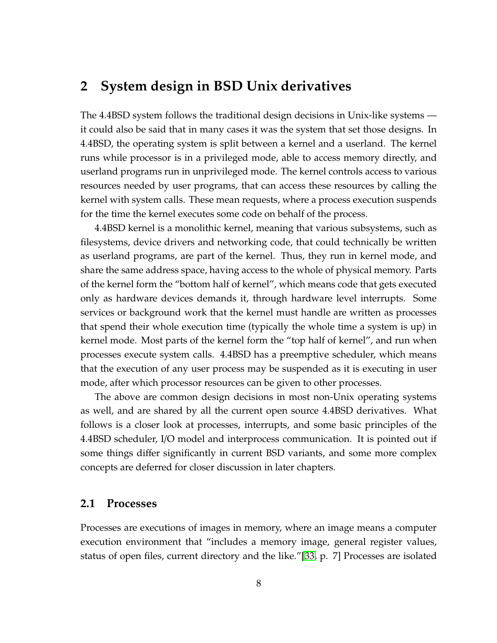### **2 System design in BSD Unix derivatives**

The 4.4BSD system follows the traditional design decisions in Unix-like systems it could also be said that in many cases it was the system that set those designs. In 4.4BSD, the operating system is split between a kernel and a userland. The kernel runs while processor is in a privileged mode, able to access memory directly, and userland programs run in unprivileged mode. The kernel controls access to various resources needed by user programs, that can access these resources by calling the kernel with system calls. These mean requests, where a process execution suspends for the time the kernel executes some code on behalf of the process.

4.4BSD kernel is a monolithic kernel, meaning that various subsystems, such as filesystems, device drivers and networking code, that could technically be written as userland programs, are part of the kernel. Thus, they run in kernel mode, and share the same address space, having access to the whole of physical memory. Parts of the kernel form the "bottom half of kernel", which means code that gets executed only as hardware devices demands it, through hardware level interrupts. Some services or background work that the kernel must handle are written as processes that spend their whole execution time (typically the whole time a system is up) in kernel mode. Most parts of the kernel form the "top half of kernel", and run when processes execute system calls. 4.4BSD has a preemptive scheduler, which means that the execution of any user process may be suspended as it is executing in user mode, after which processor resources can be given to other processes.

The above are common design decisions in most non-Unix operating systems as well, and are shared by all the current open source 4.4BSD derivatives. What follows is a closer look at processes, interrupts, and some basic principles of the 4.4BSD scheduler, I/O model and interprocess communication. It is pointed out if some things differ significantly in current BSD variants, and some more complex concepts are deferred for closer discussion in later chapters.

#### <span id="page-16-0"></span>**2.1 Processes**

Processes are executions of images in memory, where an image means a computer execution environment that "includes a memory image, general register values, status of open files, current directory and the like."[\[33,](#page-126-1) p. 7] Processes are isolated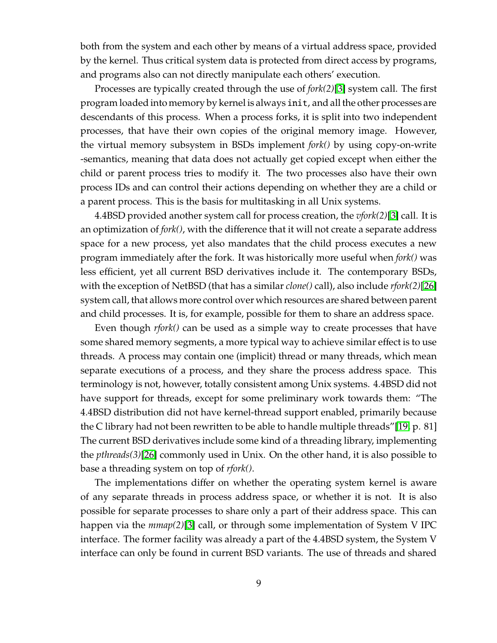both from the system and each other by means of a virtual address space, provided by the kernel. Thus critical system data is protected from direct access by programs, and programs also can not directly manipulate each others' execution.

Processes are typically created through the use of *fork(2)*[\[3\]](#page-124-1) system call. The first program loaded into memory by kernel is always init, and all the other processes are descendants of this process. When a process forks, it is split into two independent processes, that have their own copies of the original memory image. However, the virtual memory subsystem in BSDs implement *fork()* by using copy-on-write -semantics, meaning that data does not actually get copied except when either the child or parent process tries to modify it. The two processes also have their own process IDs and can control their actions depending on whether they are a child or a parent process. This is the basis for multitasking in all Unix systems.

4.4BSD provided another system call for process creation, the *vfork(2)*[\[3\]](#page-124-1) call. It is an optimization of *fork()*, with the difference that it will not create a separate address space for a new process, yet also mandates that the child process executes a new program immediately after the fork. It was historically more useful when *fork()* was less efficient, yet all current BSD derivatives include it. The contemporary BSDs, with the exception of NetBSD (that has a similar *clone()* call), also include *rfork(2)*[\[26\]](#page-126-2) system call, that allows more control over which resources are shared between parent and child processes. It is, for example, possible for them to share an address space.

Even though *rfork()* can be used as a simple way to create processes that have some shared memory segments, a more typical way to achieve similar effect is to use threads. A process may contain one (implicit) thread or many threads, which mean separate executions of a process, and they share the process address space. This terminology is not, however, totally consistent among Unix systems. 4.4BSD did not have support for threads, except for some preliminary work towards them: "The 4.4BSD distribution did not have kernel-thread support enabled, primarily because the C library had not been rewritten to be able to handle multiple threads"[\[19,](#page-125-0) p. 81] The current BSD derivatives include some kind of a threading library, implementing the *pthreads(3)*[\[26\]](#page-126-2) commonly used in Unix. On the other hand, it is also possible to base a threading system on top of *rfork()*.

The implementations differ on whether the operating system kernel is aware of any separate threads in process address space, or whether it is not. It is also possible for separate processes to share only a part of their address space. This can happen via the *mmap(2)*[\[3\]](#page-124-1) call, or through some implementation of System V IPC interface. The former facility was already a part of the 4.4BSD system, the System V interface can only be found in current BSD variants. The use of threads and shared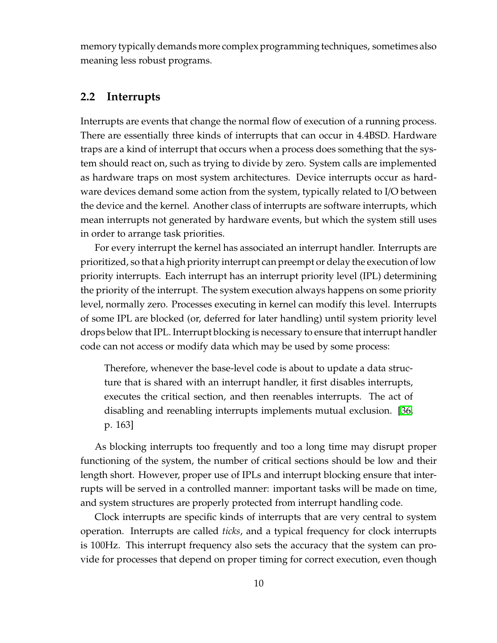memory typically demands more complex programming techniques, sometimes also meaning less robust programs.

#### <span id="page-18-0"></span>**2.2 Interrupts**

Interrupts are events that change the normal flow of execution of a running process. There are essentially three kinds of interrupts that can occur in 4.4BSD. Hardware traps are a kind of interrupt that occurs when a process does something that the system should react on, such as trying to divide by zero. System calls are implemented as hardware traps on most system architectures. Device interrupts occur as hardware devices demand some action from the system, typically related to I/O between the device and the kernel. Another class of interrupts are software interrupts, which mean interrupts not generated by hardware events, but which the system still uses in order to arrange task priorities.

For every interrupt the kernel has associated an interrupt handler. Interrupts are prioritized, so that a high priority interrupt can preempt or delay the execution of low priority interrupts. Each interrupt has an interrupt priority level (IPL) determining the priority of the interrupt. The system execution always happens on some priority level, normally zero. Processes executing in kernel can modify this level. Interrupts of some IPL are blocked (or, deferred for later handling) until system priority level drops below that IPL. Interrupt blocking is necessary to ensure that interrupt handler code can not access or modify data which may be used by some process:

Therefore, whenever the base-level code is about to update a data structure that is shared with an interrupt handler, it first disables interrupts, executes the critical section, and then reenables interrupts. The act of disabling and reenabling interrupts implements mutual exclusion. [\[36,](#page-126-3) p. 163]

As blocking interrupts too frequently and too a long time may disrupt proper functioning of the system, the number of critical sections should be low and their length short. However, proper use of IPLs and interrupt blocking ensure that interrupts will be served in a controlled manner: important tasks will be made on time, and system structures are properly protected from interrupt handling code.

Clock interrupts are specific kinds of interrupts that are very central to system operation. Interrupts are called *ticks*, and a typical frequency for clock interrupts is 100Hz. This interrupt frequency also sets the accuracy that the system can provide for processes that depend on proper timing for correct execution, even though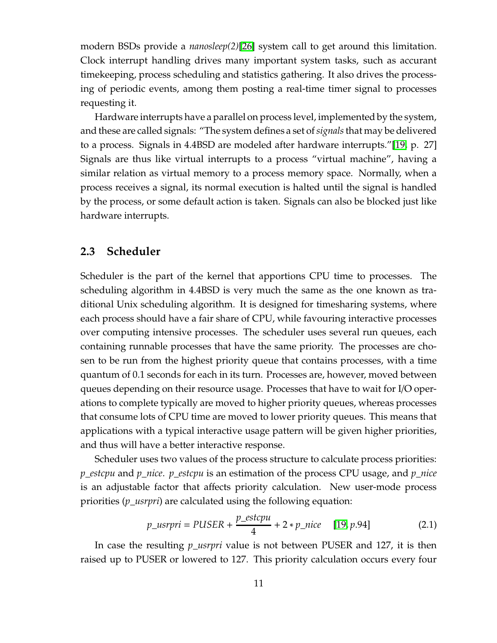modern BSDs provide a *nanosleep(2)*[\[26\]](#page-126-2) system call to get around this limitation. Clock interrupt handling drives many important system tasks, such as accurant timekeeping, process scheduling and statistics gathering. It also drives the processing of periodic events, among them posting a real-time timer signal to processes requesting it.

Hardware interrupts have a parallel on process level, implemented by the system, and these are called signals: "The system defines a set of*signals*that may be delivered to a process. Signals in 4.4BSD are modeled after hardware interrupts."[\[19,](#page-125-0) p. 27] Signals are thus like virtual interrupts to a process "virtual machine", having a similar relation as virtual memory to a process memory space. Normally, when a process receives a signal, its normal execution is halted until the signal is handled by the process, or some default action is taken. Signals can also be blocked just like hardware interrupts.

#### <span id="page-19-0"></span>**2.3 Scheduler**

Scheduler is the part of the kernel that apportions CPU time to processes. The scheduling algorithm in 4.4BSD is very much the same as the one known as traditional Unix scheduling algorithm. It is designed for timesharing systems, where each process should have a fair share of CPU, while favouring interactive processes over computing intensive processes. The scheduler uses several run queues, each containing runnable processes that have the same priority. The processes are chosen to be run from the highest priority queue that contains processes, with a time quantum of 0.1 seconds for each in its turn. Processes are, however, moved between queues depending on their resource usage. Processes that have to wait for I/O operations to complete typically are moved to higher priority queues, whereas processes that consume lots of CPU time are moved to lower priority queues. This means that applications with a typical interactive usage pattern will be given higher priorities, and thus will have a better interactive response.

Scheduler uses two values of the process structure to calculate process priorities: *p*\_*estcpu* and *p*\_*nice*. *p*\_*estcpu* is an estimation of the process CPU usage, and *p*\_*nice* is an adjustable factor that affects priority calculation. New user-mode process priorities (*p*\_*usrpri*) are calculated using the following equation:

$$
p_{\perp} \text{usrpri} = \text{PUSER} + \frac{p_{\perp} \text{estcpu}}{4} + 2 \cdot p_{\perp} \text{nice} \quad [19, p.94] \tag{2.1}
$$

In case the resulting *p*\_*usrpri* value is not between PUSER and 127, it is then raised up to PUSER or lowered to 127. This priority calculation occurs every four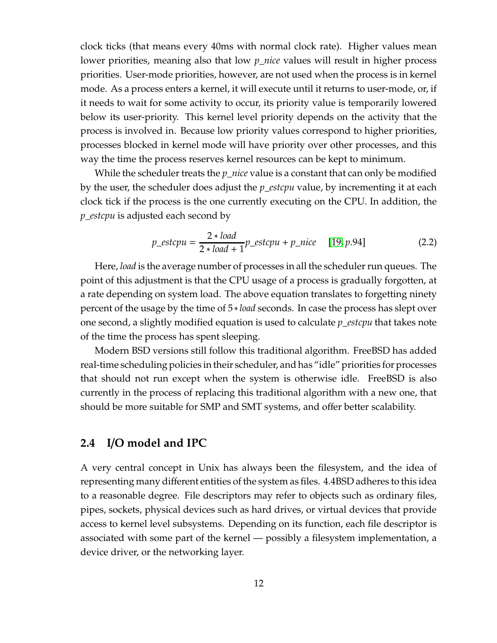clock ticks (that means every 40ms with normal clock rate). Higher values mean lower priorities, meaning also that low *p*\_*nice* values will result in higher process priorities. User-mode priorities, however, are not used when the process is in kernel mode. As a process enters a kernel, it will execute until it returns to user-mode, or, if it needs to wait for some activity to occur, its priority value is temporarily lowered below its user-priority. This kernel level priority depends on the activity that the process is involved in. Because low priority values correspond to higher priorities, processes blocked in kernel mode will have priority over other processes, and this way the time the process reserves kernel resources can be kept to minimum.

While the scheduler treats the *p*\_*nice* value is a constant that can only be modified by the user, the scheduler does adjust the *p*\_*estcpu* value, by incrementing it at each clock tick if the process is the one currently executing on the CPU. In addition, the *p*\_*estcpu* is adjusted each second by

$$
p\_estcpu = \frac{2 * load}{2 * load + 1} p\_estcpu + p\_nice \quad [19, p.94] \tag{2.2}
$$

Here, *load* is the average number of processes in all the scheduler run queues. The point of this adjustment is that the CPU usage of a process is gradually forgotten, at a rate depending on system load. The above equation translates to forgetting ninety percent of the usage by the time of 5 ∗*load* seconds. In case the process has slept over one second, a slightly modified equation is used to calculate *p*\_*estcpu* that takes note of the time the process has spent sleeping.

Modern BSD versions still follow this traditional algorithm. FreeBSD has added real-time scheduling policies in their scheduler, and has "idle" priorities for processes that should not run except when the system is otherwise idle. FreeBSD is also currently in the process of replacing this traditional algorithm with a new one, that should be more suitable for SMP and SMT systems, and offer better scalability.

#### <span id="page-20-0"></span>**2.4 I**/**O model and IPC**

A very central concept in Unix has always been the filesystem, and the idea of representing many different entities of the system as files. 4.4BSD adheres to this idea to a reasonable degree. File descriptors may refer to objects such as ordinary files, pipes, sockets, physical devices such as hard drives, or virtual devices that provide access to kernel level subsystems. Depending on its function, each file descriptor is associated with some part of the kernel — possibly a filesystem implementation, a device driver, or the networking layer.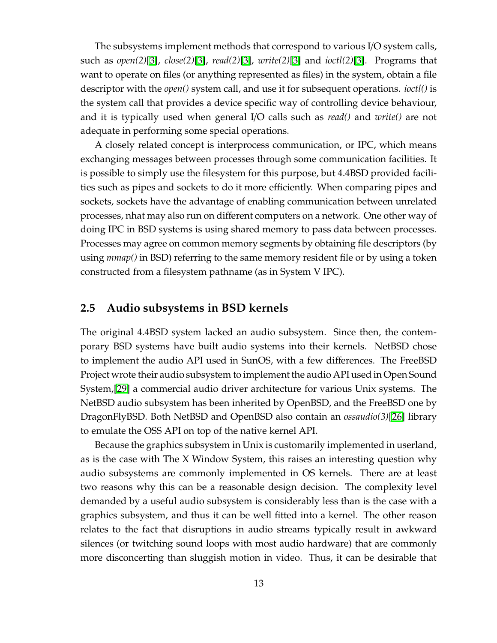The subsystems implement methods that correspond to various I/O system calls, such as *open(2)*[\[3\]](#page-124-1), *close(2)*[\[3\]](#page-124-1), *read(2)*[\[3\]](#page-124-1), *write(2)*[\[3\]](#page-124-1) and *ioctl(2)*[\[3\]](#page-124-1). Programs that want to operate on files (or anything represented as files) in the system, obtain a file descriptor with the *open()* system call, and use it for subsequent operations. *ioctl()* is the system call that provides a device specific way of controlling device behaviour, and it is typically used when general I/O calls such as *read()* and *write()* are not adequate in performing some special operations.

A closely related concept is interprocess communication, or IPC, which means exchanging messages between processes through some communication facilities. It is possible to simply use the filesystem for this purpose, but 4.4BSD provided facilities such as pipes and sockets to do it more efficiently. When comparing pipes and sockets, sockets have the advantage of enabling communication between unrelated processes, nhat may also run on different computers on a network. One other way of doing IPC in BSD systems is using shared memory to pass data between processes. Processes may agree on common memory segments by obtaining file descriptors (by using *mmap()* in BSD) referring to the same memory resident file or by using a token constructed from a filesystem pathname (as in System V IPC).

#### <span id="page-21-0"></span>**2.5 Audio subsystems in BSD kernels**

The original 4.4BSD system lacked an audio subsystem. Since then, the contemporary BSD systems have built audio systems into their kernels. NetBSD chose to implement the audio API used in SunOS, with a few differences. The FreeBSD Project wrote their audio subsystem to implement the audio API used in Open Sound System,[\[29\]](#page-126-4) a commercial audio driver architecture for various Unix systems. The NetBSD audio subsystem has been inherited by OpenBSD, and the FreeBSD one by DragonFlyBSD. Both NetBSD and OpenBSD also contain an *ossaudio(3)*[\[26\]](#page-126-2) library to emulate the OSS API on top of the native kernel API.

Because the graphics subsystem in Unix is customarily implemented in userland, as is the case with The X Window System, this raises an interesting question why audio subsystems are commonly implemented in OS kernels. There are at least two reasons why this can be a reasonable design decision. The complexity level demanded by a useful audio subsystem is considerably less than is the case with a graphics subsystem, and thus it can be well fitted into a kernel. The other reason relates to the fact that disruptions in audio streams typically result in awkward silences (or twitching sound loops with most audio hardware) that are commonly more disconcerting than sluggish motion in video. Thus, it can be desirable that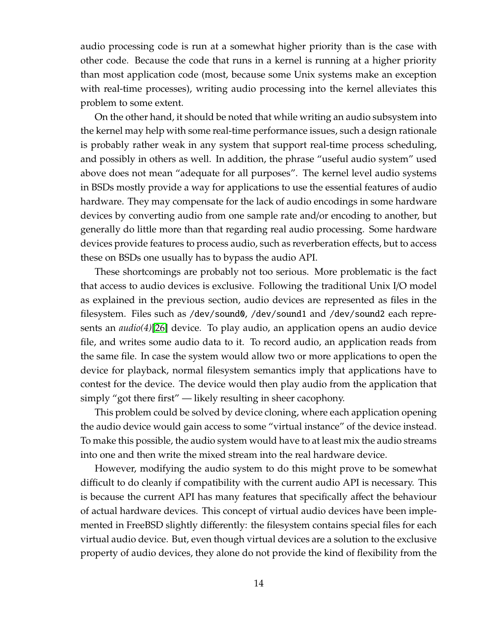audio processing code is run at a somewhat higher priority than is the case with other code. Because the code that runs in a kernel is running at a higher priority than most application code (most, because some Unix systems make an exception with real-time processes), writing audio processing into the kernel alleviates this problem to some extent.

On the other hand, it should be noted that while writing an audio subsystem into the kernel may help with some real-time performance issues, such a design rationale is probably rather weak in any system that support real-time process scheduling, and possibly in others as well. In addition, the phrase "useful audio system" used above does not mean "adequate for all purposes". The kernel level audio systems in BSDs mostly provide a way for applications to use the essential features of audio hardware. They may compensate for the lack of audio encodings in some hardware devices by converting audio from one sample rate and/or encoding to another, but generally do little more than that regarding real audio processing. Some hardware devices provide features to process audio, such as reverberation effects, but to access these on BSDs one usually has to bypass the audio API.

These shortcomings are probably not too serious. More problematic is the fact that access to audio devices is exclusive. Following the traditional Unix I/O model as explained in the previous section, audio devices are represented as files in the filesystem. Files such as /dev/sound0, /dev/sound1 and /dev/sound2 each represents an *audio(4)*[\[26\]](#page-126-2) device. To play audio, an application opens an audio device file, and writes some audio data to it. To record audio, an application reads from the same file. In case the system would allow two or more applications to open the device for playback, normal filesystem semantics imply that applications have to contest for the device. The device would then play audio from the application that simply "got there first" — likely resulting in sheer cacophony.

This problem could be solved by device cloning, where each application opening the audio device would gain access to some "virtual instance" of the device instead. To make this possible, the audio system would have to at least mix the audio streams into one and then write the mixed stream into the real hardware device.

However, modifying the audio system to do this might prove to be somewhat difficult to do cleanly if compatibility with the current audio API is necessary. This is because the current API has many features that specifically affect the behaviour of actual hardware devices. This concept of virtual audio devices have been implemented in FreeBSD slightly differently: the filesystem contains special files for each virtual audio device. But, even though virtual devices are a solution to the exclusive property of audio devices, they alone do not provide the kind of flexibility from the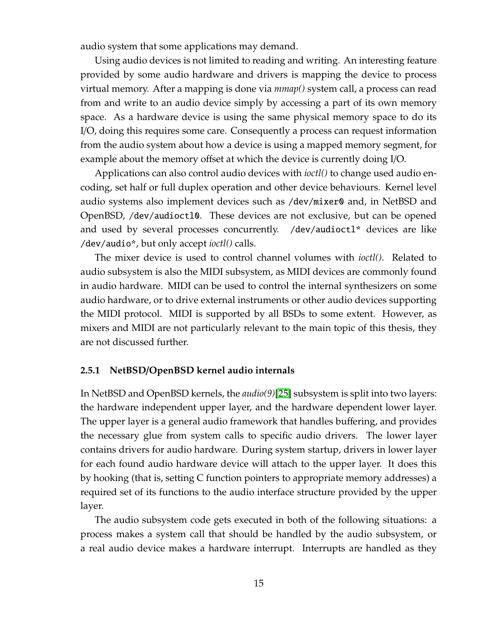audio system that some applications may demand.

Using audio devices is not limited to reading and writing. An interesting feature provided by some audio hardware and drivers is mapping the device to process virtual memory. After a mapping is done via *mmap()* system call, a process can read from and write to an audio device simply by accessing a part of its own memory space. As a hardware device is using the same physical memory space to do its I/O, doing this requires some care. Consequently a process can request information from the audio system about how a device is using a mapped memory segment, for example about the memory offset at which the device is currently doing I/O.

Applications can also control audio devices with *ioctl()* to change used audio encoding, set half or full duplex operation and other device behaviours. Kernel level audio systems also implement devices such as /dev/mixer0 and, in NetBSD and OpenBSD, /dev/audioctl0. These devices are not exclusive, but can be opened and used by several processes concurrently. /dev/audioctl\* devices are like /dev/audio\*, but only accept *ioctl()* calls.

The mixer device is used to control channel volumes with *ioctl()*. Related to audio subsystem is also the MIDI subsystem, as MIDI devices are commonly found in audio hardware. MIDI can be used to control the internal synthesizers on some audio hardware, or to drive external instruments or other audio devices supporting the MIDI protocol. MIDI is supported by all BSDs to some extent. However, as mixers and MIDI are not particularly relevant to the main topic of this thesis, they are not discussed further.

#### <span id="page-23-0"></span>**2.5.1 NetBSD**/**OpenBSD kernel audio internals**

In NetBSD and OpenBSD kernels, the *audio(9)*[\[25\]](#page-126-5) subsystem is split into two layers: the hardware independent upper layer, and the hardware dependent lower layer. The upper layer is a general audio framework that handles buffering, and provides the necessary glue from system calls to specific audio drivers. The lower layer contains drivers for audio hardware. During system startup, drivers in lower layer for each found audio hardware device will attach to the upper layer. It does this by hooking (that is, setting C function pointers to appropriate memory addresses) a required set of its functions to the audio interface structure provided by the upper layer.

The audio subsystem code gets executed in both of the following situations: a process makes a system call that should be handled by the audio subsystem, or a real audio device makes a hardware interrupt. Interrupts are handled as they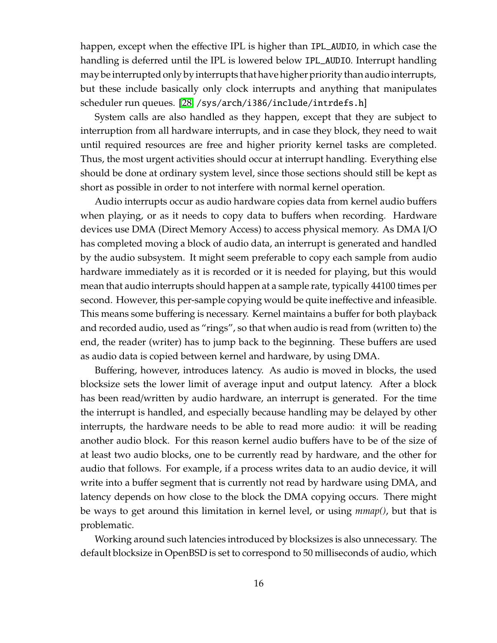happen, except when the effective IPL is higher than IPL\_AUDIO, in which case the handling is deferred until the IPL is lowered below IPL\_AUDIO. Interrupt handling may be interrupted only by interrupts that have higher priority than audio interrupts, but these include basically only clock interrupts and anything that manipulates scheduler run queues. [\[28,](#page-126-6) /sys/arch/i386/include/intrdefs.h]

System calls are also handled as they happen, except that they are subject to interruption from all hardware interrupts, and in case they block, they need to wait until required resources are free and higher priority kernel tasks are completed. Thus, the most urgent activities should occur at interrupt handling. Everything else should be done at ordinary system level, since those sections should still be kept as short as possible in order to not interfere with normal kernel operation.

Audio interrupts occur as audio hardware copies data from kernel audio buffers when playing, or as it needs to copy data to buffers when recording. Hardware devices use DMA (Direct Memory Access) to access physical memory. As DMA I/O has completed moving a block of audio data, an interrupt is generated and handled by the audio subsystem. It might seem preferable to copy each sample from audio hardware immediately as it is recorded or it is needed for playing, but this would mean that audio interrupts should happen at a sample rate, typically 44100 times per second. However, this per-sample copying would be quite ineffective and infeasible. This means some buffering is necessary. Kernel maintains a buffer for both playback and recorded audio, used as "rings", so that when audio is read from (written to) the end, the reader (writer) has to jump back to the beginning. These buffers are used as audio data is copied between kernel and hardware, by using DMA.

Buffering, however, introduces latency. As audio is moved in blocks, the used blocksize sets the lower limit of average input and output latency. After a block has been read/written by audio hardware, an interrupt is generated. For the time the interrupt is handled, and especially because handling may be delayed by other interrupts, the hardware needs to be able to read more audio: it will be reading another audio block. For this reason kernel audio buffers have to be of the size of at least two audio blocks, one to be currently read by hardware, and the other for audio that follows. For example, if a process writes data to an audio device, it will write into a buffer segment that is currently not read by hardware using DMA, and latency depends on how close to the block the DMA copying occurs. There might be ways to get around this limitation in kernel level, or using *mmap()*, but that is problematic.

Working around such latencies introduced by blocksizes is also unnecessary. The default blocksize in OpenBSD is set to correspond to 50 milliseconds of audio, which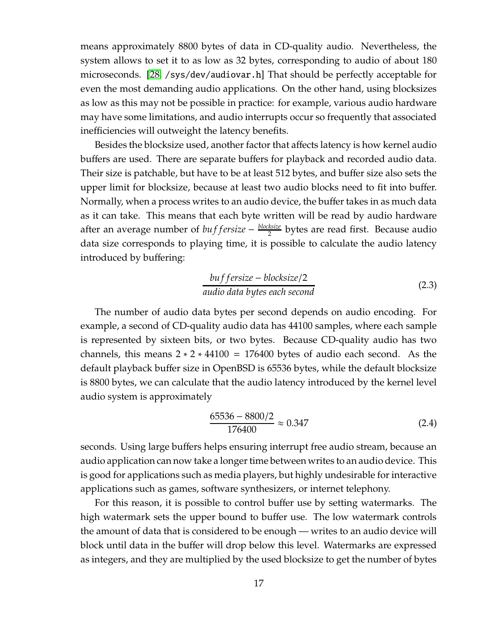means approximately 8800 bytes of data in CD-quality audio. Nevertheless, the system allows to set it to as low as 32 bytes, corresponding to audio of about 180 microseconds. [\[28,](#page-126-6) /sys/dev/audiovar.h] That should be perfectly acceptable for even the most demanding audio applications. On the other hand, using blocksizes as low as this may not be possible in practice: for example, various audio hardware may have some limitations, and audio interrupts occur so frequently that associated inefficiencies will outweight the latency benefits.

Besides the blocksize used, another factor that affects latency is how kernel audio buffers are used. There are separate buffers for playback and recorded audio data. Their size is patchable, but have to be at least 512 bytes, and buffer size also sets the upper limit for blocksize, because at least two audio blocks need to fit into buffer. Normally, when a process writes to an audio device, the buffer takes in as much data as it can take. This means that each byte written will be read by audio hardware after an average number of *bu f fersize* − *blocksize*  $\frac{ksize}{2}$  bytes are read first. Because audio data size corresponds to playing time, it is possible to calculate the audio latency introduced by buffering:

$$
buffer size - block size / 2
$$
\naudio data bytes each second

\n
$$
(2.3)
$$

The number of audio data bytes per second depends on audio encoding. For example, a second of CD-quality audio data has 44100 samples, where each sample is represented by sixteen bits, or two bytes. Because CD-quality audio has two channels, this means  $2 \times 2 \times 44100 = 176400$  bytes of audio each second. As the default playback buffer size in OpenBSD is 65536 bytes, while the default blocksize is 8800 bytes, we can calculate that the audio latency introduced by the kernel level audio system is approximately

$$
\frac{65536 - 8800/2}{176400} \approx 0.347\tag{2.4}
$$

seconds. Using large buffers helps ensuring interrupt free audio stream, because an audio application can now take a longer time between writes to an audio device. This is good for applications such as media players, but highly undesirable for interactive applications such as games, software synthesizers, or internet telephony.

For this reason, it is possible to control buffer use by setting watermarks. The high watermark sets the upper bound to buffer use. The low watermark controls the amount of data that is considered to be enough — writes to an audio device will block until data in the buffer will drop below this level. Watermarks are expressed as integers, and they are multiplied by the used blocksize to get the number of bytes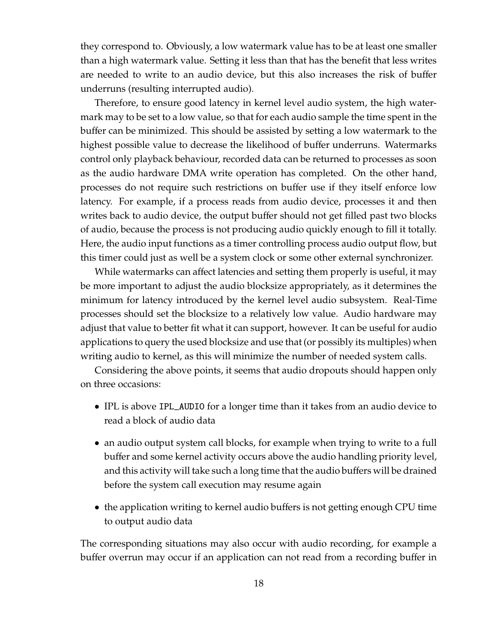they correspond to. Obviously, a low watermark value has to be at least one smaller than a high watermark value. Setting it less than that has the benefit that less writes are needed to write to an audio device, but this also increases the risk of buffer underruns (resulting interrupted audio).

Therefore, to ensure good latency in kernel level audio system, the high watermark may to be set to a low value, so that for each audio sample the time spent in the buffer can be minimized. This should be assisted by setting a low watermark to the highest possible value to decrease the likelihood of buffer underruns. Watermarks control only playback behaviour, recorded data can be returned to processes as soon as the audio hardware DMA write operation has completed. On the other hand, processes do not require such restrictions on buffer use if they itself enforce low latency. For example, if a process reads from audio device, processes it and then writes back to audio device, the output buffer should not get filled past two blocks of audio, because the process is not producing audio quickly enough to fill it totally. Here, the audio input functions as a timer controlling process audio output flow, but this timer could just as well be a system clock or some other external synchronizer.

While watermarks can affect latencies and setting them properly is useful, it may be more important to adjust the audio blocksize appropriately, as it determines the minimum for latency introduced by the kernel level audio subsystem. Real-Time processes should set the blocksize to a relatively low value. Audio hardware may adjust that value to better fit what it can support, however. It can be useful for audio applications to query the used blocksize and use that (or possibly its multiples) when writing audio to kernel, as this will minimize the number of needed system calls.

Considering the above points, it seems that audio dropouts should happen only on three occasions:

- IPL is above IPL\_AUDIO for a longer time than it takes from an audio device to read a block of audio data
- an audio output system call blocks, for example when trying to write to a full buffer and some kernel activity occurs above the audio handling priority level, and this activity will take such a long time that the audio buffers will be drained before the system call execution may resume again
- the application writing to kernel audio buffers is not getting enough CPU time to output audio data

The corresponding situations may also occur with audio recording, for example a buffer overrun may occur if an application can not read from a recording buffer in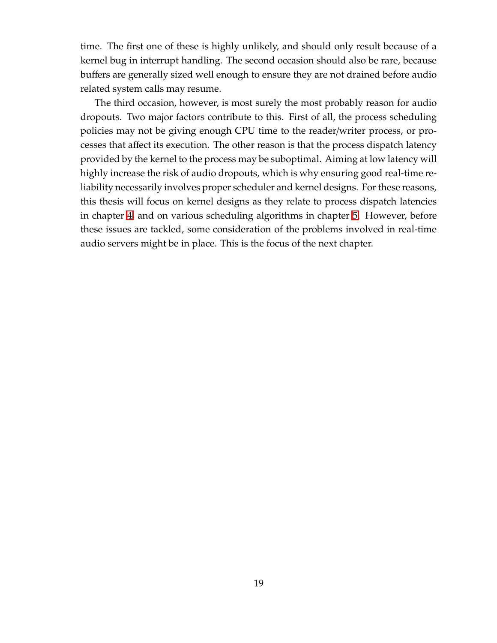time. The first one of these is highly unlikely, and should only result because of a kernel bug in interrupt handling. The second occasion should also be rare, because buffers are generally sized well enough to ensure they are not drained before audio related system calls may resume.

The third occasion, however, is most surely the most probably reason for audio dropouts. Two major factors contribute to this. First of all, the process scheduling policies may not be giving enough CPU time to the reader/writer process, or processes that affect its execution. The other reason is that the process dispatch latency provided by the kernel to the process may be suboptimal. Aiming at low latency will highly increase the risk of audio dropouts, which is why ensuring good real-time reliability necessarily involves proper scheduler and kernel designs. For these reasons, this thesis will focus on kernel designs as they relate to process dispatch latencies in chapter [4,](#page-47-0) and on various scheduling algorithms in chapter [5.](#page-64-0) However, before these issues are tackled, some consideration of the problems involved in real-time audio servers might be in place. This is the focus of the next chapter.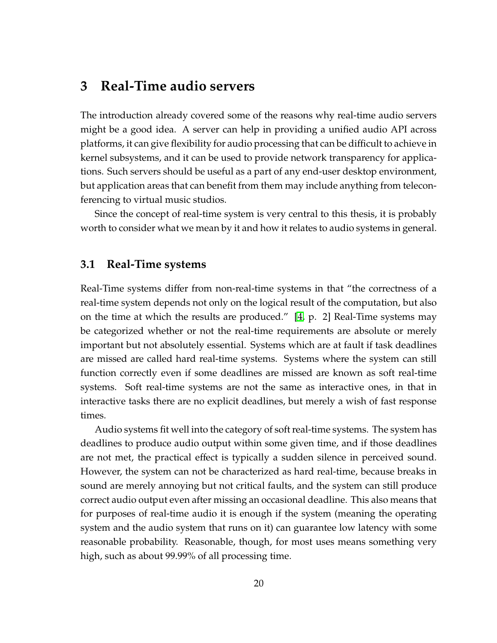## **3 Real-Time audio servers**

The introduction already covered some of the reasons why real-time audio servers might be a good idea. A server can help in providing a unified audio API across platforms, it can give flexibility for audio processing that can be difficult to achieve in kernel subsystems, and it can be used to provide network transparency for applications. Such servers should be useful as a part of any end-user desktop environment, but application areas that can benefit from them may include anything from teleconferencing to virtual music studios.

Since the concept of real-time system is very central to this thesis, it is probably worth to consider what we mean by it and how it relates to audio systems in general.

#### **3.1 Real-Time systems**

Real-Time systems differ from non-real-time systems in that "the correctness of a real-time system depends not only on the logical result of the computation, but also on the time at which the results are produced." [\[4,](#page-124-2) p. 2] Real-Time systems may be categorized whether or not the real-time requirements are absolute or merely important but not absolutely essential. Systems which are at fault if task deadlines are missed are called hard real-time systems. Systems where the system can still function correctly even if some deadlines are missed are known as soft real-time systems. Soft real-time systems are not the same as interactive ones, in that in interactive tasks there are no explicit deadlines, but merely a wish of fast response times.

Audio systems fit well into the category of soft real-time systems. The system has deadlines to produce audio output within some given time, and if those deadlines are not met, the practical effect is typically a sudden silence in perceived sound. However, the system can not be characterized as hard real-time, because breaks in sound are merely annoying but not critical faults, and the system can still produce correct audio output even after missing an occasional deadline. This also means that for purposes of real-time audio it is enough if the system (meaning the operating system and the audio system that runs on it) can guarantee low latency with some reasonable probability. Reasonable, though, for most uses means something very high, such as about 99.99% of all processing time.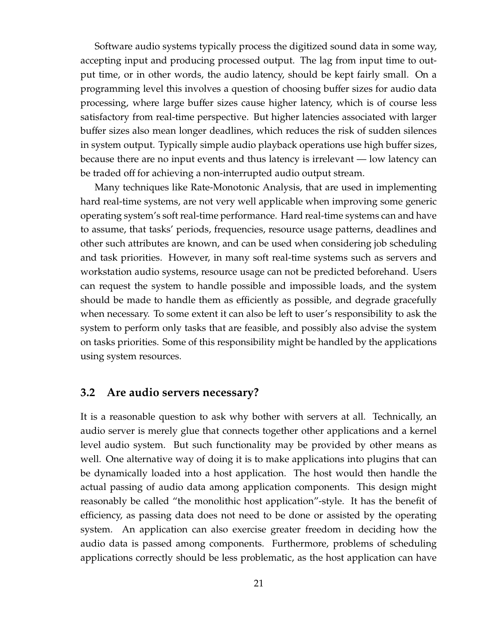Software audio systems typically process the digitized sound data in some way, accepting input and producing processed output. The lag from input time to output time, or in other words, the audio latency, should be kept fairly small. On a programming level this involves a question of choosing buffer sizes for audio data processing, where large buffer sizes cause higher latency, which is of course less satisfactory from real-time perspective. But higher latencies associated with larger buffer sizes also mean longer deadlines, which reduces the risk of sudden silences in system output. Typically simple audio playback operations use high buffer sizes, because there are no input events and thus latency is irrelevant — low latency can be traded off for achieving a non-interrupted audio output stream.

Many techniques like Rate-Monotonic Analysis, that are used in implementing hard real-time systems, are not very well applicable when improving some generic operating system's soft real-time performance. Hard real-time systems can and have to assume, that tasks' periods, frequencies, resource usage patterns, deadlines and other such attributes are known, and can be used when considering job scheduling and task priorities. However, in many soft real-time systems such as servers and workstation audio systems, resource usage can not be predicted beforehand. Users can request the system to handle possible and impossible loads, and the system should be made to handle them as efficiently as possible, and degrade gracefully when necessary. To some extent it can also be left to user's responsibility to ask the system to perform only tasks that are feasible, and possibly also advise the system on tasks priorities. Some of this responsibility might be handled by the applications using system resources.

#### **3.2 Are audio servers necessary?**

It is a reasonable question to ask why bother with servers at all. Technically, an audio server is merely glue that connects together other applications and a kernel level audio system. But such functionality may be provided by other means as well. One alternative way of doing it is to make applications into plugins that can be dynamically loaded into a host application. The host would then handle the actual passing of audio data among application components. This design might reasonably be called "the monolithic host application"-style. It has the benefit of efficiency, as passing data does not need to be done or assisted by the operating system. An application can also exercise greater freedom in deciding how the audio data is passed among components. Furthermore, problems of scheduling applications correctly should be less problematic, as the host application can have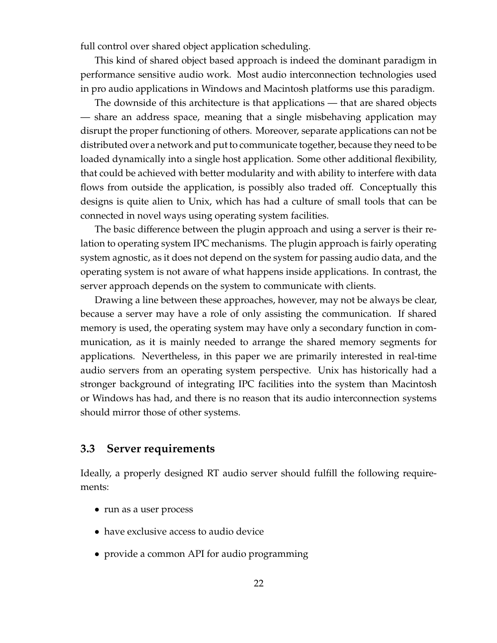full control over shared object application scheduling.

This kind of shared object based approach is indeed the dominant paradigm in performance sensitive audio work. Most audio interconnection technologies used in pro audio applications in Windows and Macintosh platforms use this paradigm.

The downside of this architecture is that applications — that are shared objects — share an address space, meaning that a single misbehaving application may disrupt the proper functioning of others. Moreover, separate applications can not be distributed over a network and put to communicate together, because they need to be loaded dynamically into a single host application. Some other additional flexibility, that could be achieved with better modularity and with ability to interfere with data flows from outside the application, is possibly also traded off. Conceptually this designs is quite alien to Unix, which has had a culture of small tools that can be connected in novel ways using operating system facilities.

The basic difference between the plugin approach and using a server is their relation to operating system IPC mechanisms. The plugin approach is fairly operating system agnostic, as it does not depend on the system for passing audio data, and the operating system is not aware of what happens inside applications. In contrast, the server approach depends on the system to communicate with clients.

Drawing a line between these approaches, however, may not be always be clear, because a server may have a role of only assisting the communication. If shared memory is used, the operating system may have only a secondary function in communication, as it is mainly needed to arrange the shared memory segments for applications. Nevertheless, in this paper we are primarily interested in real-time audio servers from an operating system perspective. Unix has historically had a stronger background of integrating IPC facilities into the system than Macintosh or Windows has had, and there is no reason that its audio interconnection systems should mirror those of other systems.

### **3.3 Server requirements**

Ideally, a properly designed RT audio server should fulfill the following requirements:

- run as a user process
- have exclusive access to audio device
- provide a common API for audio programming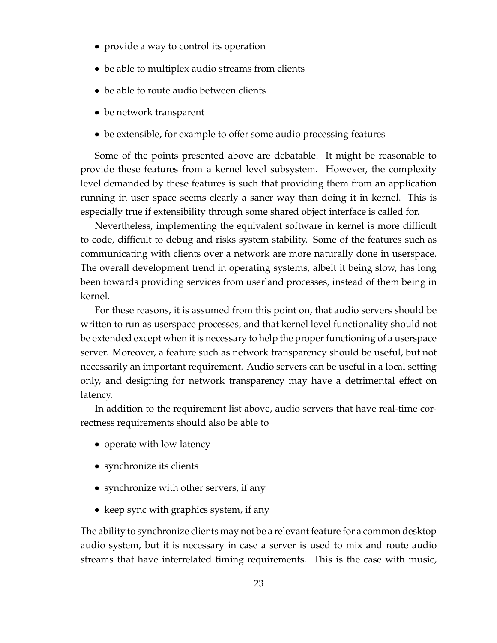- provide a way to control its operation
- be able to multiplex audio streams from clients
- be able to route audio between clients
- be network transparent
- be extensible, for example to offer some audio processing features

Some of the points presented above are debatable. It might be reasonable to provide these features from a kernel level subsystem. However, the complexity level demanded by these features is such that providing them from an application running in user space seems clearly a saner way than doing it in kernel. This is especially true if extensibility through some shared object interface is called for.

Nevertheless, implementing the equivalent software in kernel is more difficult to code, difficult to debug and risks system stability. Some of the features such as communicating with clients over a network are more naturally done in userspace. The overall development trend in operating systems, albeit it being slow, has long been towards providing services from userland processes, instead of them being in kernel.

For these reasons, it is assumed from this point on, that audio servers should be written to run as userspace processes, and that kernel level functionality should not be extended except when it is necessary to help the proper functioning of a userspace server. Moreover, a feature such as network transparency should be useful, but not necessarily an important requirement. Audio servers can be useful in a local setting only, and designing for network transparency may have a detrimental effect on latency.

In addition to the requirement list above, audio servers that have real-time correctness requirements should also be able to

- operate with low latency
- synchronize its clients
- synchronize with other servers, if any
- keep sync with graphics system, if any

The ability to synchronize clients may not be a relevant feature for a common desktop audio system, but it is necessary in case a server is used to mix and route audio streams that have interrelated timing requirements. This is the case with music,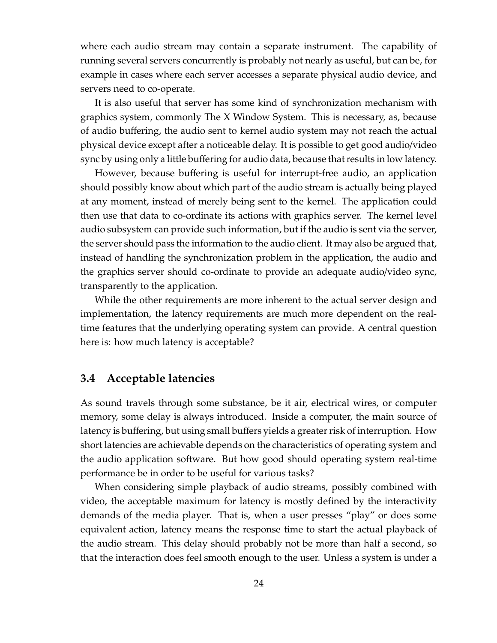where each audio stream may contain a separate instrument. The capability of running several servers concurrently is probably not nearly as useful, but can be, for example in cases where each server accesses a separate physical audio device, and servers need to co-operate.

It is also useful that server has some kind of synchronization mechanism with graphics system, commonly The X Window System. This is necessary, as, because of audio buffering, the audio sent to kernel audio system may not reach the actual physical device except after a noticeable delay. It is possible to get good audio/video sync by using only a little buffering for audio data, because that results in low latency.

However, because buffering is useful for interrupt-free audio, an application should possibly know about which part of the audio stream is actually being played at any moment, instead of merely being sent to the kernel. The application could then use that data to co-ordinate its actions with graphics server. The kernel level audio subsystem can provide such information, but if the audio is sent via the server, the server should pass the information to the audio client. It may also be argued that, instead of handling the synchronization problem in the application, the audio and the graphics server should co-ordinate to provide an adequate audio/video sync, transparently to the application.

While the other requirements are more inherent to the actual server design and implementation, the latency requirements are much more dependent on the realtime features that the underlying operating system can provide. A central question here is: how much latency is acceptable?

#### <span id="page-32-0"></span>**3.4 Acceptable latencies**

As sound travels through some substance, be it air, electrical wires, or computer memory, some delay is always introduced. Inside a computer, the main source of latency is buffering, but using small buffers yields a greater risk of interruption. How short latencies are achievable depends on the characteristics of operating system and the audio application software. But how good should operating system real-time performance be in order to be useful for various tasks?

When considering simple playback of audio streams, possibly combined with video, the acceptable maximum for latency is mostly defined by the interactivity demands of the media player. That is, when a user presses "play" or does some equivalent action, latency means the response time to start the actual playback of the audio stream. This delay should probably not be more than half a second, so that the interaction does feel smooth enough to the user. Unless a system is under a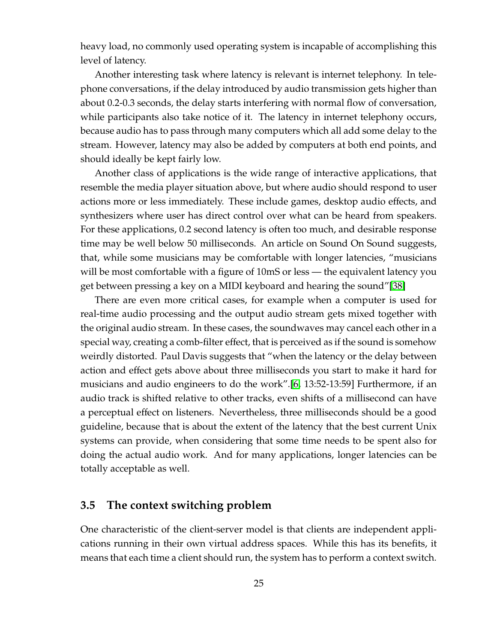heavy load, no commonly used operating system is incapable of accomplishing this level of latency.

Another interesting task where latency is relevant is internet telephony. In telephone conversations, if the delay introduced by audio transmission gets higher than about 0.2-0.3 seconds, the delay starts interfering with normal flow of conversation, while participants also take notice of it. The latency in internet telephony occurs, because audio has to pass through many computers which all add some delay to the stream. However, latency may also be added by computers at both end points, and should ideally be kept fairly low.

Another class of applications is the wide range of interactive applications, that resemble the media player situation above, but where audio should respond to user actions more or less immediately. These include games, desktop audio effects, and synthesizers where user has direct control over what can be heard from speakers. For these applications, 0.2 second latency is often too much, and desirable response time may be well below 50 milliseconds. An article on Sound On Sound suggests, that, while some musicians may be comfortable with longer latencies, "musicians will be most comfortable with a figure of 10mS or less — the equivalent latency you get between pressing a key on a MIDI keyboard and hearing the sound"[\[38\]](#page-127-1)

There are even more critical cases, for example when a computer is used for real-time audio processing and the output audio stream gets mixed together with the original audio stream. In these cases, the soundwaves may cancel each other in a special way, creating a comb-filter effect, that is perceived as if the sound is somehow weirdly distorted. Paul Davis suggests that "when the latency or the delay between action and effect gets above about three milliseconds you start to make it hard for musicians and audio engineers to do the work".[\[6,](#page-124-3) 13:52-13:59] Furthermore, if an audio track is shifted relative to other tracks, even shifts of a millisecond can have a perceptual effect on listeners. Nevertheless, three milliseconds should be a good guideline, because that is about the extent of the latency that the best current Unix systems can provide, when considering that some time needs to be spent also for doing the actual audio work. And for many applications, longer latencies can be totally acceptable as well.

### <span id="page-33-0"></span>**3.5 The context switching problem**

One characteristic of the client-server model is that clients are independent applications running in their own virtual address spaces. While this has its benefits, it means that each time a client should run, the system has to perform a context switch.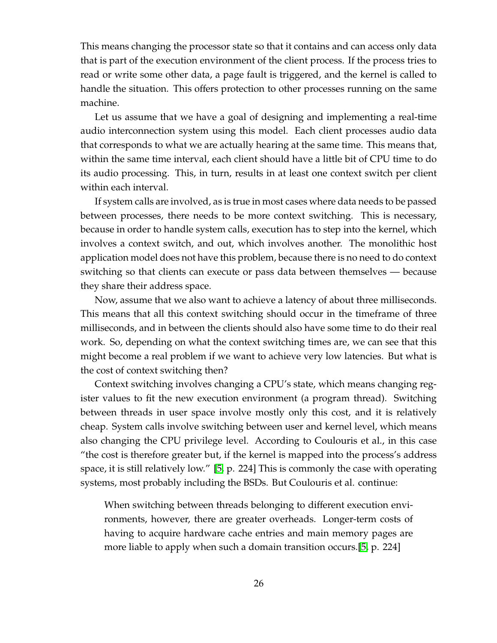This means changing the processor state so that it contains and can access only data that is part of the execution environment of the client process. If the process tries to read or write some other data, a page fault is triggered, and the kernel is called to handle the situation. This offers protection to other processes running on the same machine.

Let us assume that we have a goal of designing and implementing a real-time audio interconnection system using this model. Each client processes audio data that corresponds to what we are actually hearing at the same time. This means that, within the same time interval, each client should have a little bit of CPU time to do its audio processing. This, in turn, results in at least one context switch per client within each interval.

If system calls are involved, as is true in most cases where data needs to be passed between processes, there needs to be more context switching. This is necessary, because in order to handle system calls, execution has to step into the kernel, which involves a context switch, and out, which involves another. The monolithic host application model does not have this problem, because there is no need to do context switching so that clients can execute or pass data between themselves — because they share their address space.

Now, assume that we also want to achieve a latency of about three milliseconds. This means that all this context switching should occur in the timeframe of three milliseconds, and in between the clients should also have some time to do their real work. So, depending on what the context switching times are, we can see that this might become a real problem if we want to achieve very low latencies. But what is the cost of context switching then?

Context switching involves changing a CPU's state, which means changing register values to fit the new execution environment (a program thread). Switching between threads in user space involve mostly only this cost, and it is relatively cheap. System calls involve switching between user and kernel level, which means also changing the CPU privilege level. According to Coulouris et al., in this case "the cost is therefore greater but, if the kernel is mapped into the process's address space, it is still relatively low." [\[5,](#page-124-4) p. 224] This is commonly the case with operating systems, most probably including the BSDs. But Coulouris et al. continue:

When switching between threads belonging to different execution environments, however, there are greater overheads. Longer-term costs of having to acquire hardware cache entries and main memory pages are more liable to apply when such a domain transition occurs.[\[5,](#page-124-4) p. 224]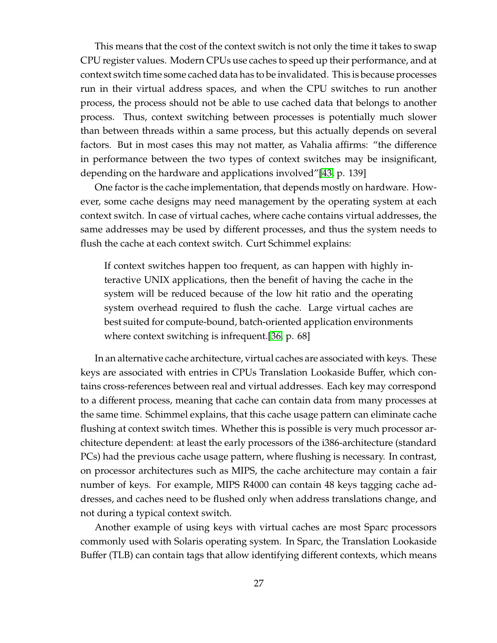This means that the cost of the context switch is not only the time it takes to swap CPU register values. Modern CPUs use caches to speed up their performance, and at context switch time some cached data has to be invalidated. This is because processes run in their virtual address spaces, and when the CPU switches to run another process, the process should not be able to use cached data that belongs to another process. Thus, context switching between processes is potentially much slower than between threads within a same process, but this actually depends on several factors. But in most cases this may not matter, as Vahalia affirms: "the difference in performance between the two types of context switches may be insignificant, depending on the hardware and applications involved"[\[43,](#page-127-2) p. 139]

One factor is the cache implementation, that depends mostly on hardware. However, some cache designs may need management by the operating system at each context switch. In case of virtual caches, where cache contains virtual addresses, the same addresses may be used by different processes, and thus the system needs to flush the cache at each context switch. Curt Schimmel explains:

If context switches happen too frequent, as can happen with highly interactive UNIX applications, then the benefit of having the cache in the system will be reduced because of the low hit ratio and the operating system overhead required to flush the cache. Large virtual caches are best suited for compute-bound, batch-oriented application environments where context switching is infrequent.[\[36,](#page-126-3) p. 68]

In an alternative cache architecture, virtual caches are associated with keys. These keys are associated with entries in CPUs Translation Lookaside Buffer, which contains cross-references between real and virtual addresses. Each key may correspond to a different process, meaning that cache can contain data from many processes at the same time. Schimmel explains, that this cache usage pattern can eliminate cache flushing at context switch times. Whether this is possible is very much processor architecture dependent: at least the early processors of the i386-architecture (standard PCs) had the previous cache usage pattern, where flushing is necessary. In contrast, on processor architectures such as MIPS, the cache architecture may contain a fair number of keys. For example, MIPS R4000 can contain 48 keys tagging cache addresses, and caches need to be flushed only when address translations change, and not during a typical context switch.

Another example of using keys with virtual caches are most Sparc processors commonly used with Solaris operating system. In Sparc, the Translation Lookaside Buffer (TLB) can contain tags that allow identifying different contexts, which means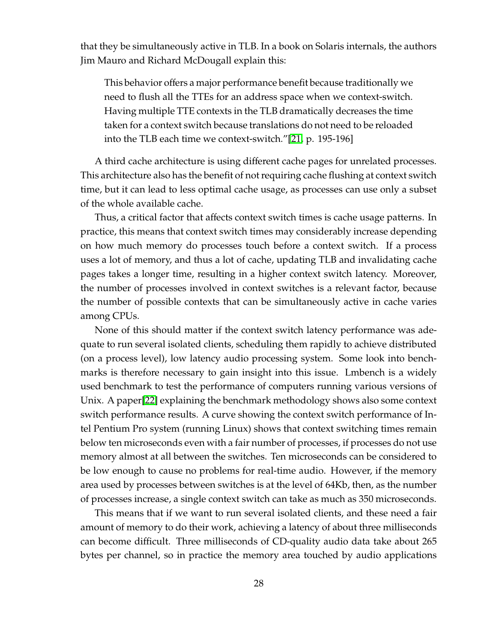that they be simultaneously active in TLB. In a book on Solaris internals, the authors Jim Mauro and Richard McDougall explain this:

This behavior offers a major performance benefit because traditionally we need to flush all the TTEs for an address space when we context-switch. Having multiple TTE contexts in the TLB dramatically decreases the time taken for a context switch because translations do not need to be reloaded into the TLB each time we context-switch."[\[21,](#page-125-0) p. 195-196]

A third cache architecture is using different cache pages for unrelated processes. This architecture also has the benefit of not requiring cache flushing at context switch time, but it can lead to less optimal cache usage, as processes can use only a subset of the whole available cache.

Thus, a critical factor that affects context switch times is cache usage patterns. In practice, this means that context switch times may considerably increase depending on how much memory do processes touch before a context switch. If a process uses a lot of memory, and thus a lot of cache, updating TLB and invalidating cache pages takes a longer time, resulting in a higher context switch latency. Moreover, the number of processes involved in context switches is a relevant factor, because the number of possible contexts that can be simultaneously active in cache varies among CPUs.

None of this should matter if the context switch latency performance was adequate to run several isolated clients, scheduling them rapidly to achieve distributed (on a process level), low latency audio processing system. Some look into benchmarks is therefore necessary to gain insight into this issue. Lmbench is a widely used benchmark to test the performance of computers running various versions of Unix. A paper[\[22\]](#page-125-1) explaining the benchmark methodology shows also some context switch performance results. A curve showing the context switch performance of Intel Pentium Pro system (running Linux) shows that context switching times remain below ten microseconds even with a fair number of processes, if processes do not use memory almost at all between the switches. Ten microseconds can be considered to be low enough to cause no problems for real-time audio. However, if the memory area used by processes between switches is at the level of 64Kb, then, as the number of processes increase, a single context switch can take as much as 350 microseconds.

This means that if we want to run several isolated clients, and these need a fair amount of memory to do their work, achieving a latency of about three milliseconds can become difficult. Three milliseconds of CD-quality audio data take about 265 bytes per channel, so in practice the memory area touched by audio applications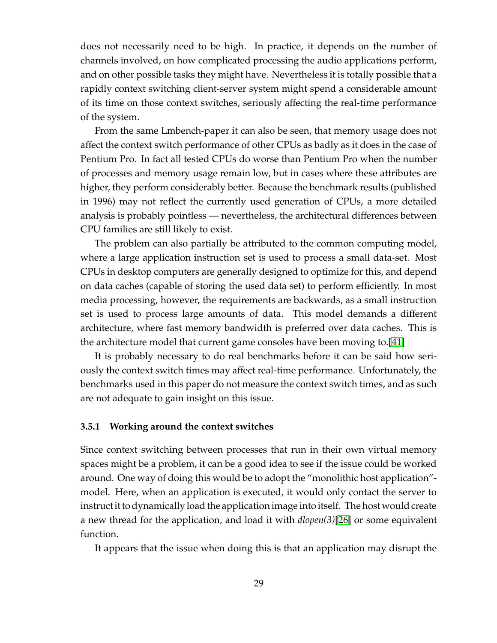does not necessarily need to be high. In practice, it depends on the number of channels involved, on how complicated processing the audio applications perform, and on other possible tasks they might have. Nevertheless it is totally possible that a rapidly context switching client-server system might spend a considerable amount of its time on those context switches, seriously affecting the real-time performance of the system.

From the same Lmbench-paper it can also be seen, that memory usage does not affect the context switch performance of other CPUs as badly as it does in the case of Pentium Pro. In fact all tested CPUs do worse than Pentium Pro when the number of processes and memory usage remain low, but in cases where these attributes are higher, they perform considerably better. Because the benchmark results (published in 1996) may not reflect the currently used generation of CPUs, a more detailed analysis is probably pointless — nevertheless, the architectural differences between CPU families are still likely to exist.

The problem can also partially be attributed to the common computing model, where a large application instruction set is used to process a small data-set. Most CPUs in desktop computers are generally designed to optimize for this, and depend on data caches (capable of storing the used data set) to perform efficiently. In most media processing, however, the requirements are backwards, as a small instruction set is used to process large amounts of data. This model demands a different architecture, where fast memory bandwidth is preferred over data caches. This is the architecture model that current game consoles have been moving to.[\[41\]](#page-127-0)

It is probably necessary to do real benchmarks before it can be said how seriously the context switch times may affect real-time performance. Unfortunately, the benchmarks used in this paper do not measure the context switch times, and as such are not adequate to gain insight on this issue.

#### **3.5.1 Working around the context switches**

Since context switching between processes that run in their own virtual memory spaces might be a problem, it can be a good idea to see if the issue could be worked around. One way of doing this would be to adopt the "monolithic host application" model. Here, when an application is executed, it would only contact the server to instruct it to dynamically load the application image into itself. The host would create a new thread for the application, and load it with *dlopen(3)*[\[26\]](#page-126-0) or some equivalent function.

It appears that the issue when doing this is that an application may disrupt the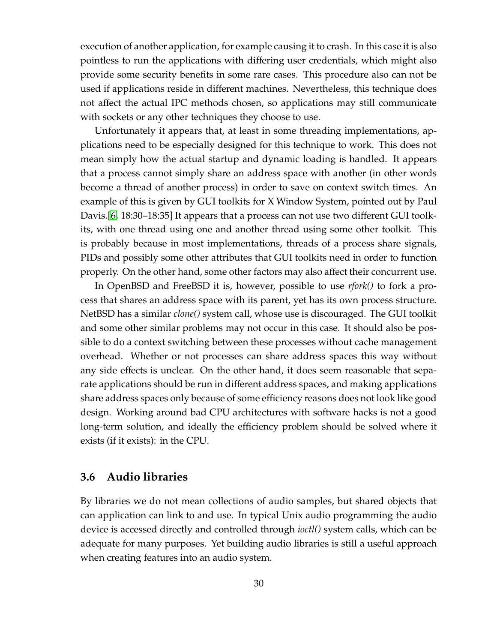execution of another application, for example causing it to crash. In this case it is also pointless to run the applications with differing user credentials, which might also provide some security benefits in some rare cases. This procedure also can not be used if applications reside in different machines. Nevertheless, this technique does not affect the actual IPC methods chosen, so applications may still communicate with sockets or any other techniques they choose to use.

Unfortunately it appears that, at least in some threading implementations, applications need to be especially designed for this technique to work. This does not mean simply how the actual startup and dynamic loading is handled. It appears that a process cannot simply share an address space with another (in other words become a thread of another process) in order to save on context switch times. An example of this is given by GUI toolkits for X Window System, pointed out by Paul Davis.[\[6,](#page-124-0) 18:30–18:35] It appears that a process can not use two different GUI toolkits, with one thread using one and another thread using some other toolkit. This is probably because in most implementations, threads of a process share signals, PIDs and possibly some other attributes that GUI toolkits need in order to function properly. On the other hand, some other factors may also affect their concurrent use.

In OpenBSD and FreeBSD it is, however, possible to use *rfork()* to fork a process that shares an address space with its parent, yet has its own process structure. NetBSD has a similar *clone()* system call, whose use is discouraged. The GUI toolkit and some other similar problems may not occur in this case. It should also be possible to do a context switching between these processes without cache management overhead. Whether or not processes can share address spaces this way without any side effects is unclear. On the other hand, it does seem reasonable that separate applications should be run in different address spaces, and making applications share address spaces only because of some efficiency reasons does not look like good design. Working around bad CPU architectures with software hacks is not a good long-term solution, and ideally the efficiency problem should be solved where it exists (if it exists): in the CPU.

## **3.6 Audio libraries**

By libraries we do not mean collections of audio samples, but shared objects that can application can link to and use. In typical Unix audio programming the audio device is accessed directly and controlled through *ioctl()* system calls, which can be adequate for many purposes. Yet building audio libraries is still a useful approach when creating features into an audio system.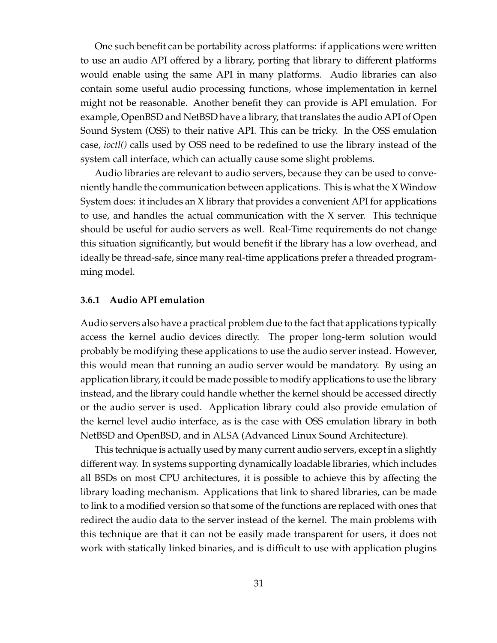One such benefit can be portability across platforms: if applications were written to use an audio API offered by a library, porting that library to different platforms would enable using the same API in many platforms. Audio libraries can also contain some useful audio processing functions, whose implementation in kernel might not be reasonable. Another benefit they can provide is API emulation. For example, OpenBSD and NetBSD have a library, that translates the audio API of Open Sound System (OSS) to their native API. This can be tricky. In the OSS emulation case, *ioctl()* calls used by OSS need to be redefined to use the library instead of the system call interface, which can actually cause some slight problems.

Audio libraries are relevant to audio servers, because they can be used to conveniently handle the communication between applications. This is what the X Window System does: it includes an X library that provides a convenient API for applications to use, and handles the actual communication with the X server. This technique should be useful for audio servers as well. Real-Time requirements do not change this situation significantly, but would benefit if the library has a low overhead, and ideally be thread-safe, since many real-time applications prefer a threaded programming model.

#### **3.6.1 Audio API emulation**

Audio servers also have a practical problem due to the fact that applications typically access the kernel audio devices directly. The proper long-term solution would probably be modifying these applications to use the audio server instead. However, this would mean that running an audio server would be mandatory. By using an application library, it could be made possible to modify applications to use the library instead, and the library could handle whether the kernel should be accessed directly or the audio server is used. Application library could also provide emulation of the kernel level audio interface, as is the case with OSS emulation library in both NetBSD and OpenBSD, and in ALSA (Advanced Linux Sound Architecture).

This technique is actually used by many current audio servers, except in a slightly different way. In systems supporting dynamically loadable libraries, which includes all BSDs on most CPU architectures, it is possible to achieve this by affecting the library loading mechanism. Applications that link to shared libraries, can be made to link to a modified version so that some of the functions are replaced with ones that redirect the audio data to the server instead of the kernel. The main problems with this technique are that it can not be easily made transparent for users, it does not work with statically linked binaries, and is difficult to use with application plugins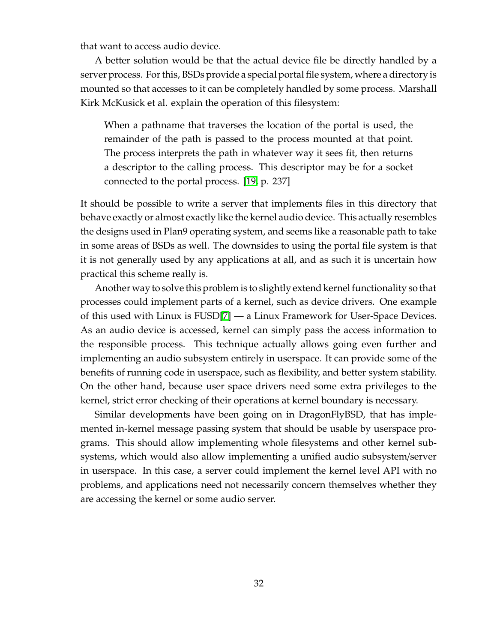that want to access audio device.

A better solution would be that the actual device file be directly handled by a server process. Forthis, BSDs provide a special portal file system, where a directory is mounted so that accesses to it can be completely handled by some process. Marshall Kirk McKusick et al. explain the operation of this filesystem:

When a pathname that traverses the location of the portal is used, the remainder of the path is passed to the process mounted at that point. The process interprets the path in whatever way it sees fit, then returns a descriptor to the calling process. This descriptor may be for a socket connected to the portal process. [\[19,](#page-125-2) p. 237]

It should be possible to write a server that implements files in this directory that behave exactly or almost exactly like the kernel audio device. This actually resembles the designs used in Plan9 operating system, and seems like a reasonable path to take in some areas of BSDs as well. The downsides to using the portal file system is that it is not generally used by any applications at all, and as such it is uncertain how practical this scheme really is.

Another way to solve this problem is to slightly extend kernel functionality so that processes could implement parts of a kernel, such as device drivers. One example of this used with Linux is FUSD[\[7\]](#page-124-1) — a Linux Framework for User-Space Devices. As an audio device is accessed, kernel can simply pass the access information to the responsible process. This technique actually allows going even further and implementing an audio subsystem entirely in userspace. It can provide some of the benefits of running code in userspace, such as flexibility, and better system stability. On the other hand, because user space drivers need some extra privileges to the kernel, strict error checking of their operations at kernel boundary is necessary.

Similar developments have been going on in DragonFlyBSD, that has implemented in-kernel message passing system that should be usable by userspace programs. This should allow implementing whole filesystems and other kernel subsystems, which would also allow implementing a unified audio subsystem/server in userspace. In this case, a server could implement the kernel level API with no problems, and applications need not necessarily concern themselves whether they are accessing the kernel or some audio server.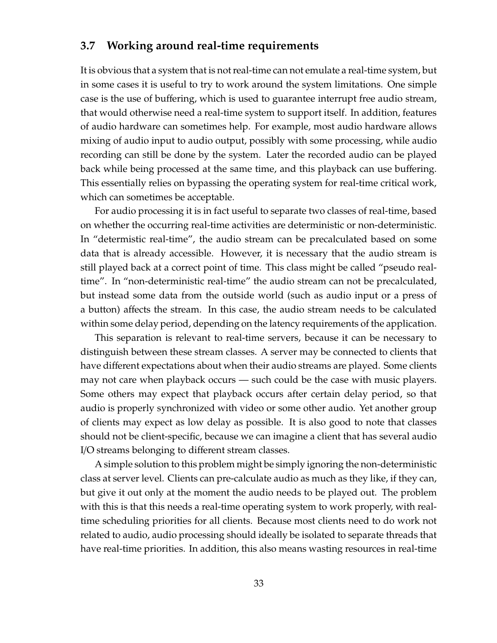# **3.7 Working around real-time requirements**

It is obvious that a system that is not real-time can not emulate a real-time system, but in some cases it is useful to try to work around the system limitations. One simple case is the use of buffering, which is used to guarantee interrupt free audio stream, that would otherwise need a real-time system to support itself. In addition, features of audio hardware can sometimes help. For example, most audio hardware allows mixing of audio input to audio output, possibly with some processing, while audio recording can still be done by the system. Later the recorded audio can be played back while being processed at the same time, and this playback can use buffering. This essentially relies on bypassing the operating system for real-time critical work, which can sometimes be acceptable.

For audio processing it is in fact useful to separate two classes of real-time, based on whether the occurring real-time activities are deterministic or non-deterministic. In "determistic real-time", the audio stream can be precalculated based on some data that is already accessible. However, it is necessary that the audio stream is still played back at a correct point of time. This class might be called "pseudo realtime". In "non-deterministic real-time" the audio stream can not be precalculated, but instead some data from the outside world (such as audio input or a press of a button) affects the stream. In this case, the audio stream needs to be calculated within some delay period, depending on the latency requirements of the application.

This separation is relevant to real-time servers, because it can be necessary to distinguish between these stream classes. A server may be connected to clients that have different expectations about when their audio streams are played. Some clients may not care when playback occurs — such could be the case with music players. Some others may expect that playback occurs after certain delay period, so that audio is properly synchronized with video or some other audio. Yet another group of clients may expect as low delay as possible. It is also good to note that classes should not be client-specific, because we can imagine a client that has several audio I/O streams belonging to different stream classes.

A simple solution to this problem might be simply ignoring the non-deterministic class at server level. Clients can pre-calculate audio as much as they like, if they can, but give it out only at the moment the audio needs to be played out. The problem with this is that this needs a real-time operating system to work properly, with realtime scheduling priorities for all clients. Because most clients need to do work not related to audio, audio processing should ideally be isolated to separate threads that have real-time priorities. In addition, this also means wasting resources in real-time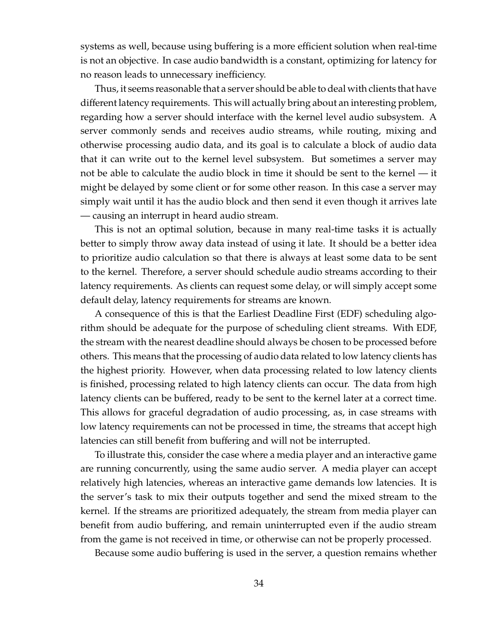systems as well, because using buffering is a more efficient solution when real-time is not an objective. In case audio bandwidth is a constant, optimizing for latency for no reason leads to unnecessary inefficiency.

Thus, it seems reasonable that a server should be able to deal with clients that have different latency requirements. This will actually bring about an interesting problem, regarding how a server should interface with the kernel level audio subsystem. A server commonly sends and receives audio streams, while routing, mixing and otherwise processing audio data, and its goal is to calculate a block of audio data that it can write out to the kernel level subsystem. But sometimes a server may not be able to calculate the audio block in time it should be sent to the kernel — it might be delayed by some client or for some other reason. In this case a server may simply wait until it has the audio block and then send it even though it arrives late — causing an interrupt in heard audio stream.

This is not an optimal solution, because in many real-time tasks it is actually better to simply throw away data instead of using it late. It should be a better idea to prioritize audio calculation so that there is always at least some data to be sent to the kernel. Therefore, a server should schedule audio streams according to their latency requirements. As clients can request some delay, or will simply accept some default delay, latency requirements for streams are known.

A consequence of this is that the Earliest Deadline First (EDF) scheduling algorithm should be adequate for the purpose of scheduling client streams. With EDF, the stream with the nearest deadline should always be chosen to be processed before others. This means that the processing of audio data related to low latency clients has the highest priority. However, when data processing related to low latency clients is finished, processing related to high latency clients can occur. The data from high latency clients can be buffered, ready to be sent to the kernel later at a correct time. This allows for graceful degradation of audio processing, as, in case streams with low latency requirements can not be processed in time, the streams that accept high latencies can still benefit from buffering and will not be interrupted.

To illustrate this, consider the case where a media player and an interactive game are running concurrently, using the same audio server. A media player can accept relatively high latencies, whereas an interactive game demands low latencies. It is the server's task to mix their outputs together and send the mixed stream to the kernel. If the streams are prioritized adequately, the stream from media player can benefit from audio buffering, and remain uninterrupted even if the audio stream from the game is not received in time, or otherwise can not be properly processed.

Because some audio buffering is used in the server, a question remains whether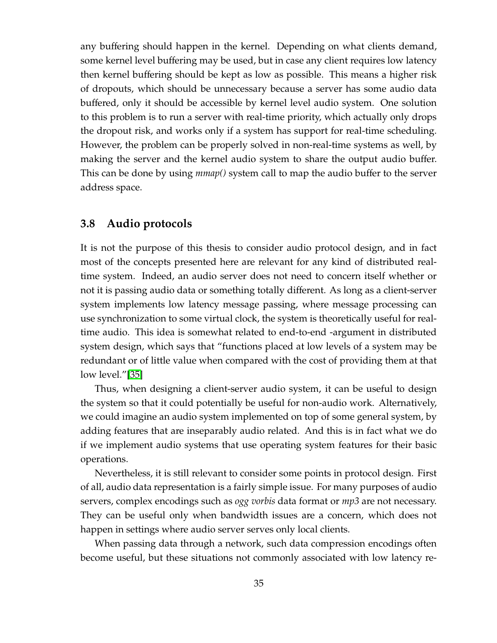any buffering should happen in the kernel. Depending on what clients demand, some kernel level buffering may be used, but in case any client requires low latency then kernel buffering should be kept as low as possible. This means a higher risk of dropouts, which should be unnecessary because a server has some audio data buffered, only it should be accessible by kernel level audio system. One solution to this problem is to run a server with real-time priority, which actually only drops the dropout risk, and works only if a system has support for real-time scheduling. However, the problem can be properly solved in non-real-time systems as well, by making the server and the kernel audio system to share the output audio buffer. This can be done by using *mmap()* system call to map the audio buffer to the server address space.

## **3.8 Audio protocols**

It is not the purpose of this thesis to consider audio protocol design, and in fact most of the concepts presented here are relevant for any kind of distributed realtime system. Indeed, an audio server does not need to concern itself whether or not it is passing audio data or something totally different. As long as a client-server system implements low latency message passing, where message processing can use synchronization to some virtual clock, the system is theoretically useful for realtime audio. This idea is somewhat related to end-to-end -argument in distributed system design, which says that "functions placed at low levels of a system may be redundant or of little value when compared with the cost of providing them at that low level."[\[35\]](#page-126-1)

Thus, when designing a client-server audio system, it can be useful to design the system so that it could potentially be useful for non-audio work. Alternatively, we could imagine an audio system implemented on top of some general system, by adding features that are inseparably audio related. And this is in fact what we do if we implement audio systems that use operating system features for their basic operations.

Nevertheless, it is still relevant to consider some points in protocol design. First of all, audio data representation is a fairly simple issue. For many purposes of audio servers, complex encodings such as *ogg vorbis* data format or *mp3* are not necessary. They can be useful only when bandwidth issues are a concern, which does not happen in settings where audio server serves only local clients.

When passing data through a network, such data compression encodings often become useful, but these situations not commonly associated with low latency re-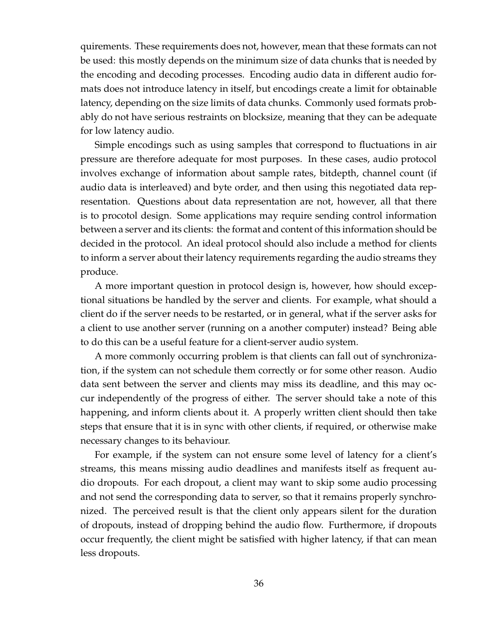quirements. These requirements does not, however, mean that these formats can not be used: this mostly depends on the minimum size of data chunks that is needed by the encoding and decoding processes. Encoding audio data in different audio formats does not introduce latency in itself, but encodings create a limit for obtainable latency, depending on the size limits of data chunks. Commonly used formats probably do not have serious restraints on blocksize, meaning that they can be adequate for low latency audio.

Simple encodings such as using samples that correspond to fluctuations in air pressure are therefore adequate for most purposes. In these cases, audio protocol involves exchange of information about sample rates, bitdepth, channel count (if audio data is interleaved) and byte order, and then using this negotiated data representation. Questions about data representation are not, however, all that there is to procotol design. Some applications may require sending control information between a server and its clients: the format and content of this information should be decided in the protocol. An ideal protocol should also include a method for clients to inform a server about their latency requirements regarding the audio streams they produce.

A more important question in protocol design is, however, how should exceptional situations be handled by the server and clients. For example, what should a client do if the server needs to be restarted, or in general, what if the server asks for a client to use another server (running on a another computer) instead? Being able to do this can be a useful feature for a client-server audio system.

A more commonly occurring problem is that clients can fall out of synchronization, if the system can not schedule them correctly or for some other reason. Audio data sent between the server and clients may miss its deadline, and this may occur independently of the progress of either. The server should take a note of this happening, and inform clients about it. A properly written client should then take steps that ensure that it is in sync with other clients, if required, or otherwise make necessary changes to its behaviour.

For example, if the system can not ensure some level of latency for a client's streams, this means missing audio deadlines and manifests itself as frequent audio dropouts. For each dropout, a client may want to skip some audio processing and not send the corresponding data to server, so that it remains properly synchronized. The perceived result is that the client only appears silent for the duration of dropouts, instead of dropping behind the audio flow. Furthermore, if dropouts occur frequently, the client might be satisfied with higher latency, if that can mean less dropouts.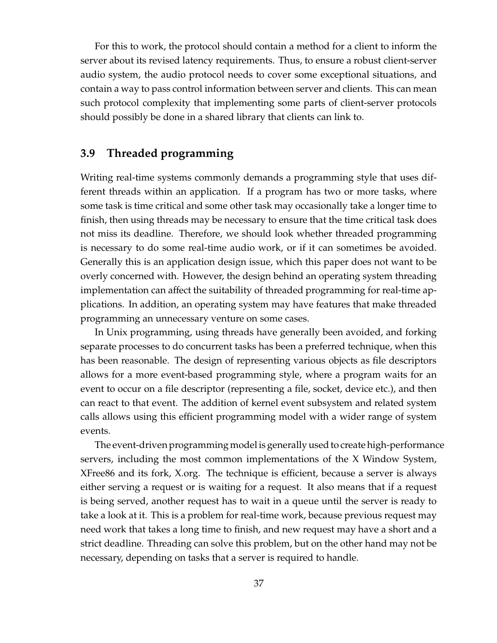For this to work, the protocol should contain a method for a client to inform the server about its revised latency requirements. Thus, to ensure a robust client-server audio system, the audio protocol needs to cover some exceptional situations, and contain a way to pass control information between server and clients. This can mean such protocol complexity that implementing some parts of client-server protocols should possibly be done in a shared library that clients can link to.

# **3.9 Threaded programming**

Writing real-time systems commonly demands a programming style that uses different threads within an application. If a program has two or more tasks, where some task is time critical and some other task may occasionally take a longer time to finish, then using threads may be necessary to ensure that the time critical task does not miss its deadline. Therefore, we should look whether threaded programming is necessary to do some real-time audio work, or if it can sometimes be avoided. Generally this is an application design issue, which this paper does not want to be overly concerned with. However, the design behind an operating system threading implementation can affect the suitability of threaded programming for real-time applications. In addition, an operating system may have features that make threaded programming an unnecessary venture on some cases.

In Unix programming, using threads have generally been avoided, and forking separate processes to do concurrent tasks has been a preferred technique, when this has been reasonable. The design of representing various objects as file descriptors allows for a more event-based programming style, where a program waits for an event to occur on a file descriptor (representing a file, socket, device etc.), and then can react to that event. The addition of kernel event subsystem and related system calls allows using this efficient programming model with a wider range of system events.

The event-driven programming model is generally used to create high-performance servers, including the most common implementations of the X Window System, XFree86 and its fork, X.org. The technique is efficient, because a server is always either serving a request or is waiting for a request. It also means that if a request is being served, another request has to wait in a queue until the server is ready to take a look at it. This is a problem for real-time work, because previous request may need work that takes a long time to finish, and new request may have a short and a strict deadline. Threading can solve this problem, but on the other hand may not be necessary, depending on tasks that a server is required to handle.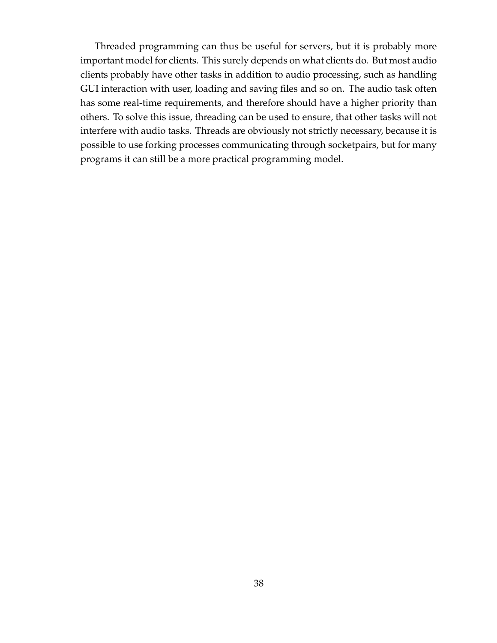Threaded programming can thus be useful for servers, but it is probably more important model for clients. This surely depends on what clients do. But most audio clients probably have other tasks in addition to audio processing, such as handling GUI interaction with user, loading and saving files and so on. The audio task often has some real-time requirements, and therefore should have a higher priority than others. To solve this issue, threading can be used to ensure, that other tasks will not interfere with audio tasks. Threads are obviously not strictly necessary, because it is possible to use forking processes communicating through socketpairs, but for many programs it can still be a more practical programming model.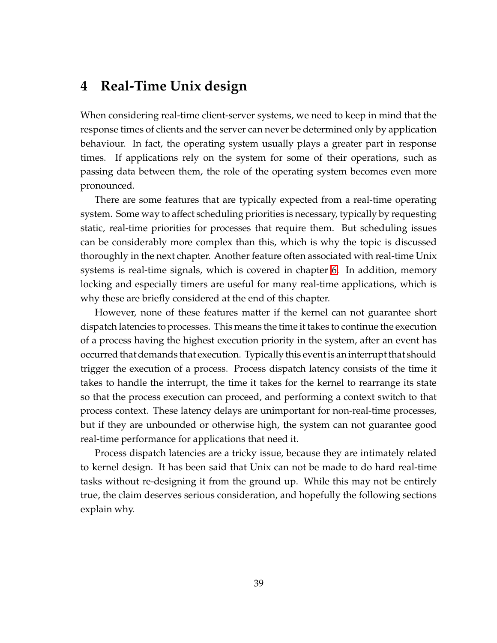# **4 Real-Time Unix design**

When considering real-time client-server systems, we need to keep in mind that the response times of clients and the server can never be determined only by application behaviour. In fact, the operating system usually plays a greater part in response times. If applications rely on the system for some of their operations, such as passing data between them, the role of the operating system becomes even more pronounced.

There are some features that are typically expected from a real-time operating system. Some way to affect scheduling priorities is necessary, typically by requesting static, real-time priorities for processes that require them. But scheduling issues can be considerably more complex than this, which is why the topic is discussed thoroughly in the next chapter. Another feature often associated with real-time Unix systems is real-time signals, which is covered in chapter [6.](#page-84-0) In addition, memory locking and especially timers are useful for many real-time applications, which is why these are briefly considered at the end of this chapter.

However, none of these features matter if the kernel can not guarantee short dispatch latencies to processes. This means the time it takes to continue the execution of a process having the highest execution priority in the system, after an event has occurred that demands that execution. Typically this event is an interrupt that should trigger the execution of a process. Process dispatch latency consists of the time it takes to handle the interrupt, the time it takes for the kernel to rearrange its state so that the process execution can proceed, and performing a context switch to that process context. These latency delays are unimportant for non-real-time processes, but if they are unbounded or otherwise high, the system can not guarantee good real-time performance for applications that need it.

Process dispatch latencies are a tricky issue, because they are intimately related to kernel design. It has been said that Unix can not be made to do hard real-time tasks without re-designing it from the ground up. While this may not be entirely true, the claim deserves serious consideration, and hopefully the following sections explain why.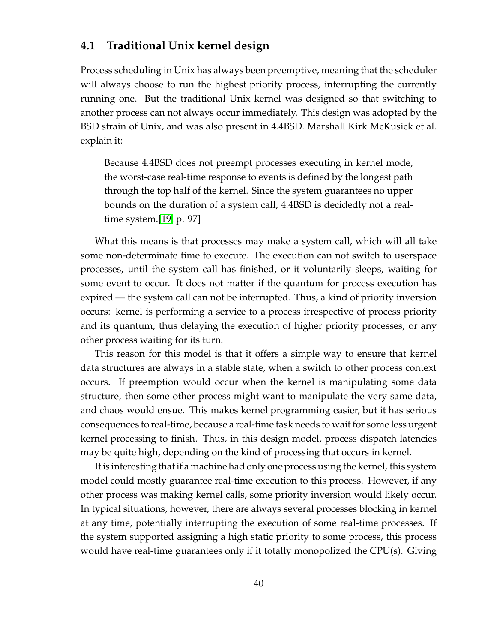# **4.1 Traditional Unix kernel design**

Process scheduling in Unix has always been preemptive, meaning that the scheduler will always choose to run the highest priority process, interrupting the currently running one. But the traditional Unix kernel was designed so that switching to another process can not always occur immediately. This design was adopted by the BSD strain of Unix, and was also present in 4.4BSD. Marshall Kirk McKusick et al. explain it:

Because 4.4BSD does not preempt processes executing in kernel mode, the worst-case real-time response to events is defined by the longest path through the top half of the kernel. Since the system guarantees no upper bounds on the duration of a system call, 4.4BSD is decidedly not a realtime system.[\[19,](#page-125-2) p. 97]

What this means is that processes may make a system call, which will all take some non-determinate time to execute. The execution can not switch to userspace processes, until the system call has finished, or it voluntarily sleeps, waiting for some event to occur. It does not matter if the quantum for process execution has expired — the system call can not be interrupted. Thus, a kind of priority inversion occurs: kernel is performing a service to a process irrespective of process priority and its quantum, thus delaying the execution of higher priority processes, or any other process waiting for its turn.

This reason for this model is that it offers a simple way to ensure that kernel data structures are always in a stable state, when a switch to other process context occurs. If preemption would occur when the kernel is manipulating some data structure, then some other process might want to manipulate the very same data, and chaos would ensue. This makes kernel programming easier, but it has serious consequences to real-time, because a real-time task needs to wait for some less urgent kernel processing to finish. Thus, in this design model, process dispatch latencies may be quite high, depending on the kind of processing that occurs in kernel.

It is interesting that if a machine had only one process using the kernel, this system model could mostly guarantee real-time execution to this process. However, if any other process was making kernel calls, some priority inversion would likely occur. In typical situations, however, there are always several processes blocking in kernel at any time, potentially interrupting the execution of some real-time processes. If the system supported assigning a high static priority to some process, this process would have real-time guarantees only if it totally monopolized the CPU(s). Giving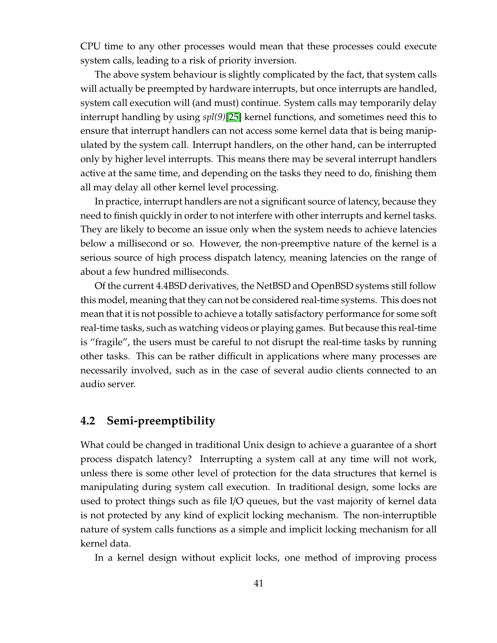CPU time to any other processes would mean that these processes could execute system calls, leading to a risk of priority inversion.

The above system behaviour is slightly complicated by the fact, that system calls will actually be preempted by hardware interrupts, but once interrupts are handled, system call execution will (and must) continue. System calls may temporarily delay interrupt handling by using *spl(9)*[\[25\]](#page-126-2) kernel functions, and sometimes need this to ensure that interrupt handlers can not access some kernel data that is being manipulated by the system call. Interrupt handlers, on the other hand, can be interrupted only by higher level interrupts. This means there may be several interrupt handlers active at the same time, and depending on the tasks they need to do, finishing them all may delay all other kernel level processing.

In practice, interrupt handlers are not a significant source of latency, because they need to finish quickly in order to not interfere with other interrupts and kernel tasks. They are likely to become an issue only when the system needs to achieve latencies below a millisecond or so. However, the non-preemptive nature of the kernel is a serious source of high process dispatch latency, meaning latencies on the range of about a few hundred milliseconds.

Of the current 4.4BSD derivatives, the NetBSD and OpenBSD systems still follow this model, meaning that they can not be considered real-time systems. This does not mean that it is not possible to achieve a totally satisfactory performance for some soft real-time tasks, such as watching videos or playing games. But because this real-time is "fragile", the users must be careful to not disrupt the real-time tasks by running other tasks. This can be rather difficult in applications where many processes are necessarily involved, such as in the case of several audio clients connected to an audio server.

# **4.2 Semi-preemptibility**

What could be changed in traditional Unix design to achieve a guarantee of a short process dispatch latency? Interrupting a system call at any time will not work, unless there is some other level of protection for the data structures that kernel is manipulating during system call execution. In traditional design, some locks are used to protect things such as file I/O queues, but the vast majority of kernel data is not protected by any kind of explicit locking mechanism. The non-interruptible nature of system calls functions as a simple and implicit locking mechanism for all kernel data.

In a kernel design without explicit locks, one method of improving process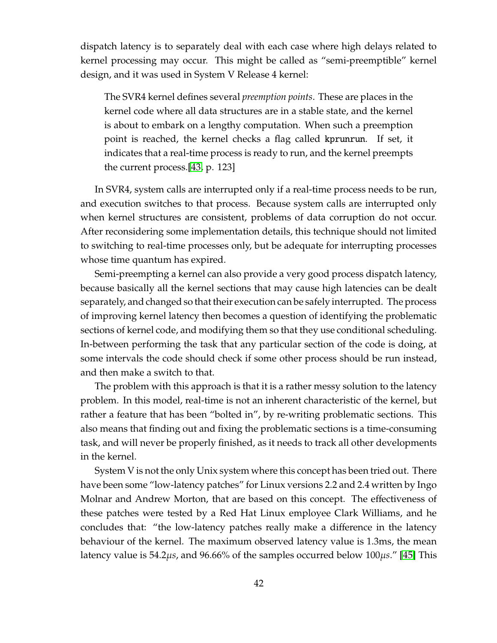dispatch latency is to separately deal with each case where high delays related to kernel processing may occur. This might be called as "semi-preemptible" kernel design, and it was used in System V Release 4 kernel:

The SVR4 kernel defines several *preemption points*. These are places in the kernel code where all data structures are in a stable state, and the kernel is about to embark on a lengthy computation. When such a preemption point is reached, the kernel checks a flag called kprunrun. If set, it indicates that a real-time process is ready to run, and the kernel preempts the current process.[\[43,](#page-127-1) p. 123]

In SVR4, system calls are interrupted only if a real-time process needs to be run, and execution switches to that process. Because system calls are interrupted only when kernel structures are consistent, problems of data corruption do not occur. After reconsidering some implementation details, this technique should not limited to switching to real-time processes only, but be adequate for interrupting processes whose time quantum has expired.

Semi-preempting a kernel can also provide a very good process dispatch latency, because basically all the kernel sections that may cause high latencies can be dealt separately, and changed so that their execution can be safely interrupted. The process of improving kernel latency then becomes a question of identifying the problematic sections of kernel code, and modifying them so that they use conditional scheduling. In-between performing the task that any particular section of the code is doing, at some intervals the code should check if some other process should be run instead, and then make a switch to that.

The problem with this approach is that it is a rather messy solution to the latency problem. In this model, real-time is not an inherent characteristic of the kernel, but rather a feature that has been "bolted in", by re-writing problematic sections. This also means that finding out and fixing the problematic sections is a time-consuming task, and will never be properly finished, as it needs to track all other developments in the kernel.

System V is not the only Unix system where this concept has been tried out. There have been some "low-latency patches" for Linux versions 2.2 and 2.4 written by Ingo Molnar and Andrew Morton, that are based on this concept. The effectiveness of these patches were tested by a Red Hat Linux employee Clark Williams, and he concludes that: "the low-latency patches really make a difference in the latency behaviour of the kernel. The maximum observed latency value is 1.3ms, the mean latency value is 54.2µ*s*, and 96.66% of the samples occurred below 100µ*s*." [\[45\]](#page-127-2) This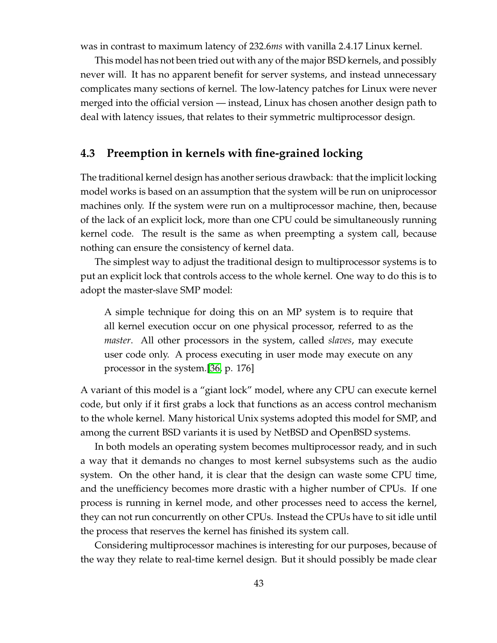was in contrast to maximum latency of 232.6*ms* with vanilla 2.4.17 Linux kernel.

This model has not been tried out with any of the major BSD kernels, and possibly never will. It has no apparent benefit for server systems, and instead unnecessary complicates many sections of kernel. The low-latency patches for Linux were never merged into the official version — instead, Linux has chosen another design path to deal with latency issues, that relates to their symmetric multiprocessor design.

# **4.3 Preemption in kernels with fine-grained locking**

The traditional kernel design has another serious drawback: that the implicit locking model works is based on an assumption that the system will be run on uniprocessor machines only. If the system were run on a multiprocessor machine, then, because of the lack of an explicit lock, more than one CPU could be simultaneously running kernel code. The result is the same as when preempting a system call, because nothing can ensure the consistency of kernel data.

The simplest way to adjust the traditional design to multiprocessor systems is to put an explicit lock that controls access to the whole kernel. One way to do this is to adopt the master-slave SMP model:

A simple technique for doing this on an MP system is to require that all kernel execution occur on one physical processor, referred to as the *master*. All other processors in the system, called *slaves*, may execute user code only. A process executing in user mode may execute on any processor in the system.[\[36,](#page-126-3) p. 176]

A variant of this model is a "giant lock" model, where any CPU can execute kernel code, but only if it first grabs a lock that functions as an access control mechanism to the whole kernel. Many historical Unix systems adopted this model for SMP, and among the current BSD variants it is used by NetBSD and OpenBSD systems.

In both models an operating system becomes multiprocessor ready, and in such a way that it demands no changes to most kernel subsystems such as the audio system. On the other hand, it is clear that the design can waste some CPU time, and the unefficiency becomes more drastic with a higher number of CPUs. If one process is running in kernel mode, and other processes need to access the kernel, they can not run concurrently on other CPUs. Instead the CPUs have to sit idle until the process that reserves the kernel has finished its system call.

Considering multiprocessor machines is interesting for our purposes, because of the way they relate to real-time kernel design. But it should possibly be made clear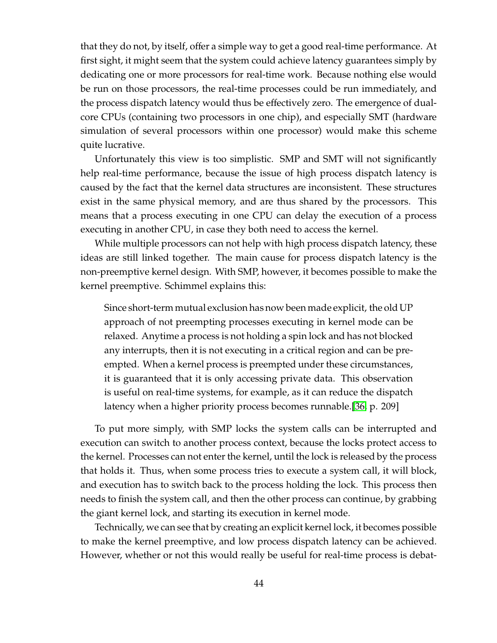that they do not, by itself, offer a simple way to get a good real-time performance. At first sight, it might seem that the system could achieve latency guarantees simply by dedicating one or more processors for real-time work. Because nothing else would be run on those processors, the real-time processes could be run immediately, and the process dispatch latency would thus be effectively zero. The emergence of dualcore CPUs (containing two processors in one chip), and especially SMT (hardware simulation of several processors within one processor) would make this scheme quite lucrative.

Unfortunately this view is too simplistic. SMP and SMT will not significantly help real-time performance, because the issue of high process dispatch latency is caused by the fact that the kernel data structures are inconsistent. These structures exist in the same physical memory, and are thus shared by the processors. This means that a process executing in one CPU can delay the execution of a process executing in another CPU, in case they both need to access the kernel.

While multiple processors can not help with high process dispatch latency, these ideas are still linked together. The main cause for process dispatch latency is the non-preemptive kernel design. With SMP, however, it becomes possible to make the kernel preemptive. Schimmel explains this:

Since short-term mutual exclusion has now been made explicit, the old UP approach of not preempting processes executing in kernel mode can be relaxed. Anytime a process is not holding a spin lock and has not blocked any interrupts, then it is not executing in a critical region and can be preempted. When a kernel process is preempted under these circumstances, it is guaranteed that it is only accessing private data. This observation is useful on real-time systems, for example, as it can reduce the dispatch latency when a higher priority process becomes runnable.[\[36,](#page-126-3) p. 209]

To put more simply, with SMP locks the system calls can be interrupted and execution can switch to another process context, because the locks protect access to the kernel. Processes can not enter the kernel, until the lock is released by the process that holds it. Thus, when some process tries to execute a system call, it will block, and execution has to switch back to the process holding the lock. This process then needs to finish the system call, and then the other process can continue, by grabbing the giant kernel lock, and starting its execution in kernel mode.

Technically, we can see that by creating an explicit kernel lock, it becomes possible to make the kernel preemptive, and low process dispatch latency can be achieved. However, whether or not this would really be useful for real-time process is debat-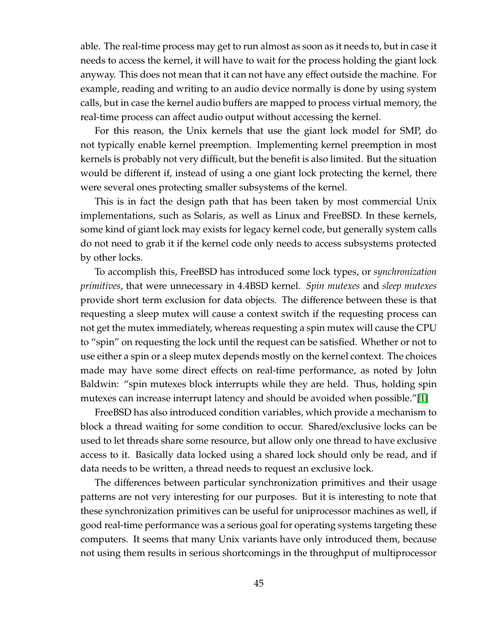able. The real-time process may get to run almost as soon as it needs to, but in case it needs to access the kernel, it will have to wait for the process holding the giant lock anyway. This does not mean that it can not have any effect outside the machine. For example, reading and writing to an audio device normally is done by using system calls, but in case the kernel audio buffers are mapped to process virtual memory, the real-time process can affect audio output without accessing the kernel.

For this reason, the Unix kernels that use the giant lock model for SMP, do not typically enable kernel preemption. Implementing kernel preemption in most kernels is probably not very difficult, but the benefit is also limited. But the situation would be different if, instead of using a one giant lock protecting the kernel, there were several ones protecting smaller subsystems of the kernel.

This is in fact the design path that has been taken by most commercial Unix implementations, such as Solaris, as well as Linux and FreeBSD. In these kernels, some kind of giant lock may exists for legacy kernel code, but generally system calls do not need to grab it if the kernel code only needs to access subsystems protected by other locks.

To accomplish this, FreeBSD has introduced some lock types, or *synchronization primitives*, that were unnecessary in 4.4BSD kernel. *Spin mutexes* and *sleep mutexes* provide short term exclusion for data objects. The difference between these is that requesting a sleep mutex will cause a context switch if the requesting process can not get the mutex immediately, whereas requesting a spin mutex will cause the CPU to "spin" on requesting the lock until the request can be satisfied. Whether or not to use either a spin or a sleep mutex depends mostly on the kernel context. The choices made may have some direct effects on real-time performance, as noted by John Baldwin: "spin mutexes block interrupts while they are held. Thus, holding spin mutexes can increase interrupt latency and should be avoided when possible."[\[1\]](#page-124-2)

FreeBSD has also introduced condition variables, which provide a mechanism to block a thread waiting for some condition to occur. Shared/exclusive locks can be used to let threads share some resource, but allow only one thread to have exclusive access to it. Basically data locked using a shared lock should only be read, and if data needs to be written, a thread needs to request an exclusive lock.

The differences between particular synchronization primitives and their usage patterns are not very interesting for our purposes. But it is interesting to note that these synchronization primitives can be useful for uniprocessor machines as well, if good real-time performance was a serious goal for operating systems targeting these computers. It seems that many Unix variants have only introduced them, because not using them results in serious shortcomings in the throughput of multiprocessor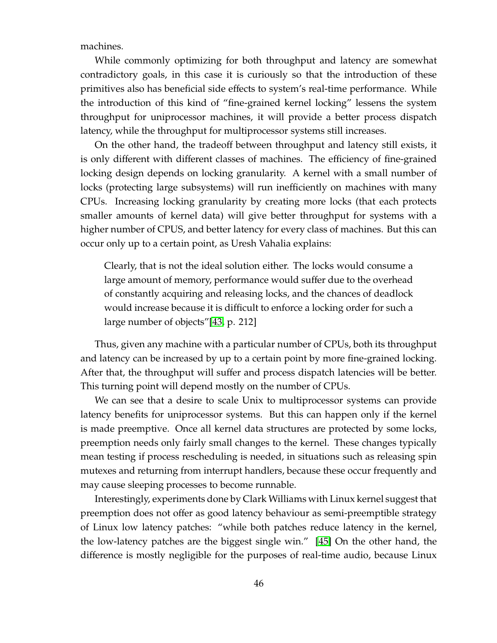machines.

While commonly optimizing for both throughput and latency are somewhat contradictory goals, in this case it is curiously so that the introduction of these primitives also has beneficial side effects to system's real-time performance. While the introduction of this kind of "fine-grained kernel locking" lessens the system throughput for uniprocessor machines, it will provide a better process dispatch latency, while the throughput for multiprocessor systems still increases.

On the other hand, the tradeoff between throughput and latency still exists, it is only different with different classes of machines. The efficiency of fine-grained locking design depends on locking granularity. A kernel with a small number of locks (protecting large subsystems) will run inefficiently on machines with many CPUs. Increasing locking granularity by creating more locks (that each protects smaller amounts of kernel data) will give better throughput for systems with a higher number of CPUS, and better latency for every class of machines. But this can occur only up to a certain point, as Uresh Vahalia explains:

Clearly, that is not the ideal solution either. The locks would consume a large amount of memory, performance would suffer due to the overhead of constantly acquiring and releasing locks, and the chances of deadlock would increase because it is difficult to enforce a locking order for such a large number of objects"[\[43,](#page-127-1) p. 212]

Thus, given any machine with a particular number of CPUs, both its throughput and latency can be increased by up to a certain point by more fine-grained locking. After that, the throughput will suffer and process dispatch latencies will be better. This turning point will depend mostly on the number of CPUs.

We can see that a desire to scale Unix to multiprocessor systems can provide latency benefits for uniprocessor systems. But this can happen only if the kernel is made preemptive. Once all kernel data structures are protected by some locks, preemption needs only fairly small changes to the kernel. These changes typically mean testing if process rescheduling is needed, in situations such as releasing spin mutexes and returning from interrupt handlers, because these occur frequently and may cause sleeping processes to become runnable.

Interestingly, experiments done by Clark Williams with Linux kernel suggest that preemption does not offer as good latency behaviour as semi-preemptible strategy of Linux low latency patches: "while both patches reduce latency in the kernel, the low-latency patches are the biggest single win." [\[45\]](#page-127-2) On the other hand, the difference is mostly negligible for the purposes of real-time audio, because Linux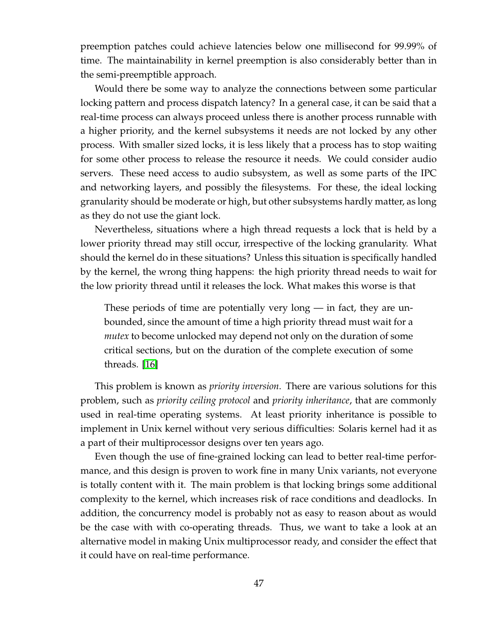preemption patches could achieve latencies below one millisecond for 99.99% of time. The maintainability in kernel preemption is also considerably better than in the semi-preemptible approach.

Would there be some way to analyze the connections between some particular locking pattern and process dispatch latency? In a general case, it can be said that a real-time process can always proceed unless there is another process runnable with a higher priority, and the kernel subsystems it needs are not locked by any other process. With smaller sized locks, it is less likely that a process has to stop waiting for some other process to release the resource it needs. We could consider audio servers. These need access to audio subsystem, as well as some parts of the IPC and networking layers, and possibly the filesystems. For these, the ideal locking granularity should be moderate or high, but other subsystems hardly matter, as long as they do not use the giant lock.

Nevertheless, situations where a high thread requests a lock that is held by a lower priority thread may still occur, irrespective of the locking granularity. What should the kernel do in these situations? Unless this situation is specifically handled by the kernel, the wrong thing happens: the high priority thread needs to wait for the low priority thread until it releases the lock. What makes this worse is that

These periods of time are potentially very long  $-$  in fact, they are unbounded, since the amount of time a high priority thread must wait for a *mutex* to become unlocked may depend not only on the duration of some critical sections, but on the duration of the complete execution of some threads. [\[16\]](#page-125-3)

This problem is known as *priority inversion*. There are various solutions for this problem, such as *priority ceiling protocol* and *priority inheritance*, that are commonly used in real-time operating systems. At least priority inheritance is possible to implement in Unix kernel without very serious difficulties: Solaris kernel had it as a part of their multiprocessor designs over ten years ago.

Even though the use of fine-grained locking can lead to better real-time performance, and this design is proven to work fine in many Unix variants, not everyone is totally content with it. The main problem is that locking brings some additional complexity to the kernel, which increases risk of race conditions and deadlocks. In addition, the concurrency model is probably not as easy to reason about as would be the case with with co-operating threads. Thus, we want to take a look at an alternative model in making Unix multiprocessor ready, and consider the effect that it could have on real-time performance.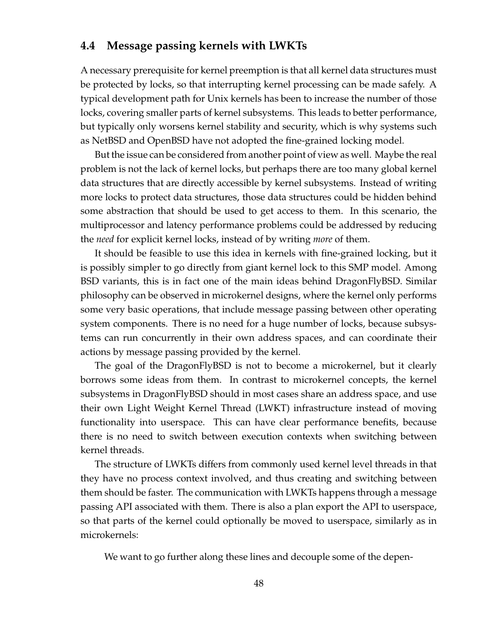## **4.4 Message passing kernels with LWKTs**

A necessary prerequisite for kernel preemption is that all kernel data structures must be protected by locks, so that interrupting kernel processing can be made safely. A typical development path for Unix kernels has been to increase the number of those locks, covering smaller parts of kernel subsystems. This leads to better performance, but typically only worsens kernel stability and security, which is why systems such as NetBSD and OpenBSD have not adopted the fine-grained locking model.

But the issue can be considered from another point of view as well. Maybe the real problem is not the lack of kernel locks, but perhaps there are too many global kernel data structures that are directly accessible by kernel subsystems. Instead of writing more locks to protect data structures, those data structures could be hidden behind some abstraction that should be used to get access to them. In this scenario, the multiprocessor and latency performance problems could be addressed by reducing the *need* for explicit kernel locks, instead of by writing *more* of them.

It should be feasible to use this idea in kernels with fine-grained locking, but it is possibly simpler to go directly from giant kernel lock to this SMP model. Among BSD variants, this is in fact one of the main ideas behind DragonFlyBSD. Similar philosophy can be observed in microkernel designs, where the kernel only performs some very basic operations, that include message passing between other operating system components. There is no need for a huge number of locks, because subsystems can run concurrently in their own address spaces, and can coordinate their actions by message passing provided by the kernel.

The goal of the DragonFlyBSD is not to become a microkernel, but it clearly borrows some ideas from them. In contrast to microkernel concepts, the kernel subsystems in DragonFlyBSD should in most cases share an address space, and use their own Light Weight Kernel Thread (LWKT) infrastructure instead of moving functionality into userspace. This can have clear performance benefits, because there is no need to switch between execution contexts when switching between kernel threads.

The structure of LWKTs differs from commonly used kernel level threads in that they have no process context involved, and thus creating and switching between them should be faster. The communication with LWKTs happens through a message passing API associated with them. There is also a plan export the API to userspace, so that parts of the kernel could optionally be moved to userspace, similarly as in microkernels:

We want to go further along these lines and decouple some of the depen-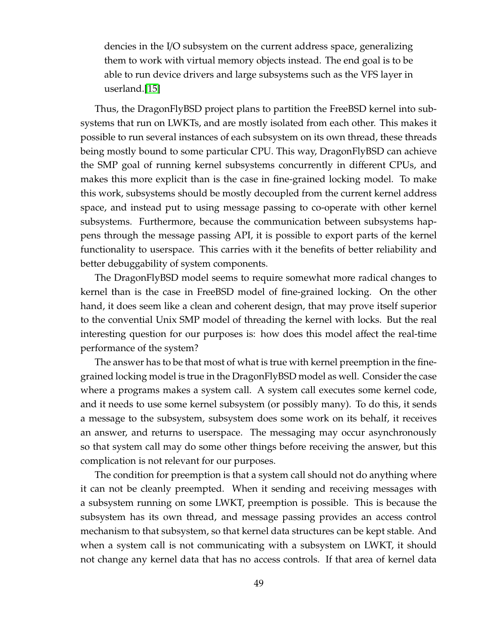dencies in the I/O subsystem on the current address space, generalizing them to work with virtual memory objects instead. The end goal is to be able to run device drivers and large subsystems such as the VFS layer in userland.[\[15\]](#page-125-4)

Thus, the DragonFlyBSD project plans to partition the FreeBSD kernel into subsystems that run on LWKTs, and are mostly isolated from each other. This makes it possible to run several instances of each subsystem on its own thread, these threads being mostly bound to some particular CPU. This way, DragonFlyBSD can achieve the SMP goal of running kernel subsystems concurrently in different CPUs, and makes this more explicit than is the case in fine-grained locking model. To make this work, subsystems should be mostly decoupled from the current kernel address space, and instead put to using message passing to co-operate with other kernel subsystems. Furthermore, because the communication between subsystems happens through the message passing API, it is possible to export parts of the kernel functionality to userspace. This carries with it the benefits of better reliability and better debuggability of system components.

The DragonFlyBSD model seems to require somewhat more radical changes to kernel than is the case in FreeBSD model of fine-grained locking. On the other hand, it does seem like a clean and coherent design, that may prove itself superior to the convential Unix SMP model of threading the kernel with locks. But the real interesting question for our purposes is: how does this model affect the real-time performance of the system?

The answer has to be that most of what is true with kernel preemption in the finegrained locking model is true in the DragonFlyBSD model as well. Consider the case where a programs makes a system call. A system call executes some kernel code, and it needs to use some kernel subsystem (or possibly many). To do this, it sends a message to the subsystem, subsystem does some work on its behalf, it receives an answer, and returns to userspace. The messaging may occur asynchronously so that system call may do some other things before receiving the answer, but this complication is not relevant for our purposes.

The condition for preemption is that a system call should not do anything where it can not be cleanly preempted. When it sending and receiving messages with a subsystem running on some LWKT, preemption is possible. This is because the subsystem has its own thread, and message passing provides an access control mechanism to that subsystem, so that kernel data structures can be kept stable. And when a system call is not communicating with a subsystem on LWKT, it should not change any kernel data that has no access controls. If that area of kernel data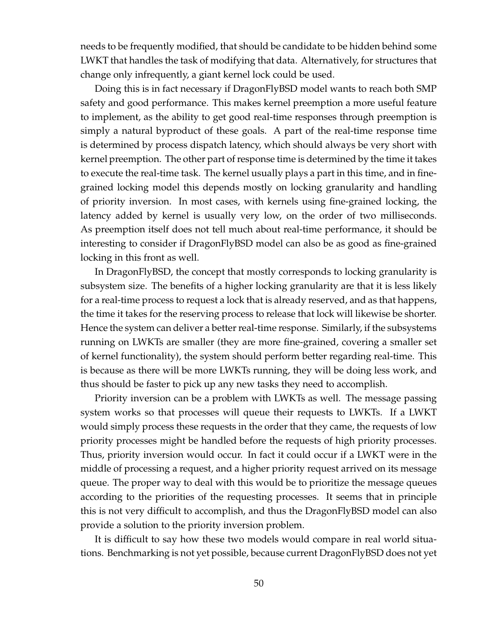needs to be frequently modified, that should be candidate to be hidden behind some LWKT that handles the task of modifying that data. Alternatively, for structures that change only infrequently, a giant kernel lock could be used.

Doing this is in fact necessary if DragonFlyBSD model wants to reach both SMP safety and good performance. This makes kernel preemption a more useful feature to implement, as the ability to get good real-time responses through preemption is simply a natural byproduct of these goals. A part of the real-time response time is determined by process dispatch latency, which should always be very short with kernel preemption. The other part of response time is determined by the time it takes to execute the real-time task. The kernel usually plays a part in this time, and in finegrained locking model this depends mostly on locking granularity and handling of priority inversion. In most cases, with kernels using fine-grained locking, the latency added by kernel is usually very low, on the order of two milliseconds. As preemption itself does not tell much about real-time performance, it should be interesting to consider if DragonFlyBSD model can also be as good as fine-grained locking in this front as well.

In DragonFlyBSD, the concept that mostly corresponds to locking granularity is subsystem size. The benefits of a higher locking granularity are that it is less likely for a real-time process to request a lock that is already reserved, and as that happens, the time it takes for the reserving process to release that lock will likewise be shorter. Hence the system can deliver a better real-time response. Similarly, if the subsystems running on LWKTs are smaller (they are more fine-grained, covering a smaller set of kernel functionality), the system should perform better regarding real-time. This is because as there will be more LWKTs running, they will be doing less work, and thus should be faster to pick up any new tasks they need to accomplish.

Priority inversion can be a problem with LWKTs as well. The message passing system works so that processes will queue their requests to LWKTs. If a LWKT would simply process these requests in the order that they came, the requests of low priority processes might be handled before the requests of high priority processes. Thus, priority inversion would occur. In fact it could occur if a LWKT were in the middle of processing a request, and a higher priority request arrived on its message queue. The proper way to deal with this would be to prioritize the message queues according to the priorities of the requesting processes. It seems that in principle this is not very difficult to accomplish, and thus the DragonFlyBSD model can also provide a solution to the priority inversion problem.

It is difficult to say how these two models would compare in real world situations. Benchmarking is not yet possible, because current DragonFlyBSD does not yet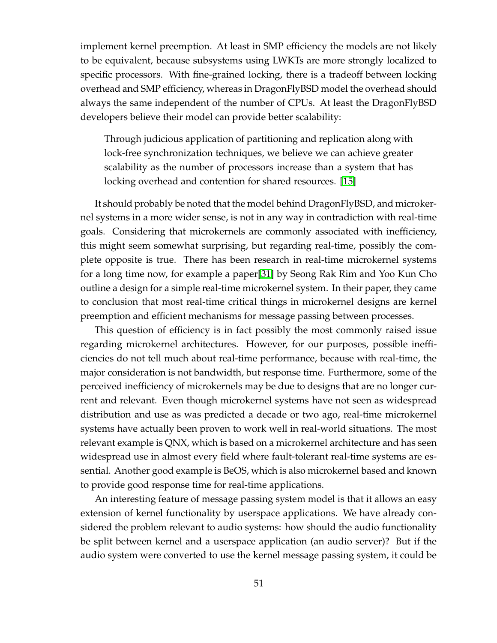implement kernel preemption. At least in SMP efficiency the models are not likely to be equivalent, because subsystems using LWKTs are more strongly localized to specific processors. With fine-grained locking, there is a tradeoff between locking overhead and SMP efficiency, whereas in DragonFlyBSD model the overhead should always the same independent of the number of CPUs. At least the DragonFlyBSD developers believe their model can provide better scalability:

Through judicious application of partitioning and replication along with lock-free synchronization techniques, we believe we can achieve greater scalability as the number of processors increase than a system that has locking overhead and contention for shared resources. [\[15\]](#page-125-4)

It should probably be noted that the model behind DragonFlyBSD, and microkernel systems in a more wider sense, is not in any way in contradiction with real-time goals. Considering that microkernels are commonly associated with inefficiency, this might seem somewhat surprising, but regarding real-time, possibly the complete opposite is true. There has been research in real-time microkernel systems for a long time now, for example a paper[\[31\]](#page-126-4) by Seong Rak Rim and Yoo Kun Cho outline a design for a simple real-time microkernel system. In their paper, they came to conclusion that most real-time critical things in microkernel designs are kernel preemption and efficient mechanisms for message passing between processes.

This question of efficiency is in fact possibly the most commonly raised issue regarding microkernel architectures. However, for our purposes, possible inefficiencies do not tell much about real-time performance, because with real-time, the major consideration is not bandwidth, but response time. Furthermore, some of the perceived inefficiency of microkernels may be due to designs that are no longer current and relevant. Even though microkernel systems have not seen as widespread distribution and use as was predicted a decade or two ago, real-time microkernel systems have actually been proven to work well in real-world situations. The most relevant example is QNX, which is based on a microkernel architecture and has seen widespread use in almost every field where fault-tolerant real-time systems are essential. Another good example is BeOS, which is also microkernel based and known to provide good response time for real-time applications.

An interesting feature of message passing system model is that it allows an easy extension of kernel functionality by userspace applications. We have already considered the problem relevant to audio systems: how should the audio functionality be split between kernel and a userspace application (an audio server)? But if the audio system were converted to use the kernel message passing system, it could be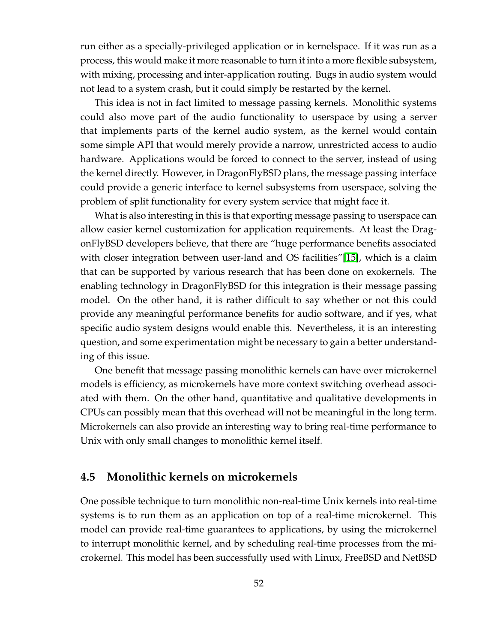run either as a specially-privileged application or in kernelspace. If it was run as a process, this would make it more reasonable to turn it into a more flexible subsystem, with mixing, processing and inter-application routing. Bugs in audio system would not lead to a system crash, but it could simply be restarted by the kernel.

This idea is not in fact limited to message passing kernels. Monolithic systems could also move part of the audio functionality to userspace by using a server that implements parts of the kernel audio system, as the kernel would contain some simple API that would merely provide a narrow, unrestricted access to audio hardware. Applications would be forced to connect to the server, instead of using the kernel directly. However, in DragonFlyBSD plans, the message passing interface could provide a generic interface to kernel subsystems from userspace, solving the problem of split functionality for every system service that might face it.

What is also interesting in this is that exporting message passing to userspace can allow easier kernel customization for application requirements. At least the DragonFlyBSD developers believe, that there are "huge performance benefits associated with closer integration between user-land and OS facilities"[\[15\]](#page-125-4), which is a claim that can be supported by various research that has been done on exokernels. The enabling technology in DragonFlyBSD for this integration is their message passing model. On the other hand, it is rather difficult to say whether or not this could provide any meaningful performance benefits for audio software, and if yes, what specific audio system designs would enable this. Nevertheless, it is an interesting question, and some experimentation might be necessary to gain a better understanding of this issue.

One benefit that message passing monolithic kernels can have over microkernel models is efficiency, as microkernels have more context switching overhead associated with them. On the other hand, quantitative and qualitative developments in CPUs can possibly mean that this overhead will not be meaningful in the long term. Microkernels can also provide an interesting way to bring real-time performance to Unix with only small changes to monolithic kernel itself.

## **4.5 Monolithic kernels on microkernels**

One possible technique to turn monolithic non-real-time Unix kernels into real-time systems is to run them as an application on top of a real-time microkernel. This model can provide real-time guarantees to applications, by using the microkernel to interrupt monolithic kernel, and by scheduling real-time processes from the microkernel. This model has been successfully used with Linux, FreeBSD and NetBSD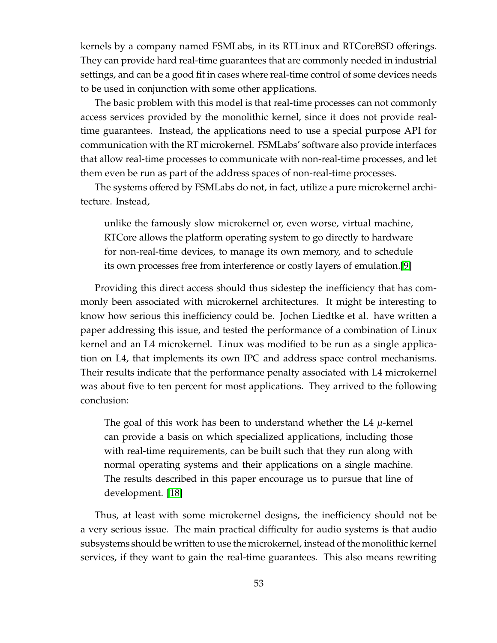kernels by a company named FSMLabs, in its RTLinux and RTCoreBSD offerings. They can provide hard real-time guarantees that are commonly needed in industrial settings, and can be a good fit in cases where real-time control of some devices needs to be used in conjunction with some other applications.

The basic problem with this model is that real-time processes can not commonly access services provided by the monolithic kernel, since it does not provide realtime guarantees. Instead, the applications need to use a special purpose API for communication with the RT microkernel. FSMLabs' software also provide interfaces that allow real-time processes to communicate with non-real-time processes, and let them even be run as part of the address spaces of non-real-time processes.

The systems offered by FSMLabs do not, in fact, utilize a pure microkernel architecture. Instead,

unlike the famously slow microkernel or, even worse, virtual machine, RTCore allows the platform operating system to go directly to hardware for non-real-time devices, to manage its own memory, and to schedule its own processes free from interference or costly layers of emulation.[\[9\]](#page-124-3)

Providing this direct access should thus sidestep the inefficiency that has commonly been associated with microkernel architectures. It might be interesting to know how serious this inefficiency could be. Jochen Liedtke et al. have written a paper addressing this issue, and tested the performance of a combination of Linux kernel and an L4 microkernel. Linux was modified to be run as a single application on L4, that implements its own IPC and address space control mechanisms. Their results indicate that the performance penalty associated with L4 microkernel was about five to ten percent for most applications. They arrived to the following conclusion:

The goal of this work has been to understand whether the L4  $\mu$ -kernel can provide a basis on which specialized applications, including those with real-time requirements, can be built such that they run along with normal operating systems and their applications on a single machine. The results described in this paper encourage us to pursue that line of development. [\[18\]](#page-125-5)

Thus, at least with some microkernel designs, the inefficiency should not be a very serious issue. The main practical difficulty for audio systems is that audio subsystems should be written to use the microkernel, instead of the monolithic kernel services, if they want to gain the real-time guarantees. This also means rewriting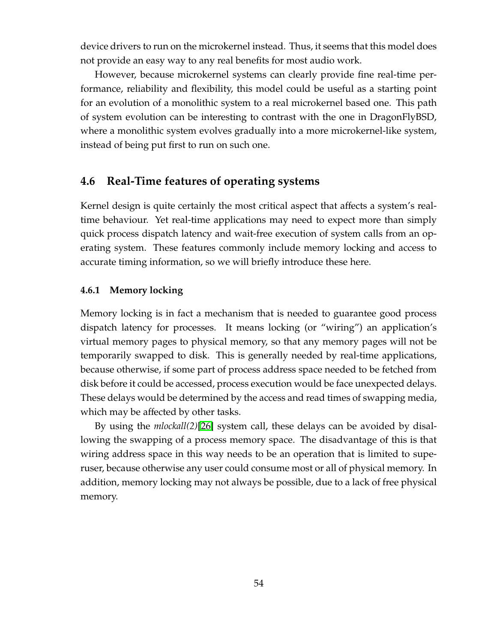device drivers to run on the microkernel instead. Thus, it seems that this model does not provide an easy way to any real benefits for most audio work.

However, because microkernel systems can clearly provide fine real-time performance, reliability and flexibility, this model could be useful as a starting point for an evolution of a monolithic system to a real microkernel based one. This path of system evolution can be interesting to contrast with the one in DragonFlyBSD, where a monolithic system evolves gradually into a more microkernel-like system, instead of being put first to run on such one.

# **4.6 Real-Time features of operating systems**

Kernel design is quite certainly the most critical aspect that affects a system's realtime behaviour. Yet real-time applications may need to expect more than simply quick process dispatch latency and wait-free execution of system calls from an operating system. These features commonly include memory locking and access to accurate timing information, so we will briefly introduce these here.

### **4.6.1 Memory locking**

Memory locking is in fact a mechanism that is needed to guarantee good process dispatch latency for processes. It means locking (or "wiring") an application's virtual memory pages to physical memory, so that any memory pages will not be temporarily swapped to disk. This is generally needed by real-time applications, because otherwise, if some part of process address space needed to be fetched from disk before it could be accessed, process execution would be face unexpected delays. These delays would be determined by the access and read times of swapping media, which may be affected by other tasks.

By using the *mlockall(2)*[\[26\]](#page-126-0) system call, these delays can be avoided by disallowing the swapping of a process memory space. The disadvantage of this is that wiring address space in this way needs to be an operation that is limited to superuser, because otherwise any user could consume most or all of physical memory. In addition, memory locking may not always be possible, due to a lack of free physical memory.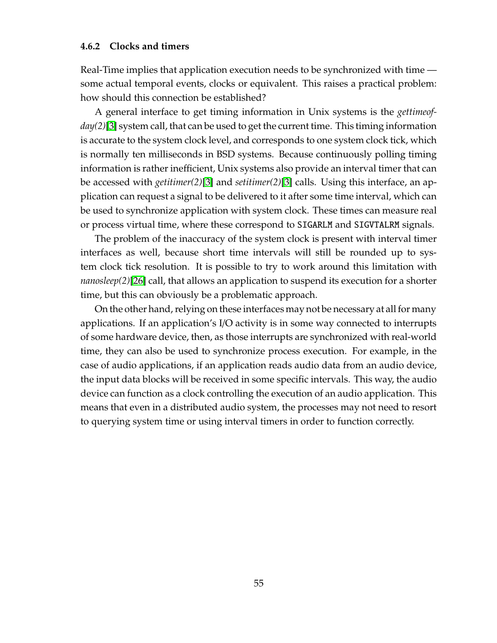### **4.6.2 Clocks and timers**

Real-Time implies that application execution needs to be synchronized with time some actual temporal events, clocks or equivalent. This raises a practical problem: how should this connection be established?

A general interface to get timing information in Unix systems is the *gettimeofday(2)*[\[3\]](#page-124-4) system call, that can be used to get the current time. This timing information is accurate to the system clock level, and corresponds to one system clock tick, which is normally ten milliseconds in BSD systems. Because continuously polling timing information is rather inefficient, Unix systems also provide an interval timer that can be accessed with *getitimer(2)*[\[3\]](#page-124-4) and *setitimer(2)*[\[3\]](#page-124-4) calls. Using this interface, an application can request a signal to be delivered to it after some time interval, which can be used to synchronize application with system clock. These times can measure real or process virtual time, where these correspond to SIGARLM and SIGVTALRM signals.

The problem of the inaccuracy of the system clock is present with interval timer interfaces as well, because short time intervals will still be rounded up to system clock tick resolution. It is possible to try to work around this limitation with *nanosleep(2)*[\[26\]](#page-126-0) call, that allows an application to suspend its execution for a shorter time, but this can obviously be a problematic approach.

On the other hand, relying on these interfaces may not be necessary at all for many applications. If an application's I/O activity is in some way connected to interrupts of some hardware device, then, as those interrupts are synchronized with real-world time, they can also be used to synchronize process execution. For example, in the case of audio applications, if an application reads audio data from an audio device, the input data blocks will be received in some specific intervals. This way, the audio device can function as a clock controlling the execution of an audio application. This means that even in a distributed audio system, the processes may not need to resort to querying system time or using interval timers in order to function correctly.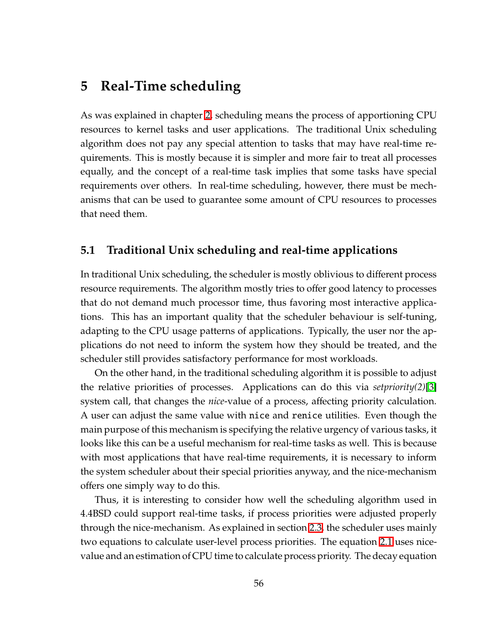# **5 Real-Time scheduling**

As was explained in chapter [2,](#page-138-0) scheduling means the process of apportioning CPU resources to kernel tasks and user applications. The traditional Unix scheduling algorithm does not pay any special attention to tasks that may have real-time requirements. This is mostly because it is simpler and more fair to treat all processes equally, and the concept of a real-time task implies that some tasks have special requirements over others. In real-time scheduling, however, there must be mechanisms that can be used to guarantee some amount of CPU resources to processes that need them.

# **5.1 Traditional Unix scheduling and real-time applications**

In traditional Unix scheduling, the scheduler is mostly oblivious to different process resource requirements. The algorithm mostly tries to offer good latency to processes that do not demand much processor time, thus favoring most interactive applications. This has an important quality that the scheduler behaviour is self-tuning, adapting to the CPU usage patterns of applications. Typically, the user nor the applications do not need to inform the system how they should be treated, and the scheduler still provides satisfactory performance for most workloads.

On the other hand, in the traditional scheduling algorithm it is possible to adjust the relative priorities of processes. Applications can do this via *setpriority(2)*[\[3\]](#page-124-4) system call, that changes the *nice*-value of a process, affecting priority calculation. A user can adjust the same value with nice and renice utilities. Even though the main purpose of this mechanism is specifying the relative urgency of various tasks, it looks like this can be a useful mechanism for real-time tasks as well. This is because with most applications that have real-time requirements, it is necessary to inform the system scheduler about their special priorities anyway, and the nice-mechanism offers one simply way to do this.

Thus, it is interesting to consider how well the scheduling algorithm used in 4.4BSD could support real-time tasks, if process priorities were adjusted properly through the nice-mechanism. As explained in section [2.3,](#page-19-0) the scheduler uses mainly two equations to calculate user-level process priorities. The equation [2.1](#page-19-1) uses nicevalue and an estimation of CPU time to calculate process priority. The decay equation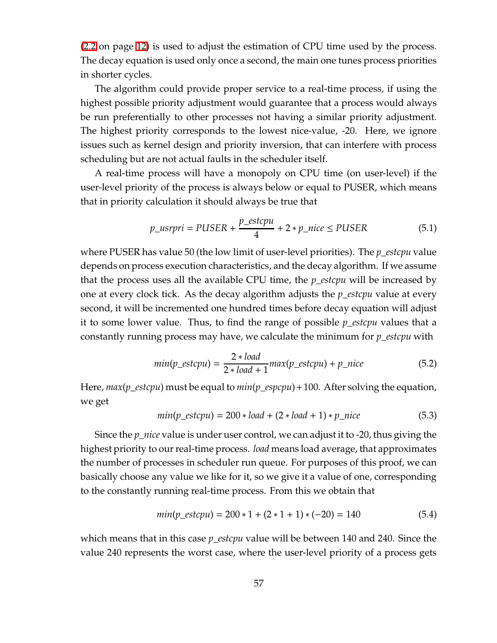[\(2.2](#page-20-0) on page [12\)](#page-20-0) is used to adjust the estimation of CPU time used by the process. The decay equation is used only once a second, the main one tunes process priorities in shorter cycles.

The algorithm could provide proper service to a real-time process, if using the highest possible priority adjustment would guarantee that a process would always be run preferentially to other processes not having a similar priority adjustment. The highest priority corresponds to the lowest nice-value, -20. Here, we ignore issues such as kernel design and priority inversion, that can interfere with process scheduling but are not actual faults in the scheduler itself.

A real-time process will have a monopoly on CPU time (on user-level) if the user-level priority of the process is always below or equal to PUSER, which means that in priority calculation it should always be true that

$$
p\_usrpri = PUSER + \frac{p\_estcpu}{4} + 2 * p\_nice \le PUSER
$$
 (5.1)

where PUSER has value 50 (the low limit of user-level priorities). The *p*\_*estcpu* value depends on process execution characteristics, and the decay algorithm. If we assume that the process uses all the available CPU time, the *p*\_*estcpu* will be increased by one at every clock tick. As the decay algorithm adjusts the *p*\_*estcpu* value at every second, it will be incremented one hundred times before decay equation will adjust it to some lower value. Thus, to find the range of possible *p*\_*estcpu* values that a constantly running process may have, we calculate the minimum for *p*\_*estcpu* with

$$
min(p\_estcpu) = \frac{2 * load}{2 * load + 1} max(p\_estcpu) + p\_nice
$$
\n(5.2)

Here, *max*(*p*\_*estcpu*) must be equal to *min*(*p*\_*espcpu*)+100. After solving the equation, we get

$$
min(p\_estcpu) = 200 * load + (2 * load + 1) * p\_nice
$$
 (5.3)

Since the *p*\_*nice* value is under user control, we can adjust it to -20, thus giving the highest priority to our real-time process. *load* means load average, that approximates the number of processes in scheduler run queue. For purposes of this proof, we can basically choose any value we like for it, so we give it a value of one, corresponding to the constantly running real-time process. From this we obtain that

$$
min(p\_estcpu) = 200 * 1 + (2 * 1 + 1) * (-20) = 140
$$
\n(5.4)

which means that in this case *p*\_*estcpu* value will be between 140 and 240. Since the value 240 represents the worst case, where the user-level priority of a process gets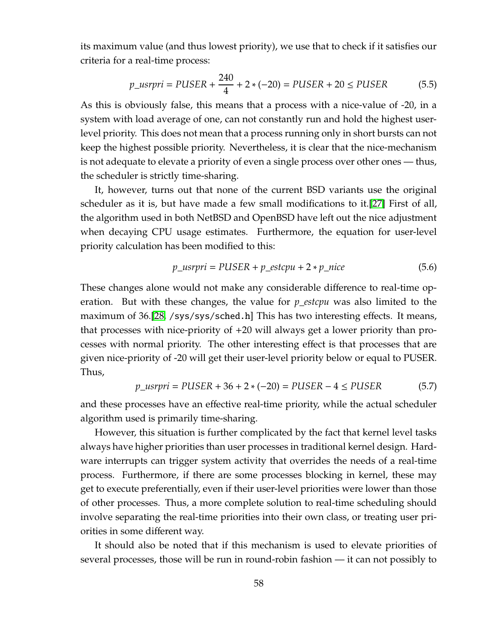its maximum value (and thus lowest priority), we use that to check if it satisfies our criteria for a real-time process:

$$
p_{\perp} \text{usrpri} = \text{PUSER} + \frac{240}{4} + 2 \cdot (-20) = \text{PUSER} + 20 \le \text{PUSER} \tag{5.5}
$$

As this is obviously false, this means that a process with a nice-value of -20, in a system with load average of one, can not constantly run and hold the highest userlevel priority. This does not mean that a process running only in short bursts can not keep the highest possible priority. Nevertheless, it is clear that the nice-mechanism is not adequate to elevate a priority of even a single process over other ones — thus, the scheduler is strictly time-sharing.

It, however, turns out that none of the current BSD variants use the original scheduler as it is, but have made a few small modifications to it.[\[27\]](#page-126-5) First of all, the algorithm used in both NetBSD and OpenBSD have left out the nice adjustment when decaying CPU usage estimates. Furthermore, the equation for user-level priority calculation has been modified to this:

$$
p_{\text{u}} \cdot \text{u} = \text{PUSER} + p_{\text{u}} \cdot \text{u} + 2 \cdot p_{\text{u}} \cdot \text{u} \cdot \text{u} \tag{5.6}
$$

These changes alone would not make any considerable difference to real-time operation. But with these changes, the value for *p*\_*estcpu* was also limited to the maximum of 36.[\[28,](#page-126-6) /sys/sys/sched.h] This has two interesting effects. It means, that processes with nice-priority of +20 will always get a lower priority than processes with normal priority. The other interesting effect is that processes that are given nice-priority of -20 will get their user-level priority below or equal to PUSER. Thus,

$$
p_{\perp} \text{usrpri} = \text{PUSER} + 36 + 2 \cdot (-20) = \text{PUSER} - 4 \le \text{PUSER} \tag{5.7}
$$

and these processes have an effective real-time priority, while the actual scheduler algorithm used is primarily time-sharing.

However, this situation is further complicated by the fact that kernel level tasks always have higher priorities than user processes in traditional kernel design. Hardware interrupts can trigger system activity that overrides the needs of a real-time process. Furthermore, if there are some processes blocking in kernel, these may get to execute preferentially, even if their user-level priorities were lower than those of other processes. Thus, a more complete solution to real-time scheduling should involve separating the real-time priorities into their own class, or treating user priorities in some different way.

It should also be noted that if this mechanism is used to elevate priorities of several processes, those will be run in round-robin fashion — it can not possibly to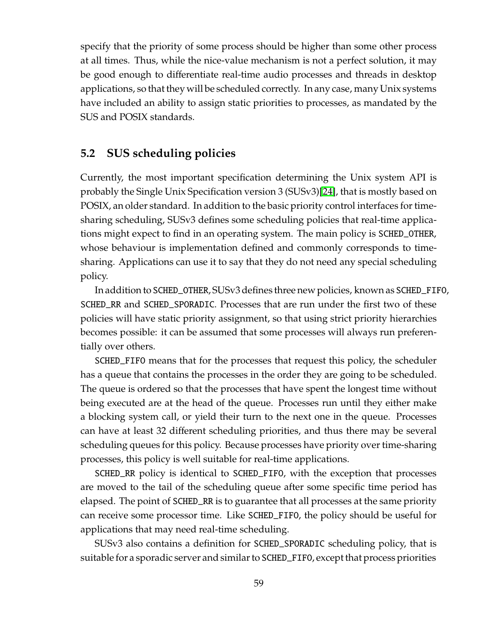specify that the priority of some process should be higher than some other process at all times. Thus, while the nice-value mechanism is not a perfect solution, it may be good enough to differentiate real-time audio processes and threads in desktop applications, so that they will be scheduled correctly. In any case, many Unix systems have included an ability to assign static priorities to processes, as mandated by the SUS and POSIX standards.

# **5.2 SUS scheduling policies**

Currently, the most important specification determining the Unix system API is probably the Single Unix Specification version 3 (SUSv3)[\[24\]](#page-125-6), that is mostly based on POSIX, an older standard. In addition to the basic priority control interfaces for timesharing scheduling, SUSv3 defines some scheduling policies that real-time applications might expect to find in an operating system. The main policy is SCHED\_OTHER, whose behaviour is implementation defined and commonly corresponds to timesharing. Applications can use it to say that they do not need any special scheduling policy.

In addition to SCHED\_OTHER, SUSv3defines three new policies, known as SCHED\_FIFO, SCHED\_RR and SCHED\_SPORADIC. Processes that are run under the first two of these policies will have static priority assignment, so that using strict priority hierarchies becomes possible: it can be assumed that some processes will always run preferentially over others.

SCHED\_FIFO means that for the processes that request this policy, the scheduler has a queue that contains the processes in the order they are going to be scheduled. The queue is ordered so that the processes that have spent the longest time without being executed are at the head of the queue. Processes run until they either make a blocking system call, or yield their turn to the next one in the queue. Processes can have at least 32 different scheduling priorities, and thus there may be several scheduling queues for this policy. Because processes have priority over time-sharing processes, this policy is well suitable for real-time applications.

SCHED\_RR policy is identical to SCHED\_FIFO, with the exception that processes are moved to the tail of the scheduling queue after some specific time period has elapsed. The point of SCHED\_RR is to guarantee that all processes at the same priority can receive some processor time. Like SCHED\_FIFO, the policy should be useful for applications that may need real-time scheduling.

SUSv3 also contains a definition for SCHED\_SPORADIC scheduling policy, that is suitable for a sporadic server and similar to SCHED\_FIFO, except that process priorities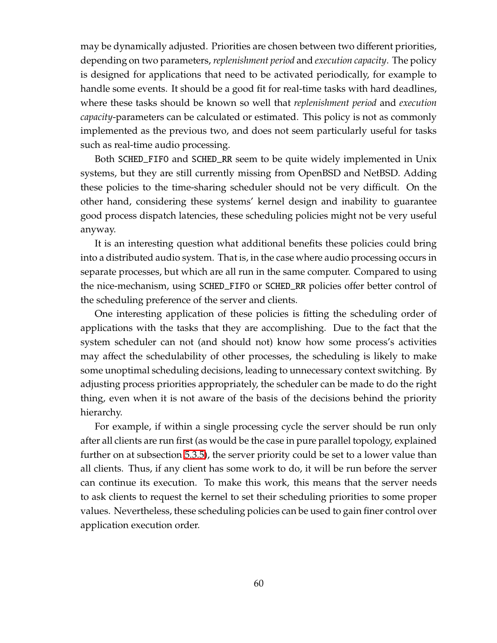may be dynamically adjusted. Priorities are chosen between two different priorities, depending on two parameters, *replenishment period* and *execution capacity*. The policy is designed for applications that need to be activated periodically, for example to handle some events. It should be a good fit for real-time tasks with hard deadlines, where these tasks should be known so well that *replenishment period* and *execution capacity*-parameters can be calculated or estimated. This policy is not as commonly implemented as the previous two, and does not seem particularly useful for tasks such as real-time audio processing.

Both SCHED\_FIFO and SCHED\_RR seem to be quite widely implemented in Unix systems, but they are still currently missing from OpenBSD and NetBSD. Adding these policies to the time-sharing scheduler should not be very difficult. On the other hand, considering these systems' kernel design and inability to guarantee good process dispatch latencies, these scheduling policies might not be very useful anyway.

It is an interesting question what additional benefits these policies could bring into a distributed audio system. That is, in the case where audio processing occurs in separate processes, but which are all run in the same computer. Compared to using the nice-mechanism, using SCHED\_FIFO or SCHED\_RR policies offer better control of the scheduling preference of the server and clients.

One interesting application of these policies is fitting the scheduling order of applications with the tasks that they are accomplishing. Due to the fact that the system scheduler can not (and should not) know how some process's activities may affect the schedulability of other processes, the scheduling is likely to make some unoptimal scheduling decisions, leading to unnecessary context switching. By adjusting process priorities appropriately, the scheduler can be made to do the right thing, even when it is not aware of the basis of the decisions behind the priority hierarchy.

For example, if within a single processing cycle the server should be run only after all clients are run first (as would be the case in pure parallel topology, explained further on at subsection [5.3.5\)](#page-73-0), the server priority could be set to a lower value than all clients. Thus, if any client has some work to do, it will be run before the server can continue its execution. To make this work, this means that the server needs to ask clients to request the kernel to set their scheduling priorities to some proper values. Nevertheless, these scheduling policies can be used to gain finer control over application execution order.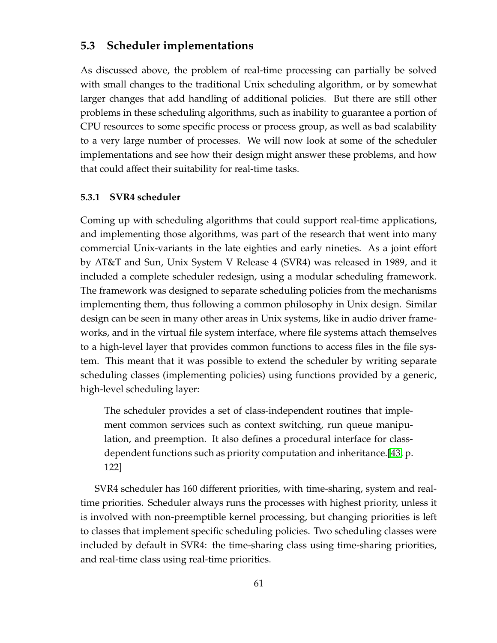# **5.3 Scheduler implementations**

As discussed above, the problem of real-time processing can partially be solved with small changes to the traditional Unix scheduling algorithm, or by somewhat larger changes that add handling of additional policies. But there are still other problems in these scheduling algorithms, such as inability to guarantee a portion of CPU resources to some specific process or process group, as well as bad scalability to a very large number of processes. We will now look at some of the scheduler implementations and see how their design might answer these problems, and how that could affect their suitability for real-time tasks.

### **5.3.1 SVR4 scheduler**

Coming up with scheduling algorithms that could support real-time applications, and implementing those algorithms, was part of the research that went into many commercial Unix-variants in the late eighties and early nineties. As a joint effort by AT&T and Sun, Unix System V Release 4 (SVR4) was released in 1989, and it included a complete scheduler redesign, using a modular scheduling framework. The framework was designed to separate scheduling policies from the mechanisms implementing them, thus following a common philosophy in Unix design. Similar design can be seen in many other areas in Unix systems, like in audio driver frameworks, and in the virtual file system interface, where file systems attach themselves to a high-level layer that provides common functions to access files in the file system. This meant that it was possible to extend the scheduler by writing separate scheduling classes (implementing policies) using functions provided by a generic, high-level scheduling layer:

The scheduler provides a set of class-independent routines that implement common services such as context switching, run queue manipulation, and preemption. It also defines a procedural interface for classdependent functions such as priority computation and inheritance.[\[43,](#page-127-1) p. 122]

SVR4 scheduler has 160 different priorities, with time-sharing, system and realtime priorities. Scheduler always runs the processes with highest priority, unless it is involved with non-preemptible kernel processing, but changing priorities is left to classes that implement specific scheduling policies. Two scheduling classes were included by default in SVR4: the time-sharing class using time-sharing priorities, and real-time class using real-time priorities.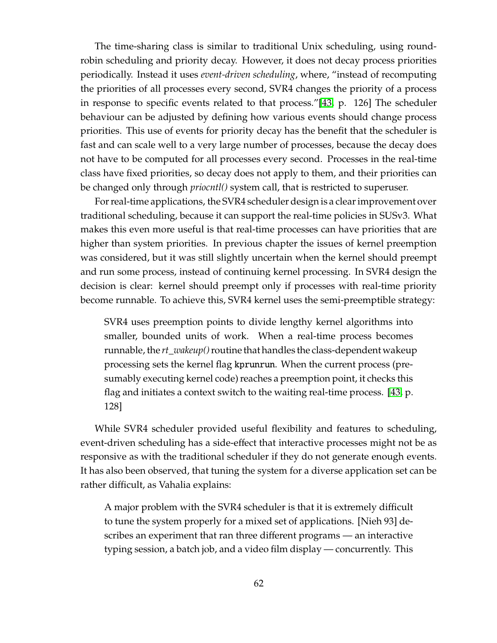The time-sharing class is similar to traditional Unix scheduling, using roundrobin scheduling and priority decay. However, it does not decay process priorities periodically. Instead it uses *event-driven scheduling*, where, "instead of recomputing the priorities of all processes every second, SVR4 changes the priority of a process in response to specific events related to that process."[\[43,](#page-127-1) p. 126] The scheduler behaviour can be adjusted by defining how various events should change process priorities. This use of events for priority decay has the benefit that the scheduler is fast and can scale well to a very large number of processes, because the decay does not have to be computed for all processes every second. Processes in the real-time class have fixed priorities, so decay does not apply to them, and their priorities can be changed only through *priocntl()* system call, that is restricted to superuser.

For real-time applications, the SVR4 scheduler design is a clear improvement over traditional scheduling, because it can support the real-time policies in SUSv3. What makes this even more useful is that real-time processes can have priorities that are higher than system priorities. In previous chapter the issues of kernel preemption was considered, but it was still slightly uncertain when the kernel should preempt and run some process, instead of continuing kernel processing. In SVR4 design the decision is clear: kernel should preempt only if processes with real-time priority become runnable. To achieve this, SVR4 kernel uses the semi-preemptible strategy:

SVR4 uses preemption points to divide lengthy kernel algorithms into smaller, bounded units of work. When a real-time process becomes runnable, the *rt\_wakeup*() routine that handles the class-dependent wakeup processing sets the kernel flag kprunrun. When the current process (presumably executing kernel code) reaches a preemption point, it checks this flag and initiates a context switch to the waiting real-time process. [\[43,](#page-127-1) p. 128]

While SVR4 scheduler provided useful flexibility and features to scheduling, event-driven scheduling has a side-effect that interactive processes might not be as responsive as with the traditional scheduler if they do not generate enough events. It has also been observed, that tuning the system for a diverse application set can be rather difficult, as Vahalia explains:

A major problem with the SVR4 scheduler is that it is extremely difficult to tune the system properly for a mixed set of applications. [Nieh 93] describes an experiment that ran three different programs — an interactive typing session, a batch job, and a video film display — concurrently. This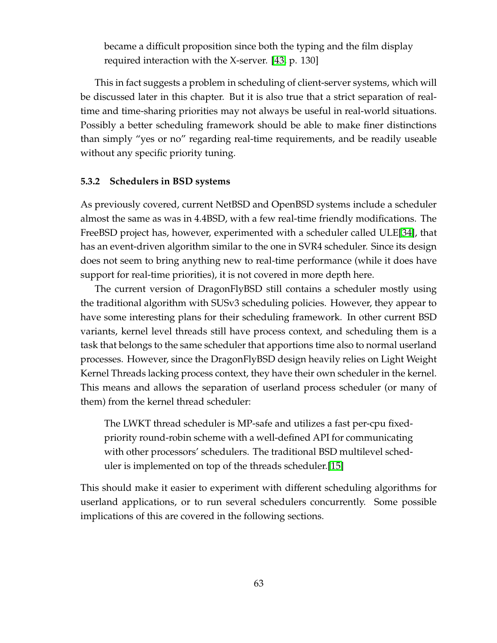became a difficult proposition since both the typing and the film display required interaction with the X-server. [\[43,](#page-127-1) p. 130]

This in fact suggests a problem in scheduling of client-server systems, which will be discussed later in this chapter. But it is also true that a strict separation of realtime and time-sharing priorities may not always be useful in real-world situations. Possibly a better scheduling framework should be able to make finer distinctions than simply "yes or no" regarding real-time requirements, and be readily useable without any specific priority tuning.

### **5.3.2 Schedulers in BSD systems**

As previously covered, current NetBSD and OpenBSD systems include a scheduler almost the same as was in 4.4BSD, with a few real-time friendly modifications. The FreeBSD project has, however, experimented with a scheduler called ULE[\[34\]](#page-126-7), that has an event-driven algorithm similar to the one in SVR4 scheduler. Since its design does not seem to bring anything new to real-time performance (while it does have support for real-time priorities), it is not covered in more depth here.

The current version of DragonFlyBSD still contains a scheduler mostly using the traditional algorithm with SUSv3 scheduling policies. However, they appear to have some interesting plans for their scheduling framework. In other current BSD variants, kernel level threads still have process context, and scheduling them is a task that belongs to the same scheduler that apportions time also to normal userland processes. However, since the DragonFlyBSD design heavily relies on Light Weight Kernel Threads lacking process context, they have their own scheduler in the kernel. This means and allows the separation of userland process scheduler (or many of them) from the kernel thread scheduler:

The LWKT thread scheduler is MP-safe and utilizes a fast per-cpu fixedpriority round-robin scheme with a well-defined API for communicating with other processors' schedulers. The traditional BSD multilevel scheduler is implemented on top of the threads scheduler.[\[15\]](#page-125-4)

This should make it easier to experiment with different scheduling algorithms for userland applications, or to run several schedulers concurrently. Some possible implications of this are covered in the following sections.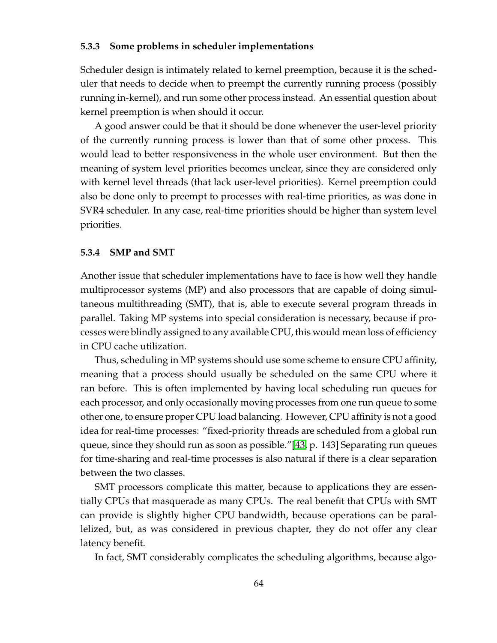### **5.3.3 Some problems in scheduler implementations**

Scheduler design is intimately related to kernel preemption, because it is the scheduler that needs to decide when to preempt the currently running process (possibly running in-kernel), and run some other process instead. An essential question about kernel preemption is when should it occur.

A good answer could be that it should be done whenever the user-level priority of the currently running process is lower than that of some other process. This would lead to better responsiveness in the whole user environment. But then the meaning of system level priorities becomes unclear, since they are considered only with kernel level threads (that lack user-level priorities). Kernel preemption could also be done only to preempt to processes with real-time priorities, as was done in SVR4 scheduler. In any case, real-time priorities should be higher than system level priorities.

#### **5.3.4 SMP and SMT**

Another issue that scheduler implementations have to face is how well they handle multiprocessor systems (MP) and also processors that are capable of doing simultaneous multithreading (SMT), that is, able to execute several program threads in parallel. Taking MP systems into special consideration is necessary, because if processes were blindly assigned to any available CPU, this would mean loss of efficiency in CPU cache utilization.

Thus, scheduling in MP systems should use some scheme to ensure CPU affinity, meaning that a process should usually be scheduled on the same CPU where it ran before. This is often implemented by having local scheduling run queues for each processor, and only occasionally moving processes from one run queue to some other one, to ensure proper CPU load balancing. However, CPU affinity is not a good idea for real-time processes: "fixed-priority threads are scheduled from a global run queue, since they should run as soon as possible."[\[43,](#page-127-0) p. 143] Separating run queues for time-sharing and real-time processes is also natural if there is a clear separation between the two classes.

SMT processors complicate this matter, because to applications they are essentially CPUs that masquerade as many CPUs. The real benefit that CPUs with SMT can provide is slightly higher CPU bandwidth, because operations can be parallelized, but, as was considered in previous chapter, they do not offer any clear latency benefit.

In fact, SMT considerably complicates the scheduling algorithms, because algo-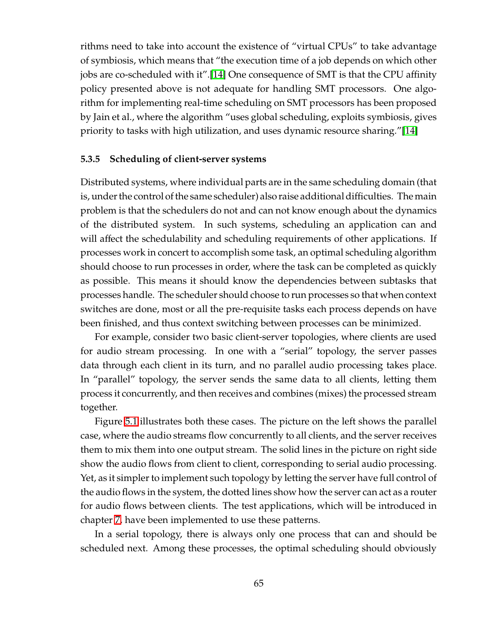rithms need to take into account the existence of "virtual CPUs" to take advantage of symbiosis, which means that "the execution time of a job depends on which other jobs are co-scheduled with it".[\[14\]](#page-125-0) One consequence of SMT is that the CPU affinity policy presented above is not adequate for handling SMT processors. One algorithm for implementing real-time scheduling on SMT processors has been proposed by Jain et al., where the algorithm "uses global scheduling, exploits symbiosis, gives priority to tasks with high utilization, and uses dynamic resource sharing."[\[14\]](#page-125-0)

#### **5.3.5 Scheduling of client-server systems**

Distributed systems, where individual parts are in the same scheduling domain (that is, under the control of the same scheduler) also raise additional difficulties. The main problem is that the schedulers do not and can not know enough about the dynamics of the distributed system. In such systems, scheduling an application can and will affect the schedulability and scheduling requirements of other applications. If processes work in concert to accomplish some task, an optimal scheduling algorithm should choose to run processes in order, where the task can be completed as quickly as possible. This means it should know the dependencies between subtasks that processes handle. The scheduler should choose to run processes so that when context switches are done, most or all the pre-requisite tasks each process depends on have been finished, and thus context switching between processes can be minimized.

For example, consider two basic client-server topologies, where clients are used for audio stream processing. In one with a "serial" topology, the server passes data through each client in its turn, and no parallel audio processing takes place. In "parallel" topology, the server sends the same data to all clients, letting them process it concurrently, and then receives and combines (mixes) the processed stream together.

Figure [5.1](#page-74-0) illustrates both these cases. The picture on the left shows the parallel case, where the audio streams flow concurrently to all clients, and the server receives them to mix them into one output stream. The solid lines in the picture on right side show the audio flows from client to client, corresponding to serial audio processing. Yet, as it simpler to implement such topology by letting the server have full control of the audio flows in the system, the dotted lines show how the server can act as a router for audio flows between clients. The test applications, which will be introduced in chapter [7,](#page-104-0) have been implemented to use these patterns.

In a serial topology, there is always only one process that can and should be scheduled next. Among these processes, the optimal scheduling should obviously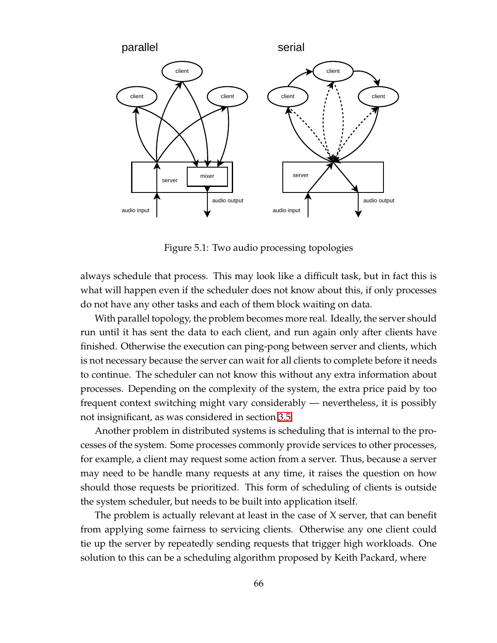

<span id="page-74-0"></span>Figure 5.1: Two audio processing topologies

always schedule that process. This may look like a difficult task, but in fact this is what will happen even if the scheduler does not know about this, if only processes do not have any other tasks and each of them block waiting on data.

With parallel topology, the problem becomes more real. Ideally, the server should run until it has sent the data to each client, and run again only after clients have finished. Otherwise the execution can ping-pong between server and clients, which is not necessary because the server can wait for all clients to complete before it needs to continue. The scheduler can not know this without any extra information about processes. Depending on the complexity of the system, the extra price paid by too frequent context switching might vary considerably — nevertheless, it is possibly not insignificant, as was considered in section [3.5.](#page-33-0)

Another problem in distributed systems is scheduling that is internal to the processes of the system. Some processes commonly provide services to other processes, for example, a client may request some action from a server. Thus, because a server may need to be handle many requests at any time, it raises the question on how should those requests be prioritized. This form of scheduling of clients is outside the system scheduler, but needs to be built into application itself.

The problem is actually relevant at least in the case of X server, that can benefit from applying some fairness to servicing clients. Otherwise any one client could tie up the server by repeatedly sending requests that trigger high workloads. One solution to this can be a scheduling algorithm proposed by Keith Packard, where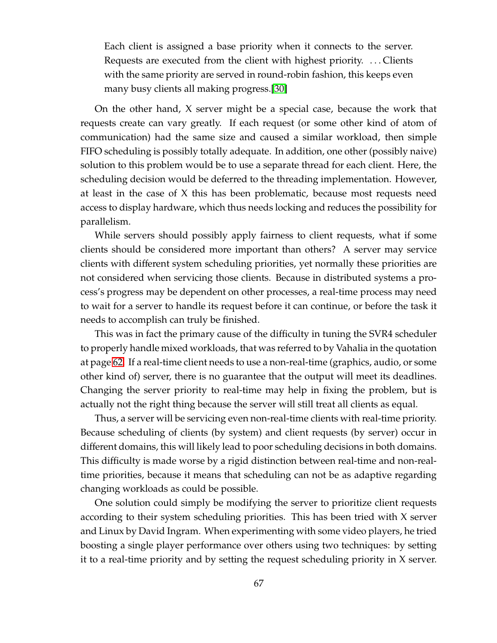Each client is assigned a base priority when it connects to the server. Requests are executed from the client with highest priority. . . . Clients with the same priority are served in round-robin fashion, this keeps even many busy clients all making progress.[\[30\]](#page-126-0)

On the other hand, X server might be a special case, because the work that requests create can vary greatly. If each request (or some other kind of atom of communication) had the same size and caused a similar workload, then simple FIFO scheduling is possibly totally adequate. In addition, one other (possibly naive) solution to this problem would be to use a separate thread for each client. Here, the scheduling decision would be deferred to the threading implementation. However, at least in the case of X this has been problematic, because most requests need access to display hardware, which thus needs locking and reduces the possibility for parallelism.

While servers should possibly apply fairness to client requests, what if some clients should be considered more important than others? A server may service clients with different system scheduling priorities, yet normally these priorities are not considered when servicing those clients. Because in distributed systems a process's progress may be dependent on other processes, a real-time process may need to wait for a server to handle its request before it can continue, or before the task it needs to accomplish can truly be finished.

This was in fact the primary cause of the difficulty in tuning the SVR4 scheduler to properly handle mixed workloads, that was referred to by Vahalia in the quotation at page [62.](#page-69-0) If a real-time client needs to use a non-real-time (graphics, audio, or some other kind of) server, there is no guarantee that the output will meet its deadlines. Changing the server priority to real-time may help in fixing the problem, but is actually not the right thing because the server will still treat all clients as equal.

Thus, a server will be servicing even non-real-time clients with real-time priority. Because scheduling of clients (by system) and client requests (by server) occur in different domains, this will likely lead to poor scheduling decisions in both domains. This difficulty is made worse by a rigid distinction between real-time and non-realtime priorities, because it means that scheduling can not be as adaptive regarding changing workloads as could be possible.

One solution could simply be modifying the server to prioritize client requests according to their system scheduling priorities. This has been tried with X server and Linux by David Ingram. When experimenting with some video players, he tried boosting a single player performance over others using two techniques: by setting it to a real-time priority and by setting the request scheduling priority in X server.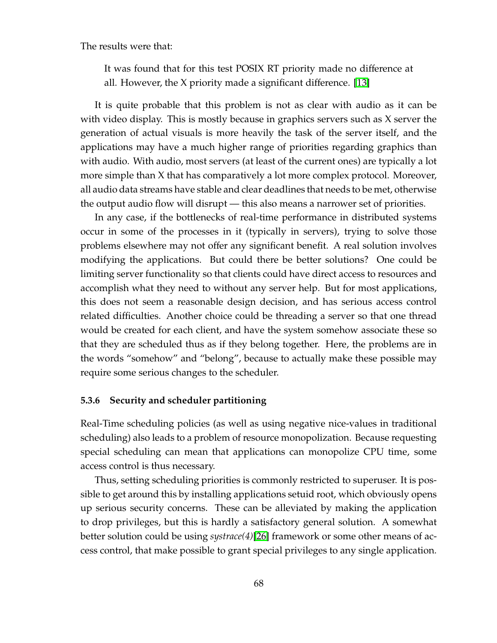The results were that:

It was found that for this test POSIX RT priority made no difference at all. However, the X priority made a significant difference. [\[13\]](#page-125-1)

It is quite probable that this problem is not as clear with audio as it can be with video display. This is mostly because in graphics servers such as X server the generation of actual visuals is more heavily the task of the server itself, and the applications may have a much higher range of priorities regarding graphics than with audio. With audio, most servers (at least of the current ones) are typically a lot more simple than X that has comparatively a lot more complex protocol. Moreover, all audio data streams have stable and clear deadlines that needs to be met, otherwise the output audio flow will disrupt — this also means a narrower set of priorities.

In any case, if the bottlenecks of real-time performance in distributed systems occur in some of the processes in it (typically in servers), trying to solve those problems elsewhere may not offer any significant benefit. A real solution involves modifying the applications. But could there be better solutions? One could be limiting server functionality so that clients could have direct access to resources and accomplish what they need to without any server help. But for most applications, this does not seem a reasonable design decision, and has serious access control related difficulties. Another choice could be threading a server so that one thread would be created for each client, and have the system somehow associate these so that they are scheduled thus as if they belong together. Here, the problems are in the words "somehow" and "belong", because to actually make these possible may require some serious changes to the scheduler.

#### **5.3.6 Security and scheduler partitioning**

Real-Time scheduling policies (as well as using negative nice-values in traditional scheduling) also leads to a problem of resource monopolization. Because requesting special scheduling can mean that applications can monopolize CPU time, some access control is thus necessary.

Thus, setting scheduling priorities is commonly restricted to superuser. It is possible to get around this by installing applications setuid root, which obviously opens up serious security concerns. These can be alleviated by making the application to drop privileges, but this is hardly a satisfactory general solution. A somewhat better solution could be using *systrace(4)*[\[26\]](#page-126-1) framework or some other means of access control, that make possible to grant special privileges to any single application.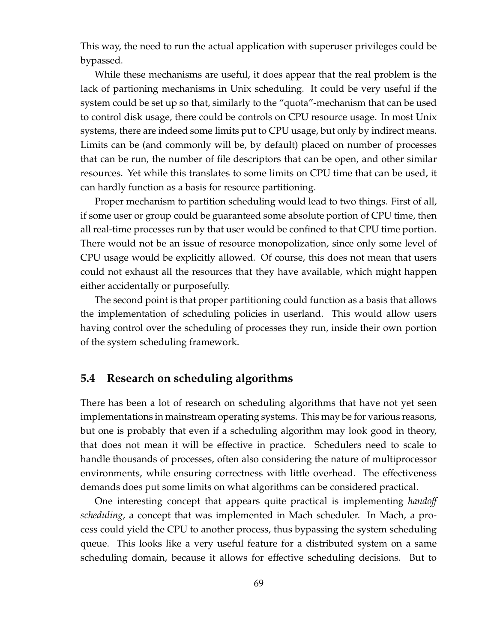This way, the need to run the actual application with superuser privileges could be bypassed.

While these mechanisms are useful, it does appear that the real problem is the lack of partioning mechanisms in Unix scheduling. It could be very useful if the system could be set up so that, similarly to the "quota"-mechanism that can be used to control disk usage, there could be controls on CPU resource usage. In most Unix systems, there are indeed some limits put to CPU usage, but only by indirect means. Limits can be (and commonly will be, by default) placed on number of processes that can be run, the number of file descriptors that can be open, and other similar resources. Yet while this translates to some limits on CPU time that can be used, it can hardly function as a basis for resource partitioning.

Proper mechanism to partition scheduling would lead to two things. First of all, if some user or group could be guaranteed some absolute portion of CPU time, then all real-time processes run by that user would be confined to that CPU time portion. There would not be an issue of resource monopolization, since only some level of CPU usage would be explicitly allowed. Of course, this does not mean that users could not exhaust all the resources that they have available, which might happen either accidentally or purposefully.

The second point is that proper partitioning could function as a basis that allows the implementation of scheduling policies in userland. This would allow users having control over the scheduling of processes they run, inside their own portion of the system scheduling framework.

# **5.4 Research on scheduling algorithms**

There has been a lot of research on scheduling algorithms that have not yet seen implementations in mainstream operating systems. This may be for various reasons, but one is probably that even if a scheduling algorithm may look good in theory, that does not mean it will be effective in practice. Schedulers need to scale to handle thousands of processes, often also considering the nature of multiprocessor environments, while ensuring correctness with little overhead. The effectiveness demands does put some limits on what algorithms can be considered practical.

One interesting concept that appears quite practical is implementing *hando*ff *scheduling*, a concept that was implemented in Mach scheduler. In Mach, a process could yield the CPU to another process, thus bypassing the system scheduling queue. This looks like a very useful feature for a distributed system on a same scheduling domain, because it allows for effective scheduling decisions. But to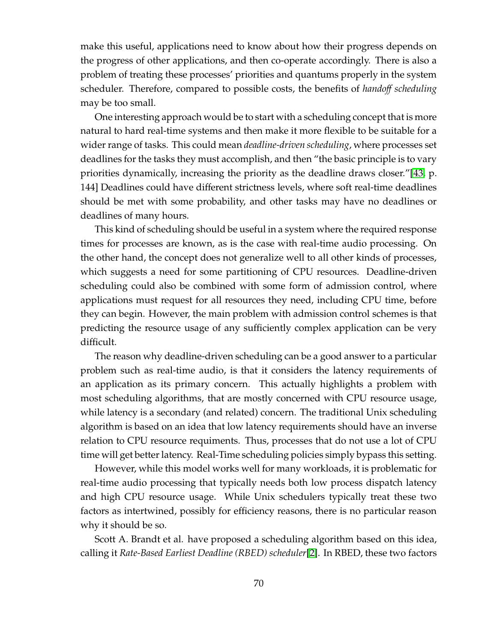make this useful, applications need to know about how their progress depends on the progress of other applications, and then co-operate accordingly. There is also a problem of treating these processes' priorities and quantums properly in the system scheduler. Therefore, compared to possible costs, the benefits of *hando*ff *scheduling* may be too small.

One interesting approach would be to start with a scheduling concept that is more natural to hard real-time systems and then make it more flexible to be suitable for a wider range of tasks. This could mean *deadline-driven scheduling*, where processes set deadlines for the tasks they must accomplish, and then "the basic principle is to vary priorities dynamically, increasing the priority as the deadline draws closer."[\[43,](#page-127-0) p. 144] Deadlines could have different strictness levels, where soft real-time deadlines should be met with some probability, and other tasks may have no deadlines or deadlines of many hours.

This kind of scheduling should be useful in a system where the required response times for processes are known, as is the case with real-time audio processing. On the other hand, the concept does not generalize well to all other kinds of processes, which suggests a need for some partitioning of CPU resources. Deadline-driven scheduling could also be combined with some form of admission control, where applications must request for all resources they need, including CPU time, before they can begin. However, the main problem with admission control schemes is that predicting the resource usage of any sufficiently complex application can be very difficult.

The reason why deadline-driven scheduling can be a good answer to a particular problem such as real-time audio, is that it considers the latency requirements of an application as its primary concern. This actually highlights a problem with most scheduling algorithms, that are mostly concerned with CPU resource usage, while latency is a secondary (and related) concern. The traditional Unix scheduling algorithm is based on an idea that low latency requirements should have an inverse relation to CPU resource requiments. Thus, processes that do not use a lot of CPU time will get better latency. Real-Time scheduling policies simply bypass this setting.

However, while this model works well for many workloads, it is problematic for real-time audio processing that typically needs both low process dispatch latency and high CPU resource usage. While Unix schedulers typically treat these two factors as intertwined, possibly for efficiency reasons, there is no particular reason why it should be so.

Scott A. Brandt et al. have proposed a scheduling algorithm based on this idea, calling it *Rate-Based Earliest Deadline (RBED) scheduler*[\[2\]](#page-124-0). In RBED, these two factors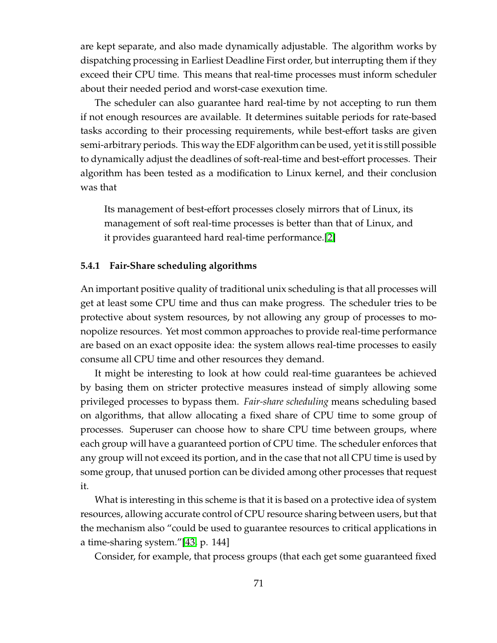are kept separate, and also made dynamically adjustable. The algorithm works by dispatching processing in Earliest Deadline First order, but interrupting them if they exceed their CPU time. This means that real-time processes must inform scheduler about their needed period and worst-case exexution time.

The scheduler can also guarantee hard real-time by not accepting to run them if not enough resources are available. It determines suitable periods for rate-based tasks according to their processing requirements, while best-effort tasks are given semi-arbitrary periods. This way the EDF algorithm can be used, yet it is still possible to dynamically adjust the deadlines of soft-real-time and best-effort processes. Their algorithm has been tested as a modification to Linux kernel, and their conclusion was that

Its management of best-effort processes closely mirrors that of Linux, its management of soft real-time processes is better than that of Linux, and it provides guaranteed hard real-time performance.[\[2\]](#page-124-0)

### **5.4.1 Fair-Share scheduling algorithms**

An important positive quality of traditional unix scheduling is that all processes will get at least some CPU time and thus can make progress. The scheduler tries to be protective about system resources, by not allowing any group of processes to monopolize resources. Yet most common approaches to provide real-time performance are based on an exact opposite idea: the system allows real-time processes to easily consume all CPU time and other resources they demand.

It might be interesting to look at how could real-time guarantees be achieved by basing them on stricter protective measures instead of simply allowing some privileged processes to bypass them. *Fair-share scheduling* means scheduling based on algorithms, that allow allocating a fixed share of CPU time to some group of processes. Superuser can choose how to share CPU time between groups, where each group will have a guaranteed portion of CPU time. The scheduler enforces that any group will not exceed its portion, and in the case that not all CPU time is used by some group, that unused portion can be divided among other processes that request it.

What is interesting in this scheme is that it is based on a protective idea of system resources, allowing accurate control of CPU resource sharing between users, but that the mechanism also "could be used to guarantee resources to critical applications in a time-sharing system."[\[43,](#page-127-0) p. 144]

Consider, for example, that process groups (that each get some guaranteed fixed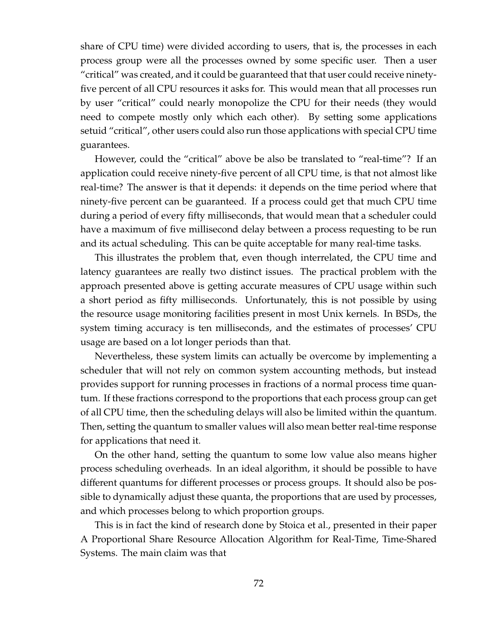share of CPU time) were divided according to users, that is, the processes in each process group were all the processes owned by some specific user. Then a user "critical" was created, and it could be guaranteed that that user could receive ninetyfive percent of all CPU resources it asks for. This would mean that all processes run by user "critical" could nearly monopolize the CPU for their needs (they would need to compete mostly only which each other). By setting some applications setuid "critical", other users could also run those applications with special CPU time guarantees.

However, could the "critical" above be also be translated to "real-time"? If an application could receive ninety-five percent of all CPU time, is that not almost like real-time? The answer is that it depends: it depends on the time period where that ninety-five percent can be guaranteed. If a process could get that much CPU time during a period of every fifty milliseconds, that would mean that a scheduler could have a maximum of five millisecond delay between a process requesting to be run and its actual scheduling. This can be quite acceptable for many real-time tasks.

This illustrates the problem that, even though interrelated, the CPU time and latency guarantees are really two distinct issues. The practical problem with the approach presented above is getting accurate measures of CPU usage within such a short period as fifty milliseconds. Unfortunately, this is not possible by using the resource usage monitoring facilities present in most Unix kernels. In BSDs, the system timing accuracy is ten milliseconds, and the estimates of processes' CPU usage are based on a lot longer periods than that.

Nevertheless, these system limits can actually be overcome by implementing a scheduler that will not rely on common system accounting methods, but instead provides support for running processes in fractions of a normal process time quantum. If these fractions correspond to the proportions that each process group can get of all CPU time, then the scheduling delays will also be limited within the quantum. Then, setting the quantum to smaller values will also mean better real-time response for applications that need it.

On the other hand, setting the quantum to some low value also means higher process scheduling overheads. In an ideal algorithm, it should be possible to have different quantums for different processes or process groups. It should also be possible to dynamically adjust these quanta, the proportions that are used by processes, and which processes belong to which proportion groups.

This is in fact the kind of research done by Stoica et al., presented in their paper A Proportional Share Resource Allocation Algorithm for Real-Time, Time-Shared Systems. The main claim was that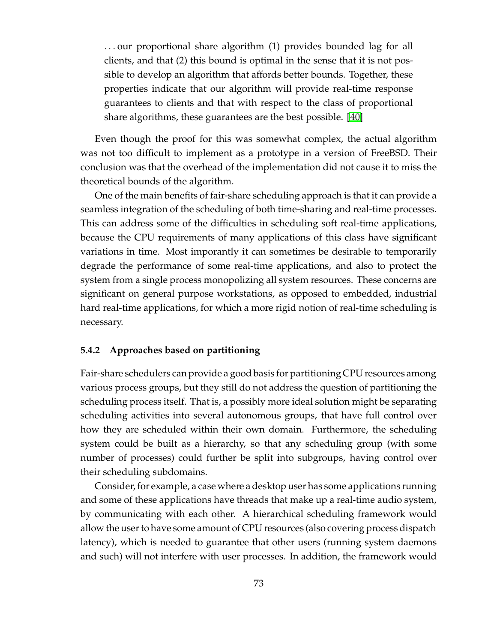. . . our proportional share algorithm (1) provides bounded lag for all clients, and that (2) this bound is optimal in the sense that it is not possible to develop an algorithm that affords better bounds. Together, these properties indicate that our algorithm will provide real-time response guarantees to clients and that with respect to the class of proportional share algorithms, these guarantees are the best possible. [\[40\]](#page-127-1)

Even though the proof for this was somewhat complex, the actual algorithm was not too difficult to implement as a prototype in a version of FreeBSD. Their conclusion was that the overhead of the implementation did not cause it to miss the theoretical bounds of the algorithm.

One of the main benefits of fair-share scheduling approach is that it can provide a seamless integration of the scheduling of both time-sharing and real-time processes. This can address some of the difficulties in scheduling soft real-time applications, because the CPU requirements of many applications of this class have significant variations in time. Most imporantly it can sometimes be desirable to temporarily degrade the performance of some real-time applications, and also to protect the system from a single process monopolizing all system resources. These concerns are significant on general purpose workstations, as opposed to embedded, industrial hard real-time applications, for which a more rigid notion of real-time scheduling is necessary.

### **5.4.2 Approaches based on partitioning**

Fair-share schedulers can provide a good basis for partitioning CPU resources among various process groups, but they still do not address the question of partitioning the scheduling process itself. That is, a possibly more ideal solution might be separating scheduling activities into several autonomous groups, that have full control over how they are scheduled within their own domain. Furthermore, the scheduling system could be built as a hierarchy, so that any scheduling group (with some number of processes) could further be split into subgroups, having control over their scheduling subdomains.

Consider, for example, a case where a desktop user has some applications running and some of these applications have threads that make up a real-time audio system, by communicating with each other. A hierarchical scheduling framework would allow the user to have some amount of CPU resources (also covering process dispatch latency), which is needed to guarantee that other users (running system daemons and such) will not interfere with user processes. In addition, the framework would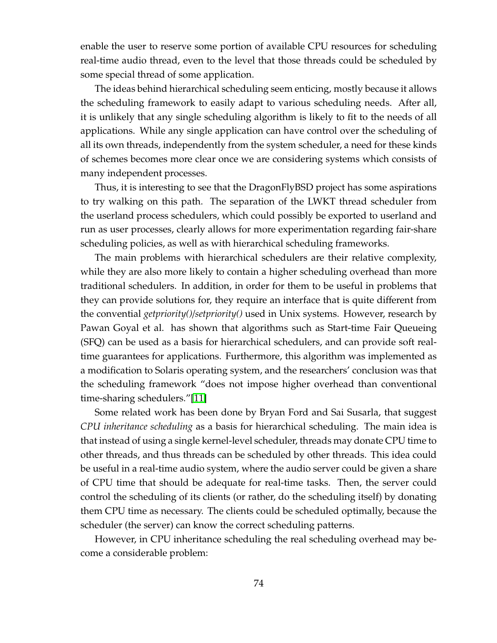enable the user to reserve some portion of available CPU resources for scheduling real-time audio thread, even to the level that those threads could be scheduled by some special thread of some application.

The ideas behind hierarchical scheduling seem enticing, mostly because it allows the scheduling framework to easily adapt to various scheduling needs. After all, it is unlikely that any single scheduling algorithm is likely to fit to the needs of all applications. While any single application can have control over the scheduling of all its own threads, independently from the system scheduler, a need for these kinds of schemes becomes more clear once we are considering systems which consists of many independent processes.

Thus, it is interesting to see that the DragonFlyBSD project has some aspirations to try walking on this path. The separation of the LWKT thread scheduler from the userland process schedulers, which could possibly be exported to userland and run as user processes, clearly allows for more experimentation regarding fair-share scheduling policies, as well as with hierarchical scheduling frameworks.

The main problems with hierarchical schedulers are their relative complexity, while they are also more likely to contain a higher scheduling overhead than more traditional schedulers. In addition, in order for them to be useful in problems that they can provide solutions for, they require an interface that is quite different from the convential *getpriority()*/*setpriority()* used in Unix systems. However, research by Pawan Goyal et al. has shown that algorithms such as Start-time Fair Queueing (SFQ) can be used as a basis for hierarchical schedulers, and can provide soft realtime guarantees for applications. Furthermore, this algorithm was implemented as a modification to Solaris operating system, and the researchers' conclusion was that the scheduling framework "does not impose higher overhead than conventional time-sharing schedulers."[\[11\]](#page-124-1)

Some related work has been done by Bryan Ford and Sai Susarla, that suggest *CPU inheritance scheduling* as a basis for hierarchical scheduling. The main idea is that instead of using a single kernel-level scheduler, threads may donate CPU time to other threads, and thus threads can be scheduled by other threads. This idea could be useful in a real-time audio system, where the audio server could be given a share of CPU time that should be adequate for real-time tasks. Then, the server could control the scheduling of its clients (or rather, do the scheduling itself) by donating them CPU time as necessary. The clients could be scheduled optimally, because the scheduler (the server) can know the correct scheduling patterns.

However, in CPU inheritance scheduling the real scheduling overhead may become a considerable problem: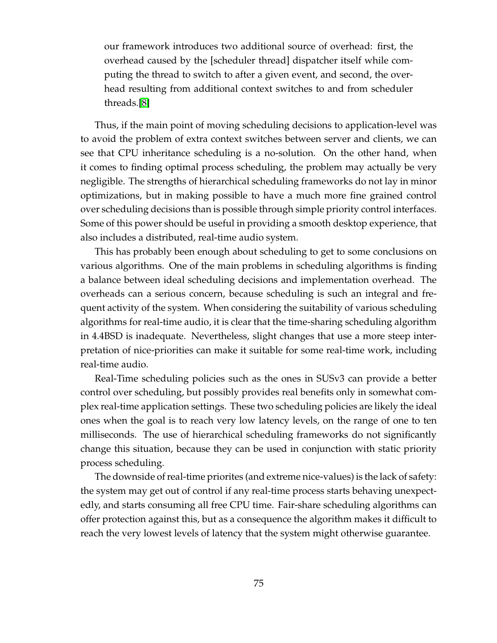our framework introduces two additional source of overhead: first, the overhead caused by the [scheduler thread] dispatcher itself while computing the thread to switch to after a given event, and second, the overhead resulting from additional context switches to and from scheduler threads.[\[8\]](#page-124-2)

Thus, if the main point of moving scheduling decisions to application-level was to avoid the problem of extra context switches between server and clients, we can see that CPU inheritance scheduling is a no-solution. On the other hand, when it comes to finding optimal process scheduling, the problem may actually be very negligible. The strengths of hierarchical scheduling frameworks do not lay in minor optimizations, but in making possible to have a much more fine grained control over scheduling decisions than is possible through simple priority control interfaces. Some of this power should be useful in providing a smooth desktop experience, that also includes a distributed, real-time audio system.

This has probably been enough about scheduling to get to some conclusions on various algorithms. One of the main problems in scheduling algorithms is finding a balance between ideal scheduling decisions and implementation overhead. The overheads can a serious concern, because scheduling is such an integral and frequent activity of the system. When considering the suitability of various scheduling algorithms for real-time audio, it is clear that the time-sharing scheduling algorithm in 4.4BSD is inadequate. Nevertheless, slight changes that use a more steep interpretation of nice-priorities can make it suitable for some real-time work, including real-time audio.

Real-Time scheduling policies such as the ones in SUSv3 can provide a better control over scheduling, but possibly provides real benefits only in somewhat complex real-time application settings. These two scheduling policies are likely the ideal ones when the goal is to reach very low latency levels, on the range of one to ten milliseconds. The use of hierarchical scheduling frameworks do not significantly change this situation, because they can be used in conjunction with static priority process scheduling.

The downside of real-time priorites (and extreme nice-values) is the lack of safety: the system may get out of control if any real-time process starts behaving unexpectedly, and starts consuming all free CPU time. Fair-share scheduling algorithms can offer protection against this, but as a consequence the algorithm makes it difficult to reach the very lowest levels of latency that the system might otherwise guarantee.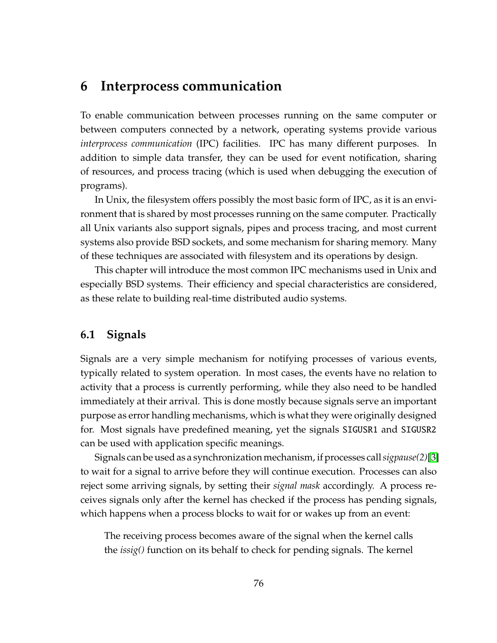# **6 Interprocess communication**

To enable communication between processes running on the same computer or between computers connected by a network, operating systems provide various *interprocess communication* (IPC) facilities. IPC has many different purposes. In addition to simple data transfer, they can be used for event notification, sharing of resources, and process tracing (which is used when debugging the execution of programs).

In Unix, the filesystem offers possibly the most basic form of IPC, as it is an environment that is shared by most processes running on the same computer. Practically all Unix variants also support signals, pipes and process tracing, and most current systems also provide BSD sockets, and some mechanism for sharing memory. Many of these techniques are associated with filesystem and its operations by design.

This chapter will introduce the most common IPC mechanisms used in Unix and especially BSD systems. Their efficiency and special characteristics are considered, as these relate to building real-time distributed audio systems.

# **6.1 Signals**

Signals are a very simple mechanism for notifying processes of various events, typically related to system operation. In most cases, the events have no relation to activity that a process is currently performing, while they also need to be handled immediately at their arrival. This is done mostly because signals serve an important purpose as error handling mechanisms, which is what they were originally designed for. Most signals have predefined meaning, yet the signals SIGUSR1 and SIGUSR2 can be used with application specific meanings.

Signals can be used as a synchronization mechanism, if processes call *sigpause*(2)[\[3\]](#page-124-3) to wait for a signal to arrive before they will continue execution. Processes can also reject some arriving signals, by setting their *signal mask* accordingly. A process receives signals only after the kernel has checked if the process has pending signals, which happens when a process blocks to wait for or wakes up from an event:

The receiving process becomes aware of the signal when the kernel calls the *issig()* function on its behalf to check for pending signals. The kernel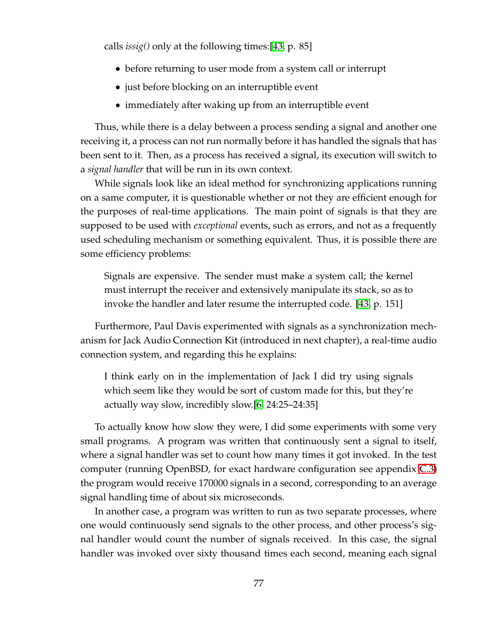calls *issig()* only at the following times:[\[43,](#page-127-0) p. 85]

- before returning to user mode from a system call or interrupt
- just before blocking on an interruptible event
- immediately after waking up from an interruptible event

Thus, while there is a delay between a process sending a signal and another one receiving it, a process can not run normally before it has handled the signals that has been sent to it. Then, as a process has received a signal, its execution will switch to a *signal handler* that will be run in its own context.

While signals look like an ideal method for synchronizing applications running on a same computer, it is questionable whether or not they are efficient enough for the purposes of real-time applications. The main point of signals is that they are supposed to be used with *exceptional* events, such as errors, and not as a frequently used scheduling mechanism or something equivalent. Thus, it is possible there are some efficiency problems:

Signals are expensive. The sender must make a system call; the kernel must interrupt the receiver and extensively manipulate its stack, so as to invoke the handler and later resume the interrupted code. [\[43,](#page-127-0) p. 151]

Furthermore, Paul Davis experimented with signals as a synchronization mechanism for Jack Audio Connection Kit (introduced in next chapter), a real-time audio connection system, and regarding this he explains:

I think early on in the implementation of Jack I did try using signals which seem like they would be sort of custom made for this, but they're actually way slow, incredibly slow.[\[6,](#page-124-4) 24:25–24:35]

To actually know how slow they were, I did some experiments with some very small programs. A program was written that continuously sent a signal to itself, where a signal handler was set to count how many times it got invoked. In the test computer (running OpenBSD, for exact hardware configuration see appendix [C.3\)](#page-144-0) the program would receive 170000 signals in a second, corresponding to an average signal handling time of about six microseconds.

In another case, a program was written to run as two separate processes, where one would continuously send signals to the other process, and other process's signal handler would count the number of signals received. In this case, the signal handler was invoked over sixty thousand times each second, meaning each signal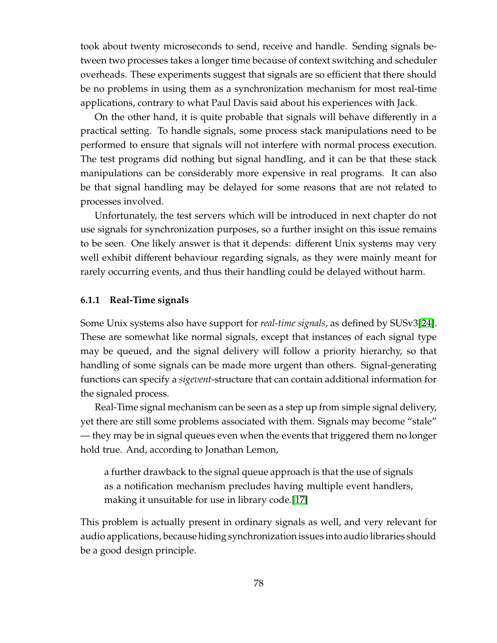took about twenty microseconds to send, receive and handle. Sending signals between two processes takes a longer time because of context switching and scheduler overheads. These experiments suggest that signals are so efficient that there should be no problems in using them as a synchronization mechanism for most real-time applications, contrary to what Paul Davis said about his experiences with Jack.

On the other hand, it is quite probable that signals will behave differently in a practical setting. To handle signals, some process stack manipulations need to be performed to ensure that signals will not interfere with normal process execution. The test programs did nothing but signal handling, and it can be that these stack manipulations can be considerably more expensive in real programs. It can also be that signal handling may be delayed for some reasons that are not related to processes involved.

Unfortunately, the test servers which will be introduced in next chapter do not use signals for synchronization purposes, so a further insight on this issue remains to be seen. One likely answer is that it depends: different Unix systems may very well exhibit different behaviour regarding signals, as they were mainly meant for rarely occurring events, and thus their handling could be delayed without harm.

### **6.1.1 Real-Time signals**

Some Unix systems also have support for *real-time signals*, as defined by SUSv3[\[24\]](#page-125-2). These are somewhat like normal signals, except that instances of each signal type may be queued, and the signal delivery will follow a priority hierarchy, so that handling of some signals can be made more urgent than others. Signal-generating functions can specify a *sigevent*-structure that can contain additional information for the signaled process.

Real-Time signal mechanism can be seen as a step up from simple signal delivery, yet there are still some problems associated with them. Signals may become "stale" — they may be in signal queues even when the events that triggered them no longer hold true. And, according to Jonathan Lemon,

a further drawback to the signal queue approach is that the use of signals as a notification mechanism precludes having multiple event handlers, making it unsuitable for use in library code.[\[17\]](#page-125-3)

This problem is actually present in ordinary signals as well, and very relevant for audio applications, because hiding synchronization issues into audio libraries should be a good design principle.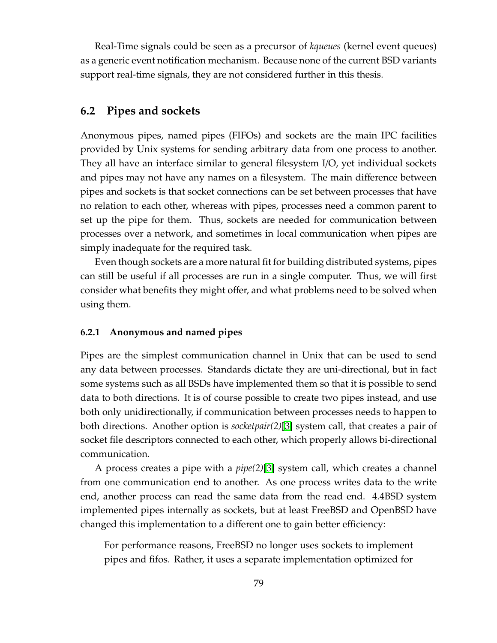Real-Time signals could be seen as a precursor of *kqueues* (kernel event queues) as a generic event notification mechanism. Because none of the current BSD variants support real-time signals, they are not considered further in this thesis.

# **6.2 Pipes and sockets**

Anonymous pipes, named pipes (FIFOs) and sockets are the main IPC facilities provided by Unix systems for sending arbitrary data from one process to another. They all have an interface similar to general filesystem I/O, yet individual sockets and pipes may not have any names on a filesystem. The main difference between pipes and sockets is that socket connections can be set between processes that have no relation to each other, whereas with pipes, processes need a common parent to set up the pipe for them. Thus, sockets are needed for communication between processes over a network, and sometimes in local communication when pipes are simply inadequate for the required task.

Even though sockets are a more natural fit for building distributed systems, pipes can still be useful if all processes are run in a single computer. Thus, we will first consider what benefits they might offer, and what problems need to be solved when using them.

#### **6.2.1 Anonymous and named pipes**

Pipes are the simplest communication channel in Unix that can be used to send any data between processes. Standards dictate they are uni-directional, but in fact some systems such as all BSDs have implemented them so that it is possible to send data to both directions. It is of course possible to create two pipes instead, and use both only unidirectionally, if communication between processes needs to happen to both directions. Another option is *socketpair(2)*[\[3\]](#page-124-3) system call, that creates a pair of socket file descriptors connected to each other, which properly allows bi-directional communication.

A process creates a pipe with a *pipe(2)*[\[3\]](#page-124-3) system call, which creates a channel from one communication end to another. As one process writes data to the write end, another process can read the same data from the read end. 4.4BSD system implemented pipes internally as sockets, but at least FreeBSD and OpenBSD have changed this implementation to a different one to gain better efficiency:

For performance reasons, FreeBSD no longer uses sockets to implement pipes and fifos. Rather, it uses a separate implementation optimized for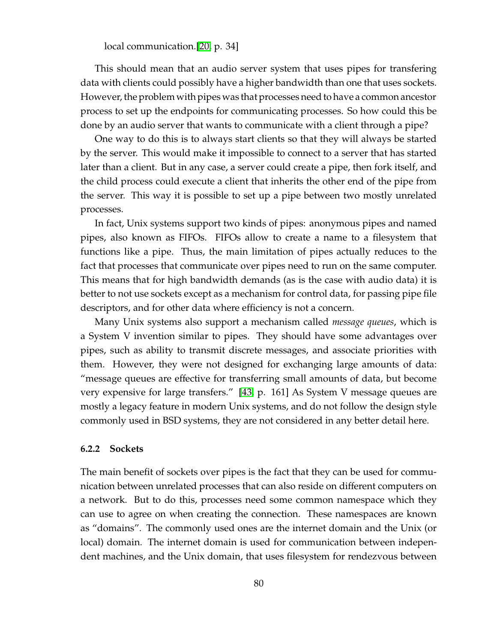local communication.[\[20,](#page-125-4) p. 34]

This should mean that an audio server system that uses pipes for transfering data with clients could possibly have a higher bandwidth than one that uses sockets. However, the problem with pipes was that processes need to have a common ancestor process to set up the endpoints for communicating processes. So how could this be done by an audio server that wants to communicate with a client through a pipe?

One way to do this is to always start clients so that they will always be started by the server. This would make it impossible to connect to a server that has started later than a client. But in any case, a server could create a pipe, then fork itself, and the child process could execute a client that inherits the other end of the pipe from the server. This way it is possible to set up a pipe between two mostly unrelated processes.

In fact, Unix systems support two kinds of pipes: anonymous pipes and named pipes, also known as FIFOs. FIFOs allow to create a name to a filesystem that functions like a pipe. Thus, the main limitation of pipes actually reduces to the fact that processes that communicate over pipes need to run on the same computer. This means that for high bandwidth demands (as is the case with audio data) it is better to not use sockets except as a mechanism for control data, for passing pipe file descriptors, and for other data where efficiency is not a concern.

Many Unix systems also support a mechanism called *message queues*, which is a System V invention similar to pipes. They should have some advantages over pipes, such as ability to transmit discrete messages, and associate priorities with them. However, they were not designed for exchanging large amounts of data: "message queues are effective for transferring small amounts of data, but become very expensive for large transfers." [\[43,](#page-127-0) p. 161] As System V message queues are mostly a legacy feature in modern Unix systems, and do not follow the design style commonly used in BSD systems, they are not considered in any better detail here.

#### **6.2.2 Sockets**

The main benefit of sockets over pipes is the fact that they can be used for communication between unrelated processes that can also reside on different computers on a network. But to do this, processes need some common namespace which they can use to agree on when creating the connection. These namespaces are known as "domains". The commonly used ones are the internet domain and the Unix (or local) domain. The internet domain is used for communication between independent machines, and the Unix domain, that uses filesystem for rendezvous between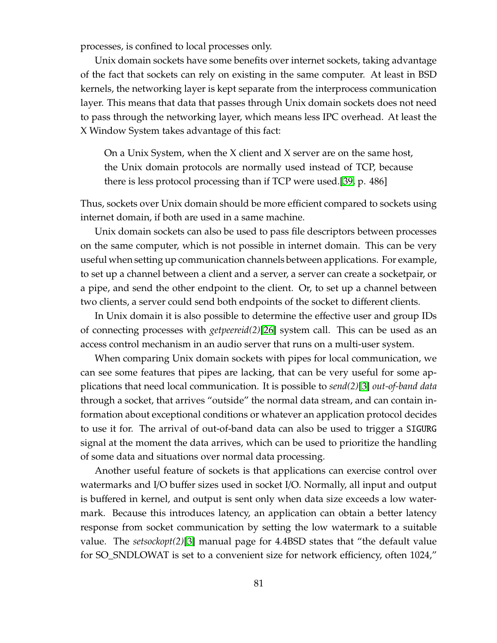processes, is confined to local processes only.

Unix domain sockets have some benefits over internet sockets, taking advantage of the fact that sockets can rely on existing in the same computer. At least in BSD kernels, the networking layer is kept separate from the interprocess communication layer. This means that data that passes through Unix domain sockets does not need to pass through the networking layer, which means less IPC overhead. At least the X Window System takes advantage of this fact:

On a Unix System, when the X client and X server are on the same host, the Unix domain protocols are normally used instead of TCP, because there is less protocol processing than if TCP were used.[\[39,](#page-127-2) p. 486]

Thus, sockets over Unix domain should be more efficient compared to sockets using internet domain, if both are used in a same machine.

Unix domain sockets can also be used to pass file descriptors between processes on the same computer, which is not possible in internet domain. This can be very useful when setting up communication channels between applications. For example, to set up a channel between a client and a server, a server can create a socketpair, or a pipe, and send the other endpoint to the client. Or, to set up a channel between two clients, a server could send both endpoints of the socket to different clients.

In Unix domain it is also possible to determine the effective user and group IDs of connecting processes with *getpeereid(2)*[\[26\]](#page-126-1) system call. This can be used as an access control mechanism in an audio server that runs on a multi-user system.

When comparing Unix domain sockets with pipes for local communication, we can see some features that pipes are lacking, that can be very useful for some applications that need local communication. It is possible to *send(2)*[\[3\]](#page-124-3) *out-of-band data* through a socket, that arrives "outside" the normal data stream, and can contain information about exceptional conditions or whatever an application protocol decides to use it for. The arrival of out-of-band data can also be used to trigger a SIGURG signal at the moment the data arrives, which can be used to prioritize the handling of some data and situations over normal data processing.

Another useful feature of sockets is that applications can exercise control over watermarks and I/O buffer sizes used in socket I/O. Normally, all input and output is buffered in kernel, and output is sent only when data size exceeds a low watermark. Because this introduces latency, an application can obtain a better latency response from socket communication by setting the low watermark to a suitable value. The *setsockopt(2)*[\[3\]](#page-124-3) manual page for 4.4BSD states that "the default value for SO\_SNDLOWAT is set to a convenient size for network efficiency, often 1024,"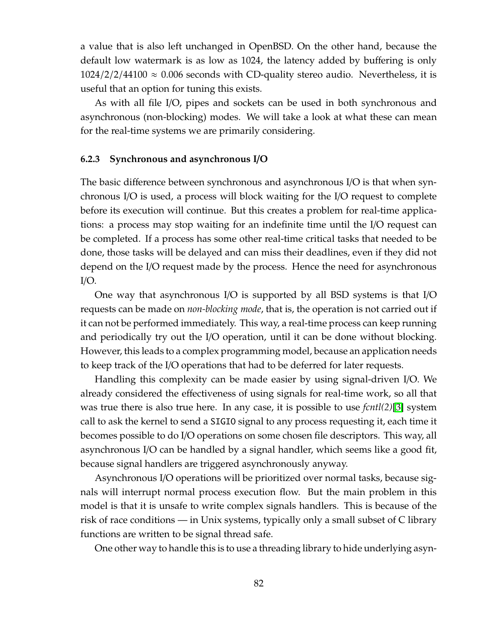a value that is also left unchanged in OpenBSD. On the other hand, because the default low watermark is as low as 1024, the latency added by buffering is only  $1024/2/2/44100 \approx 0.006$  seconds with CD-quality stereo audio. Nevertheless, it is useful that an option for tuning this exists.

As with all file I/O, pipes and sockets can be used in both synchronous and asynchronous (non-blocking) modes. We will take a look at what these can mean for the real-time systems we are primarily considering.

#### **6.2.3 Synchronous and asynchronous I**/**O**

The basic difference between synchronous and asynchronous I/O is that when synchronous I/O is used, a process will block waiting for the I/O request to complete before its execution will continue. But this creates a problem for real-time applications: a process may stop waiting for an indefinite time until the I/O request can be completed. If a process has some other real-time critical tasks that needed to be done, those tasks will be delayed and can miss their deadlines, even if they did not depend on the I/O request made by the process. Hence the need for asynchronous  $I/O$ .

One way that asynchronous I/O is supported by all BSD systems is that I/O requests can be made on *non-blocking mode*, that is, the operation is not carried out if it can not be performed immediately. This way, a real-time process can keep running and periodically try out the I/O operation, until it can be done without blocking. However, this leads to a complex programming model, because an application needs to keep track of the I/O operations that had to be deferred for later requests.

Handling this complexity can be made easier by using signal-driven I/O. We already considered the effectiveness of using signals for real-time work, so all that was true there is also true here. In any case, it is possible to use *fcntl(2)*[\[3\]](#page-124-3) system call to ask the kernel to send a SIGIO signal to any process requesting it, each time it becomes possible to do I/O operations on some chosen file descriptors. This way, all asynchronous I/O can be handled by a signal handler, which seems like a good fit, because signal handlers are triggered asynchronously anyway.

Asynchronous I/O operations will be prioritized over normal tasks, because signals will interrupt normal process execution flow. But the main problem in this model is that it is unsafe to write complex signals handlers. This is because of the risk of race conditions — in Unix systems, typically only a small subset of C library functions are written to be signal thread safe.

One other way to handle this is to use a threading library to hide underlying asyn-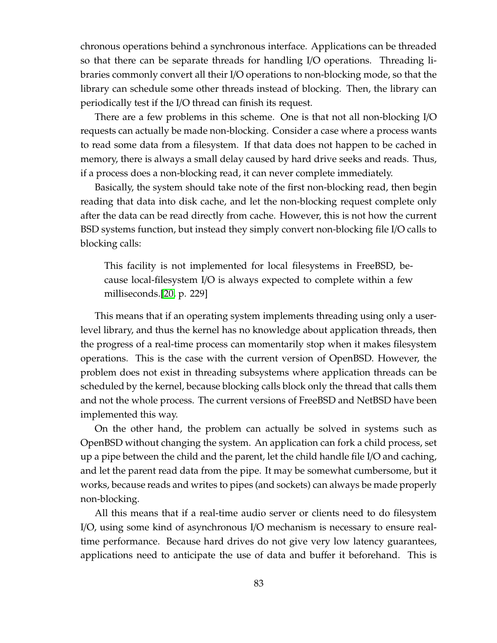chronous operations behind a synchronous interface. Applications can be threaded so that there can be separate threads for handling I/O operations. Threading libraries commonly convert all their I/O operations to non-blocking mode, so that the library can schedule some other threads instead of blocking. Then, the library can periodically test if the I/O thread can finish its request.

There are a few problems in this scheme. One is that not all non-blocking I/O requests can actually be made non-blocking. Consider a case where a process wants to read some data from a filesystem. If that data does not happen to be cached in memory, there is always a small delay caused by hard drive seeks and reads. Thus, if a process does a non-blocking read, it can never complete immediately.

Basically, the system should take note of the first non-blocking read, then begin reading that data into disk cache, and let the non-blocking request complete only after the data can be read directly from cache. However, this is not how the current BSD systems function, but instead they simply convert non-blocking file I/O calls to blocking calls:

This facility is not implemented for local filesystems in FreeBSD, because local-filesystem I/O is always expected to complete within a few milliseconds.[\[20,](#page-125-4) p. 229]

This means that if an operating system implements threading using only a userlevel library, and thus the kernel has no knowledge about application threads, then the progress of a real-time process can momentarily stop when it makes filesystem operations. This is the case with the current version of OpenBSD. However, the problem does not exist in threading subsystems where application threads can be scheduled by the kernel, because blocking calls block only the thread that calls them and not the whole process. The current versions of FreeBSD and NetBSD have been implemented this way.

On the other hand, the problem can actually be solved in systems such as OpenBSD without changing the system. An application can fork a child process, set up a pipe between the child and the parent, let the child handle file I/O and caching, and let the parent read data from the pipe. It may be somewhat cumbersome, but it works, because reads and writes to pipes (and sockets) can always be made properly non-blocking.

All this means that if a real-time audio server or clients need to do filesystem I/O, using some kind of asynchronous I/O mechanism is necessary to ensure realtime performance. Because hard drives do not give very low latency guarantees, applications need to anticipate the use of data and buffer it beforehand. This is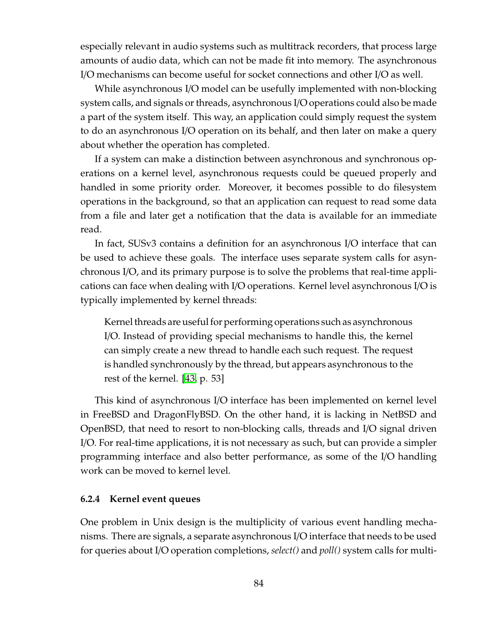especially relevant in audio systems such as multitrack recorders, that process large amounts of audio data, which can not be made fit into memory. The asynchronous I/O mechanisms can become useful for socket connections and other I/O as well.

While asynchronous I/O model can be usefully implemented with non-blocking system calls, and signals orthreads, asynchronous I/O operations could also be made a part of the system itself. This way, an application could simply request the system to do an asynchronous I/O operation on its behalf, and then later on make a query about whether the operation has completed.

If a system can make a distinction between asynchronous and synchronous operations on a kernel level, asynchronous requests could be queued properly and handled in some priority order. Moreover, it becomes possible to do filesystem operations in the background, so that an application can request to read some data from a file and later get a notification that the data is available for an immediate read.

In fact, SUSv3 contains a definition for an asynchronous I/O interface that can be used to achieve these goals. The interface uses separate system calls for asynchronous I/O, and its primary purpose is to solve the problems that real-time applications can face when dealing with I/O operations. Kernel level asynchronous I/O is typically implemented by kernel threads:

Kernel threads are useful for performing operations such as asynchronous I/O. Instead of providing special mechanisms to handle this, the kernel can simply create a new thread to handle each such request. The request is handled synchronously by the thread, but appears asynchronous to the rest of the kernel. [\[43,](#page-127-0) p. 53]

This kind of asynchronous I/O interface has been implemented on kernel level in FreeBSD and DragonFlyBSD. On the other hand, it is lacking in NetBSD and OpenBSD, that need to resort to non-blocking calls, threads and I/O signal driven I/O. For real-time applications, it is not necessary as such, but can provide a simpler programming interface and also better performance, as some of the I/O handling work can be moved to kernel level.

### **6.2.4 Kernel event queues**

One problem in Unix design is the multiplicity of various event handling mechanisms. There are signals, a separate asynchronous I/O interface that needs to be used for queries about I/O operation completions, *select()* and *poll()* system calls for multi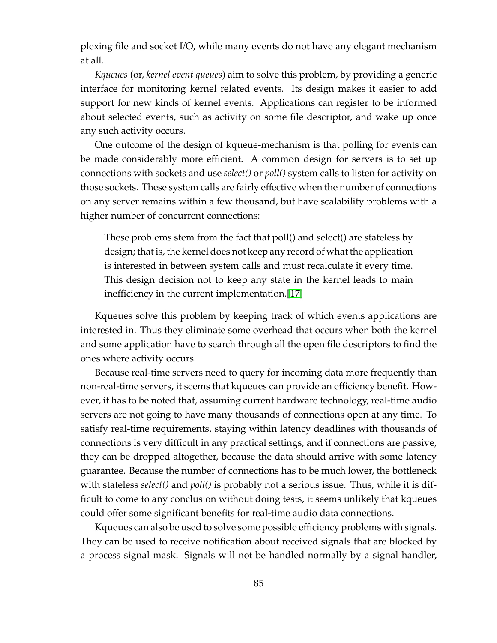plexing file and socket I/O, while many events do not have any elegant mechanism at all.

*Kqueues* (or, *kernel event queues*) aim to solve this problem, by providing a generic interface for monitoring kernel related events. Its design makes it easier to add support for new kinds of kernel events. Applications can register to be informed about selected events, such as activity on some file descriptor, and wake up once any such activity occurs.

One outcome of the design of kqueue-mechanism is that polling for events can be made considerably more efficient. A common design for servers is to set up connections with sockets and use *select()* or *poll()* system calls to listen for activity on those sockets. These system calls are fairly effective when the number of connections on any server remains within a few thousand, but have scalability problems with a higher number of concurrent connections:

These problems stem from the fact that poll() and select() are stateless by design; that is, the kernel does not keep any record of what the application is interested in between system calls and must recalculate it every time. This design decision not to keep any state in the kernel leads to main inefficiency in the current implementation.[\[17\]](#page-125-3)

Kqueues solve this problem by keeping track of which events applications are interested in. Thus they eliminate some overhead that occurs when both the kernel and some application have to search through all the open file descriptors to find the ones where activity occurs.

Because real-time servers need to query for incoming data more frequently than non-real-time servers, it seems that kqueues can provide an efficiency benefit. However, it has to be noted that, assuming current hardware technology, real-time audio servers are not going to have many thousands of connections open at any time. To satisfy real-time requirements, staying within latency deadlines with thousands of connections is very difficult in any practical settings, and if connections are passive, they can be dropped altogether, because the data should arrive with some latency guarantee. Because the number of connections has to be much lower, the bottleneck with stateless *select()* and *poll()* is probably not a serious issue. Thus, while it is difficult to come to any conclusion without doing tests, it seems unlikely that kqueues could offer some significant benefits for real-time audio data connections.

Kqueues can also be used to solve some possible efficiency problems with signals. They can be used to receive notification about received signals that are blocked by a process signal mask. Signals will not be handled normally by a signal handler,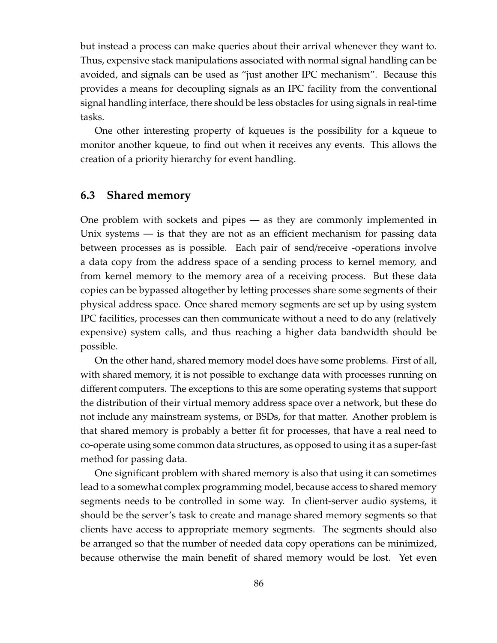but instead a process can make queries about their arrival whenever they want to. Thus, expensive stack manipulations associated with normal signal handling can be avoided, and signals can be used as "just another IPC mechanism". Because this provides a means for decoupling signals as an IPC facility from the conventional signal handling interface, there should be less obstacles for using signals in real-time tasks.

One other interesting property of kqueues is the possibility for a kqueue to monitor another kqueue, to find out when it receives any events. This allows the creation of a priority hierarchy for event handling.

# **6.3 Shared memory**

One problem with sockets and pipes — as they are commonly implemented in Unix systems — is that they are not as an efficient mechanism for passing data between processes as is possible. Each pair of send/receive -operations involve a data copy from the address space of a sending process to kernel memory, and from kernel memory to the memory area of a receiving process. But these data copies can be bypassed altogether by letting processes share some segments of their physical address space. Once shared memory segments are set up by using system IPC facilities, processes can then communicate without a need to do any (relatively expensive) system calls, and thus reaching a higher data bandwidth should be possible.

On the other hand, shared memory model does have some problems. First of all, with shared memory, it is not possible to exchange data with processes running on different computers. The exceptions to this are some operating systems that support the distribution of their virtual memory address space over a network, but these do not include any mainstream systems, or BSDs, for that matter. Another problem is that shared memory is probably a better fit for processes, that have a real need to co-operate using some common data structures, as opposed to using it as a super-fast method for passing data.

One significant problem with shared memory is also that using it can sometimes lead to a somewhat complex programming model, because access to shared memory segments needs to be controlled in some way. In client-server audio systems, it should be the server's task to create and manage shared memory segments so that clients have access to appropriate memory segments. The segments should also be arranged so that the number of needed data copy operations can be minimized, because otherwise the main benefit of shared memory would be lost. Yet even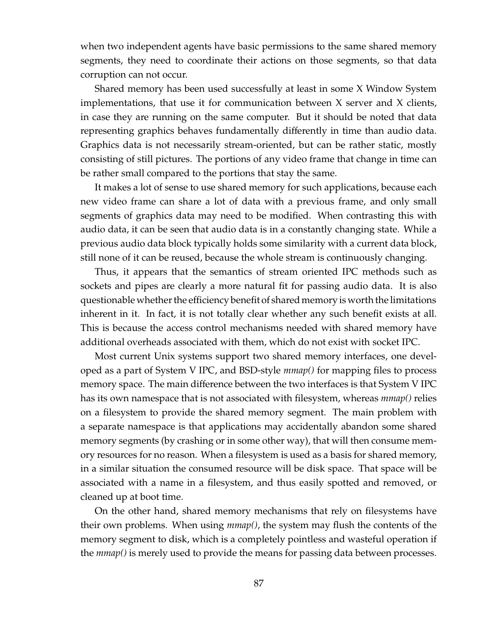when two independent agents have basic permissions to the same shared memory segments, they need to coordinate their actions on those segments, so that data corruption can not occur.

Shared memory has been used successfully at least in some X Window System implementations, that use it for communication between X server and X clients, in case they are running on the same computer. But it should be noted that data representing graphics behaves fundamentally differently in time than audio data. Graphics data is not necessarily stream-oriented, but can be rather static, mostly consisting of still pictures. The portions of any video frame that change in time can be rather small compared to the portions that stay the same.

It makes a lot of sense to use shared memory for such applications, because each new video frame can share a lot of data with a previous frame, and only small segments of graphics data may need to be modified. When contrasting this with audio data, it can be seen that audio data is in a constantly changing state. While a previous audio data block typically holds some similarity with a current data block, still none of it can be reused, because the whole stream is continuously changing.

Thus, it appears that the semantics of stream oriented IPC methods such as sockets and pipes are clearly a more natural fit for passing audio data. It is also questionable whether the efficiency benefit of shared memory is worth the limitations inherent in it. In fact, it is not totally clear whether any such benefit exists at all. This is because the access control mechanisms needed with shared memory have additional overheads associated with them, which do not exist with socket IPC.

Most current Unix systems support two shared memory interfaces, one developed as a part of System V IPC, and BSD-style *mmap()* for mapping files to process memory space. The main difference between the two interfaces is that System V IPC has its own namespace that is not associated with filesystem, whereas *mmap()* relies on a filesystem to provide the shared memory segment. The main problem with a separate namespace is that applications may accidentally abandon some shared memory segments (by crashing or in some other way), that will then consume memory resources for no reason. When a filesystem is used as a basis for shared memory, in a similar situation the consumed resource will be disk space. That space will be associated with a name in a filesystem, and thus easily spotted and removed, or cleaned up at boot time.

On the other hand, shared memory mechanisms that rely on filesystems have their own problems. When using *mmap()*, the system may flush the contents of the memory segment to disk, which is a completely pointless and wasteful operation if the *mmap()* is merely used to provide the means for passing data between processes.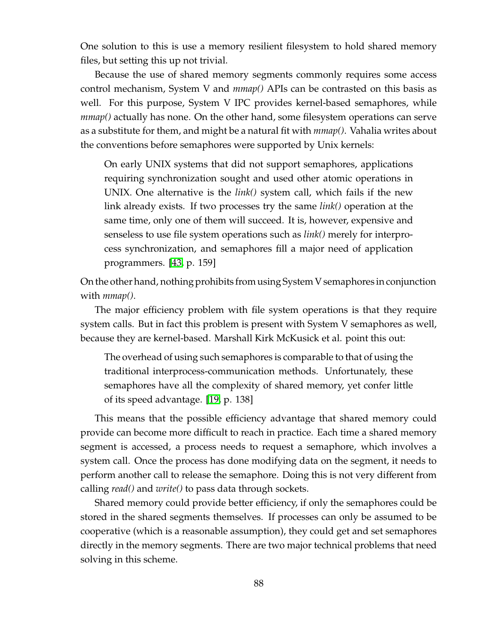One solution to this is use a memory resilient filesystem to hold shared memory files, but setting this up not trivial.

Because the use of shared memory segments commonly requires some access control mechanism, System V and *mmap()* APIs can be contrasted on this basis as well. For this purpose, System V IPC provides kernel-based semaphores, while *mmap()* actually has none. On the other hand, some filesystem operations can serve as a substitute for them, and might be a natural fit with *mmap()*. Vahalia writes about the conventions before semaphores were supported by Unix kernels:

On early UNIX systems that did not support semaphores, applications requiring synchronization sought and used other atomic operations in UNIX. One alternative is the *link()* system call, which fails if the new link already exists. If two processes try the same *link()* operation at the same time, only one of them will succeed. It is, however, expensive and senseless to use file system operations such as *link()* merely for interprocess synchronization, and semaphores fill a major need of application programmers. [\[43,](#page-127-0) p. 159]

On the other hand, nothing prohibits from using System V semaphores in conjunction with *mmap()*.

The major efficiency problem with file system operations is that they require system calls. But in fact this problem is present with System V semaphores as well, because they are kernel-based. Marshall Kirk McKusick et al. point this out:

The overhead of using such semaphores is comparable to that of using the traditional interprocess-communication methods. Unfortunately, these semaphores have all the complexity of shared memory, yet confer little of its speed advantage. [\[19,](#page-125-5) p. 138]

This means that the possible efficiency advantage that shared memory could provide can become more difficult to reach in practice. Each time a shared memory segment is accessed, a process needs to request a semaphore, which involves a system call. Once the process has done modifying data on the segment, it needs to perform another call to release the semaphore. Doing this is not very different from calling *read()* and *write()* to pass data through sockets.

Shared memory could provide better efficiency, if only the semaphores could be stored in the shared segments themselves. If processes can only be assumed to be cooperative (which is a reasonable assumption), they could get and set semaphores directly in the memory segments. There are two major technical problems that need solving in this scheme.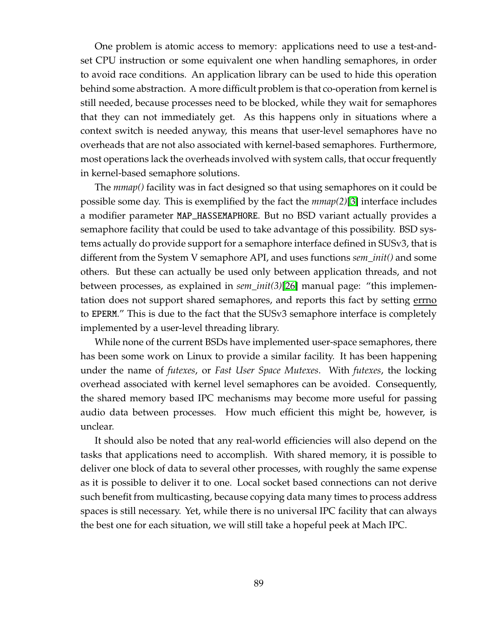One problem is atomic access to memory: applications need to use a test-andset CPU instruction or some equivalent one when handling semaphores, in order to avoid race conditions. An application library can be used to hide this operation behind some abstraction. A more difficult problem is that co-operation from kernel is still needed, because processes need to be blocked, while they wait for semaphores that they can not immediately get. As this happens only in situations where a context switch is needed anyway, this means that user-level semaphores have no overheads that are not also associated with kernel-based semaphores. Furthermore, most operations lack the overheads involved with system calls, that occur frequently in kernel-based semaphore solutions.

The *mmap()* facility was in fact designed so that using semaphores on it could be possible some day. This is exemplified by the fact the *mmap(2)*[\[3\]](#page-124-3) interface includes a modifier parameter MAP\_HASSEMAPHORE. But no BSD variant actually provides a semaphore facility that could be used to take advantage of this possibility. BSD systems actually do provide support for a semaphore interface defined in SUSv3, that is different from the System V semaphore API, and uses functions *sem\_init()* and some others. But these can actually be used only between application threads, and not between processes, as explained in *sem\_init(3)*[\[26\]](#page-126-1) manual page: "this implementation does not support shared semaphores, and reports this fact by setting errno to EPERM." This is due to the fact that the SUSv3 semaphore interface is completely implemented by a user-level threading library.

While none of the current BSDs have implemented user-space semaphores, there has been some work on Linux to provide a similar facility. It has been happening under the name of *futexes*, or *Fast User Space Mutexes*. With *futexes*, the locking overhead associated with kernel level semaphores can be avoided. Consequently, the shared memory based IPC mechanisms may become more useful for passing audio data between processes. How much efficient this might be, however, is unclear.

It should also be noted that any real-world efficiencies will also depend on the tasks that applications need to accomplish. With shared memory, it is possible to deliver one block of data to several other processes, with roughly the same expense as it is possible to deliver it to one. Local socket based connections can not derive such benefit from multicasting, because copying data many times to process address spaces is still necessary. Yet, while there is no universal IPC facility that can always the best one for each situation, we will still take a hopeful peek at Mach IPC.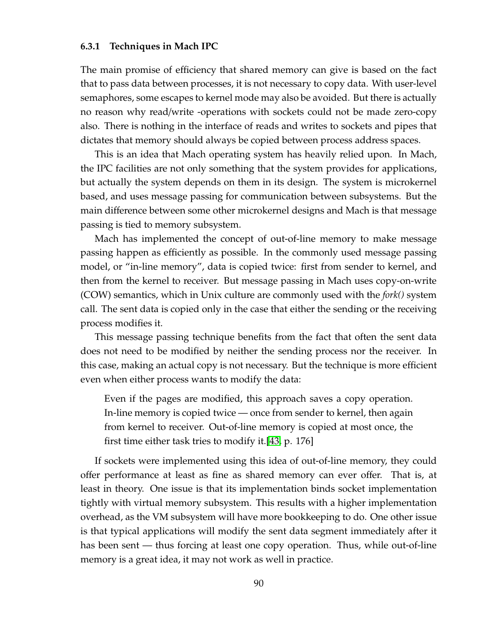#### **6.3.1 Techniques in Mach IPC**

The main promise of efficiency that shared memory can give is based on the fact that to pass data between processes, it is not necessary to copy data. With user-level semaphores, some escapes to kernel mode may also be avoided. But there is actually no reason why read/write -operations with sockets could not be made zero-copy also. There is nothing in the interface of reads and writes to sockets and pipes that dictates that memory should always be copied between process address spaces.

This is an idea that Mach operating system has heavily relied upon. In Mach, the IPC facilities are not only something that the system provides for applications, but actually the system depends on them in its design. The system is microkernel based, and uses message passing for communication between subsystems. But the main difference between some other microkernel designs and Mach is that message passing is tied to memory subsystem.

Mach has implemented the concept of out-of-line memory to make message passing happen as efficiently as possible. In the commonly used message passing model, or "in-line memory", data is copied twice: first from sender to kernel, and then from the kernel to receiver. But message passing in Mach uses copy-on-write (COW) semantics, which in Unix culture are commonly used with the *fork()* system call. The sent data is copied only in the case that either the sending or the receiving process modifies it.

This message passing technique benefits from the fact that often the sent data does not need to be modified by neither the sending process nor the receiver. In this case, making an actual copy is not necessary. But the technique is more efficient even when either process wants to modify the data:

Even if the pages are modified, this approach saves a copy operation. In-line memory is copied twice — once from sender to kernel, then again from kernel to receiver. Out-of-line memory is copied at most once, the first time either task tries to modify it.[\[43,](#page-127-0) p. 176]

If sockets were implemented using this idea of out-of-line memory, they could offer performance at least as fine as shared memory can ever offer. That is, at least in theory. One issue is that its implementation binds socket implementation tightly with virtual memory subsystem. This results with a higher implementation overhead, as the VM subsystem will have more bookkeeping to do. One other issue is that typical applications will modify the sent data segment immediately after it has been sent — thus forcing at least one copy operation. Thus, while out-of-line memory is a great idea, it may not work as well in practice.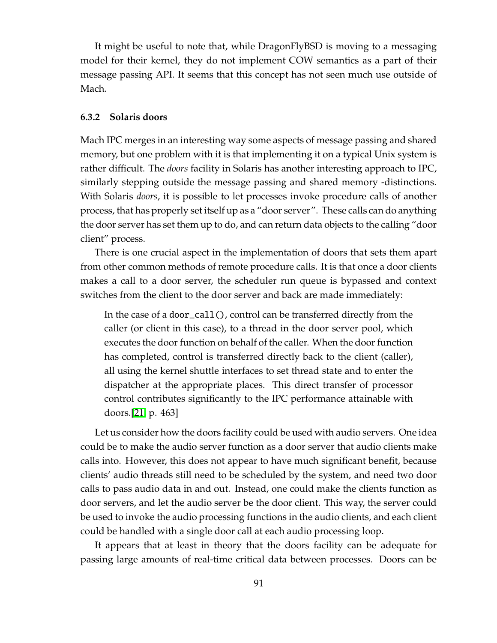It might be useful to note that, while DragonFlyBSD is moving to a messaging model for their kernel, they do not implement COW semantics as a part of their message passing API. It seems that this concept has not seen much use outside of Mach.

#### **6.3.2 Solaris doors**

Mach IPC merges in an interesting way some aspects of message passing and shared memory, but one problem with it is that implementing it on a typical Unix system is rather difficult. The *doors* facility in Solaris has another interesting approach to IPC, similarly stepping outside the message passing and shared memory -distinctions. With Solaris *doors*, it is possible to let processes invoke procedure calls of another process, that has properly set itself up as a "door server". These calls can do anything the door server has set them up to do, and can return data objects to the calling "door client" process.

There is one crucial aspect in the implementation of doors that sets them apart from other common methods of remote procedure calls. It is that once a door clients makes a call to a door server, the scheduler run queue is bypassed and context switches from the client to the door server and back are made immediately:

In the case of a door\_call(), control can be transferred directly from the caller (or client in this case), to a thread in the door server pool, which executes the door function on behalf of the caller. When the door function has completed, control is transferred directly back to the client (caller), all using the kernel shuttle interfaces to set thread state and to enter the dispatcher at the appropriate places. This direct transfer of processor control contributes significantly to the IPC performance attainable with doors.[\[21,](#page-125-6) p. 463]

Let us consider how the doors facility could be used with audio servers. One idea could be to make the audio server function as a door server that audio clients make calls into. However, this does not appear to have much significant benefit, because clients' audio threads still need to be scheduled by the system, and need two door calls to pass audio data in and out. Instead, one could make the clients function as door servers, and let the audio server be the door client. This way, the server could be used to invoke the audio processing functions in the audio clients, and each client could be handled with a single door call at each audio processing loop.

It appears that at least in theory that the doors facility can be adequate for passing large amounts of real-time critical data between processes. Doors can be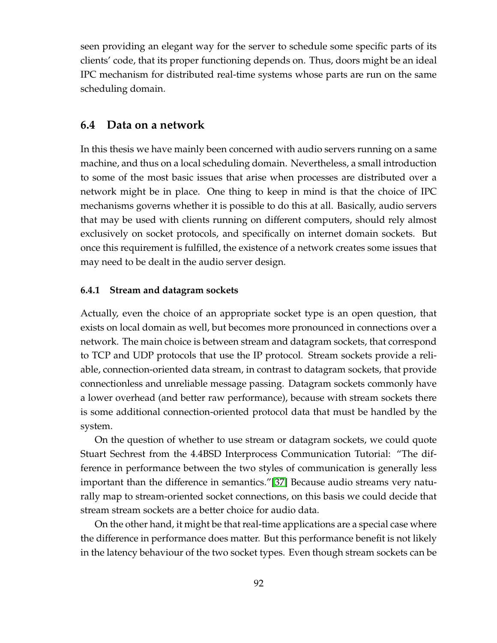seen providing an elegant way for the server to schedule some specific parts of its clients' code, that its proper functioning depends on. Thus, doors might be an ideal IPC mechanism for distributed real-time systems whose parts are run on the same scheduling domain.

# **6.4 Data on a network**

In this thesis we have mainly been concerned with audio servers running on a same machine, and thus on a local scheduling domain. Nevertheless, a small introduction to some of the most basic issues that arise when processes are distributed over a network might be in place. One thing to keep in mind is that the choice of IPC mechanisms governs whether it is possible to do this at all. Basically, audio servers that may be used with clients running on different computers, should rely almost exclusively on socket protocols, and specifically on internet domain sockets. But once this requirement is fulfilled, the existence of a network creates some issues that may need to be dealt in the audio server design.

### **6.4.1 Stream and datagram sockets**

Actually, even the choice of an appropriate socket type is an open question, that exists on local domain as well, but becomes more pronounced in connections over a network. The main choice is between stream and datagram sockets, that correspond to TCP and UDP protocols that use the IP protocol. Stream sockets provide a reliable, connection-oriented data stream, in contrast to datagram sockets, that provide connectionless and unreliable message passing. Datagram sockets commonly have a lower overhead (and better raw performance), because with stream sockets there is some additional connection-oriented protocol data that must be handled by the system.

On the question of whether to use stream or datagram sockets, we could quote Stuart Sechrest from the 4.4BSD Interprocess Communication Tutorial: "The difference in performance between the two styles of communication is generally less important than the difference in semantics."[\[37\]](#page-126-2) Because audio streams very naturally map to stream-oriented socket connections, on this basis we could decide that stream stream sockets are a better choice for audio data.

On the other hand, it might be that real-time applications are a special case where the difference in performance does matter. But this performance benefit is not likely in the latency behaviour of the two socket types. Even though stream sockets can be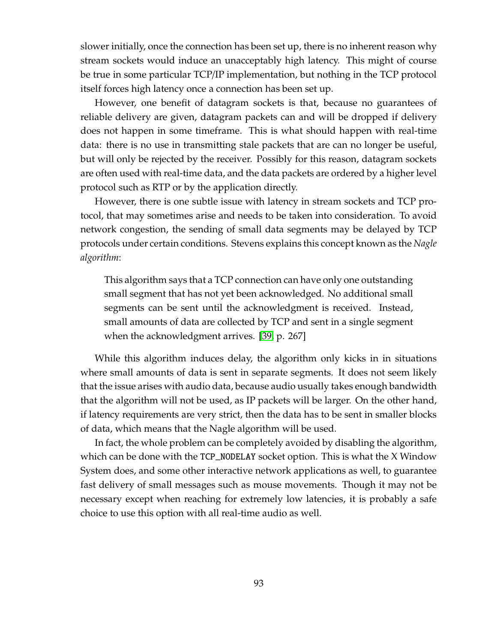slower initially, once the connection has been set up, there is no inherent reason why stream sockets would induce an unacceptably high latency. This might of course be true in some particular TCP/IP implementation, but nothing in the TCP protocol itself forces high latency once a connection has been set up.

However, one benefit of datagram sockets is that, because no guarantees of reliable delivery are given, datagram packets can and will be dropped if delivery does not happen in some timeframe. This is what should happen with real-time data: there is no use in transmitting stale packets that are can no longer be useful, but will only be rejected by the receiver. Possibly for this reason, datagram sockets are often used with real-time data, and the data packets are ordered by a higher level protocol such as RTP or by the application directly.

However, there is one subtle issue with latency in stream sockets and TCP protocol, that may sometimes arise and needs to be taken into consideration. To avoid network congestion, the sending of small data segments may be delayed by TCP protocols under certain conditions. Stevens explains this concept known as the *Nagle algorithm*:

This algorithm says that a TCP connection can have only one outstanding small segment that has not yet been acknowledged. No additional small segments can be sent until the acknowledgment is received. Instead, small amounts of data are collected by TCP and sent in a single segment when the acknowledgment arrives. [\[39,](#page-127-2) p. 267]

While this algorithm induces delay, the algorithm only kicks in in situations where small amounts of data is sent in separate segments. It does not seem likely that the issue arises with audio data, because audio usually takes enough bandwidth that the algorithm will not be used, as IP packets will be larger. On the other hand, if latency requirements are very strict, then the data has to be sent in smaller blocks of data, which means that the Nagle algorithm will be used.

In fact, the whole problem can be completely avoided by disabling the algorithm, which can be done with the TCP\_NODELAY socket option. This is what the X Window System does, and some other interactive network applications as well, to guarantee fast delivery of small messages such as mouse movements. Though it may not be necessary except when reaching for extremely low latencies, it is probably a safe choice to use this option with all real-time audio as well.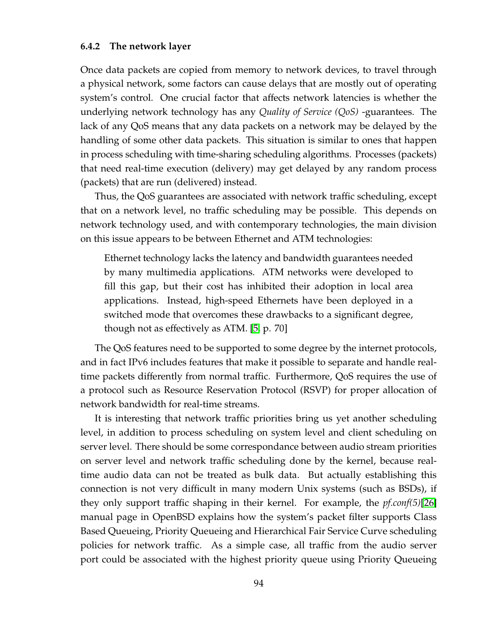#### **6.4.2 The network layer**

Once data packets are copied from memory to network devices, to travel through a physical network, some factors can cause delays that are mostly out of operating system's control. One crucial factor that affects network latencies is whether the underlying network technology has any *Quality of Service (QoS)* -guarantees. The lack of any QoS means that any data packets on a network may be delayed by the handling of some other data packets. This situation is similar to ones that happen in process scheduling with time-sharing scheduling algorithms. Processes (packets) that need real-time execution (delivery) may get delayed by any random process (packets) that are run (delivered) instead.

Thus, the QoS guarantees are associated with network traffic scheduling, except that on a network level, no traffic scheduling may be possible. This depends on network technology used, and with contemporary technologies, the main division on this issue appears to be between Ethernet and ATM technologies:

Ethernet technology lacks the latency and bandwidth guarantees needed by many multimedia applications. ATM networks were developed to fill this gap, but their cost has inhibited their adoption in local area applications. Instead, high-speed Ethernets have been deployed in a switched mode that overcomes these drawbacks to a significant degree, though not as effectively as ATM. [\[5,](#page-124-5) p. 70]

The QoS features need to be supported to some degree by the internet protocols, and in fact IPv6 includes features that make it possible to separate and handle realtime packets differently from normal traffic. Furthermore, QoS requires the use of a protocol such as Resource Reservation Protocol (RSVP) for proper allocation of network bandwidth for real-time streams.

It is interesting that network traffic priorities bring us yet another scheduling level, in addition to process scheduling on system level and client scheduling on server level. There should be some correspondance between audio stream priorities on server level and network traffic scheduling done by the kernel, because realtime audio data can not be treated as bulk data. But actually establishing this connection is not very difficult in many modern Unix systems (such as BSDs), if they only support traffic shaping in their kernel. For example, the *pf.conf(5)*[\[26\]](#page-126-1) manual page in OpenBSD explains how the system's packet filter supports Class Based Queueing, Priority Queueing and Hierarchical Fair Service Curve scheduling policies for network traffic. As a simple case, all traffic from the audio server port could be associated with the highest priority queue using Priority Queueing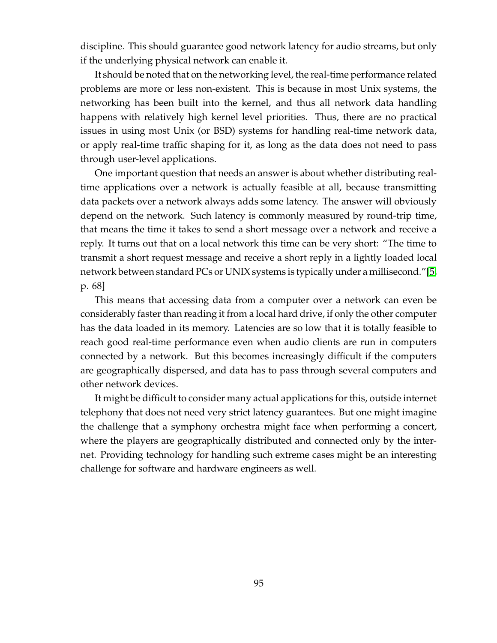discipline. This should guarantee good network latency for audio streams, but only if the underlying physical network can enable it.

It should be noted that on the networking level, the real-time performance related problems are more or less non-existent. This is because in most Unix systems, the networking has been built into the kernel, and thus all network data handling happens with relatively high kernel level priorities. Thus, there are no practical issues in using most Unix (or BSD) systems for handling real-time network data, or apply real-time traffic shaping for it, as long as the data does not need to pass through user-level applications.

One important question that needs an answer is about whether distributing realtime applications over a network is actually feasible at all, because transmitting data packets over a network always adds some latency. The answer will obviously depend on the network. Such latency is commonly measured by round-trip time, that means the time it takes to send a short message over a network and receive a reply. It turns out that on a local network this time can be very short: "The time to transmit a short request message and receive a short reply in a lightly loaded local network between standard PCs or UNIX systems is typically under a millisecond."[\[5,](#page-124-5) p. 68]

This means that accessing data from a computer over a network can even be considerably faster than reading it from a local hard drive, if only the other computer has the data loaded in its memory. Latencies are so low that it is totally feasible to reach good real-time performance even when audio clients are run in computers connected by a network. But this becomes increasingly difficult if the computers are geographically dispersed, and data has to pass through several computers and other network devices.

It might be difficult to consider many actual applications for this, outside internet telephony that does not need very strict latency guarantees. But one might imagine the challenge that a symphony orchestra might face when performing a concert, where the players are geographically distributed and connected only by the internet. Providing technology for handling such extreme cases might be an interesting challenge for software and hardware engineers as well.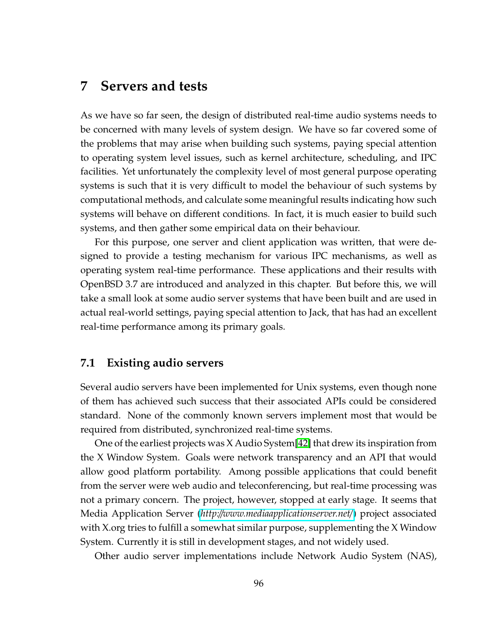# <span id="page-104-0"></span>**7 Servers and tests**

As we have so far seen, the design of distributed real-time audio systems needs to be concerned with many levels of system design. We have so far covered some of the problems that may arise when building such systems, paying special attention to operating system level issues, such as kernel architecture, scheduling, and IPC facilities. Yet unfortunately the complexity level of most general purpose operating systems is such that it is very difficult to model the behaviour of such systems by computational methods, and calculate some meaningful results indicating how such systems will behave on different conditions. In fact, it is much easier to build such systems, and then gather some empirical data on their behaviour.

For this purpose, one server and client application was written, that were designed to provide a testing mechanism for various IPC mechanisms, as well as operating system real-time performance. These applications and their results with OpenBSD 3.7 are introduced and analyzed in this chapter. But before this, we will take a small look at some audio server systems that have been built and are used in actual real-world settings, paying special attention to Jack, that has had an excellent real-time performance among its primary goals.

# **7.1 Existing audio servers**

Several audio servers have been implemented for Unix systems, even though none of them has achieved such success that their associated APIs could be considered standard. None of the commonly known servers implement most that would be required from distributed, synchronized real-time systems.

One of the earliest projects was X Audio System[\[42\]](#page-127-3) that drew its inspiration from the X Window System. Goals were network transparency and an API that would allow good platform portability. Among possible applications that could benefit from the server were web audio and teleconferencing, but real-time processing was not a primary concern. The project, however, stopped at early stage. It seems that Media Application Server (*http:*//*[www.mediaapplicationserver.net](http://www.mediaapplicationserver.net/)*/) project associated with X.org tries to fulfill a somewhat similar purpose, supplementing the X Window System. Currently it is still in development stages, and not widely used.

Other audio server implementations include Network Audio System (NAS),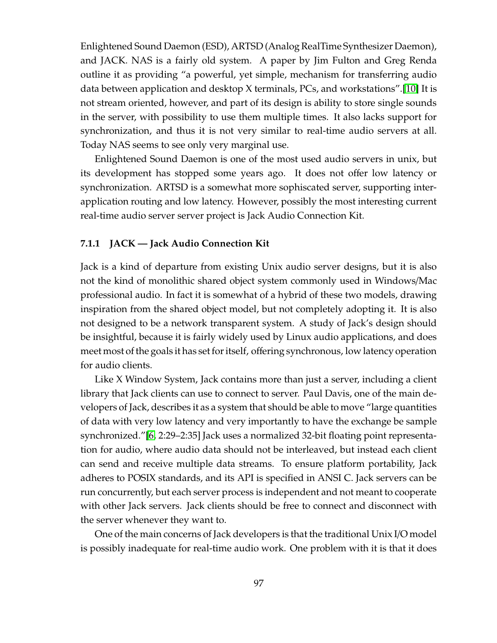Enlightened Sound Daemon (ESD), ARTSD (Analog RealTime Synthesizer Daemon), and JACK. NAS is a fairly old system. A paper by Jim Fulton and Greg Renda outline it as providing "a powerful, yet simple, mechanism for transferring audio data between application and desktop X terminals, PCs, and workstations".[\[10\]](#page-124-6) It is not stream oriented, however, and part of its design is ability to store single sounds in the server, with possibility to use them multiple times. It also lacks support for synchronization, and thus it is not very similar to real-time audio servers at all. Today NAS seems to see only very marginal use.

Enlightened Sound Daemon is one of the most used audio servers in unix, but its development has stopped some years ago. It does not offer low latency or synchronization. ARTSD is a somewhat more sophiscated server, supporting interapplication routing and low latency. However, possibly the most interesting current real-time audio server server project is Jack Audio Connection Kit.

### **7.1.1 JACK — Jack Audio Connection Kit**

Jack is a kind of departure from existing Unix audio server designs, but it is also not the kind of monolithic shared object system commonly used in Windows/Mac professional audio. In fact it is somewhat of a hybrid of these two models, drawing inspiration from the shared object model, but not completely adopting it. It is also not designed to be a network transparent system. A study of Jack's design should be insightful, because it is fairly widely used by Linux audio applications, and does meet most of the goals it has set for itself, offering synchronous, low latency operation for audio clients.

Like X Window System, Jack contains more than just a server, including a client library that Jack clients can use to connect to server. Paul Davis, one of the main developers of Jack, describes it as a system that should be able to move "large quantities of data with very low latency and very importantly to have the exchange be sample synchronized."[\[6,](#page-124-4) 2:29–2:35] Jack uses a normalized 32-bit floating point representation for audio, where audio data should not be interleaved, but instead each client can send and receive multiple data streams. To ensure platform portability, Jack adheres to POSIX standards, and its API is specified in ANSI C. Jack servers can be run concurrently, but each server process is independent and not meant to cooperate with other Jack servers. Jack clients should be free to connect and disconnect with the server whenever they want to.

One of the main concerns of Jack developers is that the traditional Unix I/O model is possibly inadequate for real-time audio work. One problem with it is that it does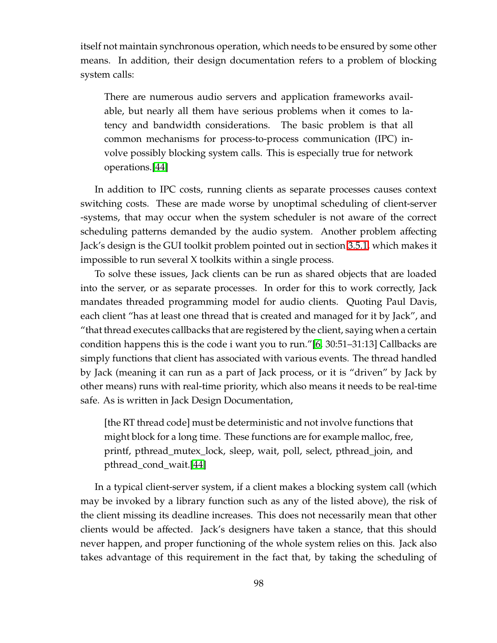itself not maintain synchronous operation, which needs to be ensured by some other means. In addition, their design documentation refers to a problem of blocking system calls:

There are numerous audio servers and application frameworks available, but nearly all them have serious problems when it comes to latency and bandwidth considerations. The basic problem is that all common mechanisms for process-to-process communication (IPC) involve possibly blocking system calls. This is especially true for network operations.[\[44\]](#page-127-4)

In addition to IPC costs, running clients as separate processes causes context switching costs. These are made worse by unoptimal scheduling of client-server -systems, that may occur when the system scheduler is not aware of the correct scheduling patterns demanded by the audio system. Another problem affecting Jack's design is the GUI toolkit problem pointed out in section [3.5.1,](#page-37-0) which makes it impossible to run several X toolkits within a single process.

To solve these issues, Jack clients can be run as shared objects that are loaded into the server, or as separate processes. In order for this to work correctly, Jack mandates threaded programming model for audio clients. Quoting Paul Davis, each client "has at least one thread that is created and managed for it by Jack", and "that thread executes callbacks that are registered by the client, saying when a certain condition happens this is the code i want you to run."[\[6,](#page-124-4) 30:51–31:13] Callbacks are simply functions that client has associated with various events. The thread handled by Jack (meaning it can run as a part of Jack process, or it is "driven" by Jack by other means) runs with real-time priority, which also means it needs to be real-time safe. As is written in Jack Design Documentation,

[the RT thread code] must be deterministic and not involve functions that might block for a long time. These functions are for example malloc, free, printf, pthread\_mutex\_lock, sleep, wait, poll, select, pthread\_join, and pthread\_cond\_wait.[\[44\]](#page-127-4)

In a typical client-server system, if a client makes a blocking system call (which may be invoked by a library function such as any of the listed above), the risk of the client missing its deadline increases. This does not necessarily mean that other clients would be affected. Jack's designers have taken a stance, that this should never happen, and proper functioning of the whole system relies on this. Jack also takes advantage of this requirement in the fact that, by taking the scheduling of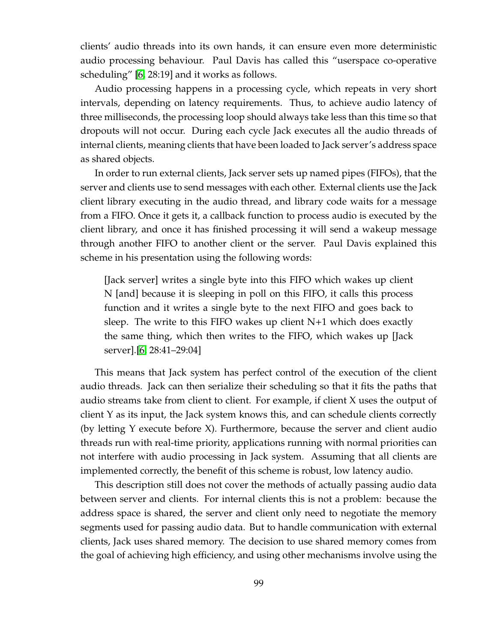clients' audio threads into its own hands, it can ensure even more deterministic audio processing behaviour. Paul Davis has called this "userspace co-operative scheduling" [\[6,](#page-124-4) 28:19] and it works as follows.

Audio processing happens in a processing cycle, which repeats in very short intervals, depending on latency requirements. Thus, to achieve audio latency of three milliseconds, the processing loop should always take less than this time so that dropouts will not occur. During each cycle Jack executes all the audio threads of internal clients, meaning clients that have been loaded to Jack server's address space as shared objects.

In order to run external clients, Jack server sets up named pipes (FIFOs), that the server and clients use to send messages with each other. External clients use the Jack client library executing in the audio thread, and library code waits for a message from a FIFO. Once it gets it, a callback function to process audio is executed by the client library, and once it has finished processing it will send a wakeup message through another FIFO to another client or the server. Paul Davis explained this scheme in his presentation using the following words:

[Jack server] writes a single byte into this FIFO which wakes up client N [and] because it is sleeping in poll on this FIFO, it calls this process function and it writes a single byte to the next FIFO and goes back to sleep. The write to this FIFO wakes up client N+1 which does exactly the same thing, which then writes to the FIFO, which wakes up [Jack server].[\[6,](#page-124-4) 28:41–29:04]

This means that Jack system has perfect control of the execution of the client audio threads. Jack can then serialize their scheduling so that it fits the paths that audio streams take from client to client. For example, if client X uses the output of client Y as its input, the Jack system knows this, and can schedule clients correctly (by letting Y execute before X). Furthermore, because the server and client audio threads run with real-time priority, applications running with normal priorities can not interfere with audio processing in Jack system. Assuming that all clients are implemented correctly, the benefit of this scheme is robust, low latency audio.

This description still does not cover the methods of actually passing audio data between server and clients. For internal clients this is not a problem: because the address space is shared, the server and client only need to negotiate the memory segments used for passing audio data. But to handle communication with external clients, Jack uses shared memory. The decision to use shared memory comes from the goal of achieving high efficiency, and using other mechanisms involve using the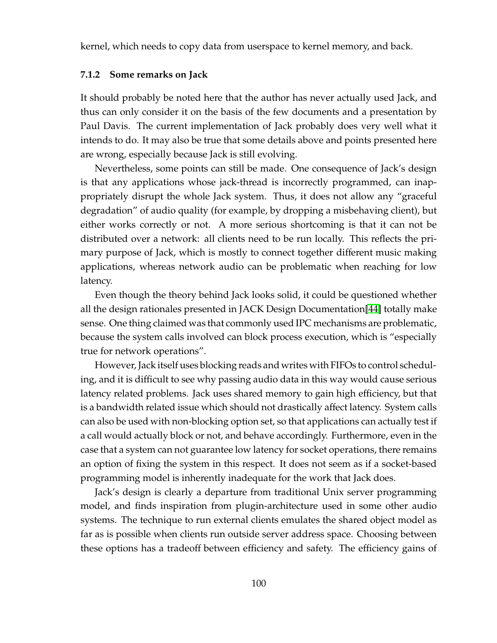kernel, which needs to copy data from userspace to kernel memory, and back.

#### **7.1.2 Some remarks on Jack**

It should probably be noted here that the author has never actually used Jack, and thus can only consider it on the basis of the few documents and a presentation by Paul Davis. The current implementation of Jack probably does very well what it intends to do. It may also be true that some details above and points presented here are wrong, especially because Jack is still evolving.

Nevertheless, some points can still be made. One consequence of Jack's design is that any applications whose jack-thread is incorrectly programmed, can inappropriately disrupt the whole Jack system. Thus, it does not allow any "graceful degradation" of audio quality (for example, by dropping a misbehaving client), but either works correctly or not. A more serious shortcoming is that it can not be distributed over a network: all clients need to be run locally. This reflects the primary purpose of Jack, which is mostly to connect together different music making applications, whereas network audio can be problematic when reaching for low latency.

Even though the theory behind Jack looks solid, it could be questioned whether all the design rationales presented in JACK Design Documentation[\[44\]](#page-127-0) totally make sense. One thing claimed was that commonly used IPC mechanisms are problematic, because the system calls involved can block process execution, which is "especially true for network operations".

However, Jack itself uses blocking reads and writes with FIFOs to control scheduling, and it is difficult to see why passing audio data in this way would cause serious latency related problems. Jack uses shared memory to gain high efficiency, but that is a bandwidth related issue which should not drastically affect latency. System calls can also be used with non-blocking option set, so that applications can actually test if a call would actually block or not, and behave accordingly. Furthermore, even in the case that a system can not guarantee low latency for socket operations, there remains an option of fixing the system in this respect. It does not seem as if a socket-based programming model is inherently inadequate for the work that Jack does.

Jack's design is clearly a departure from traditional Unix server programming model, and finds inspiration from plugin-architecture used in some other audio systems. The technique to run external clients emulates the shared object model as far as is possible when clients run outside server address space. Choosing between these options has a tradeoff between efficiency and safety. The efficiency gains of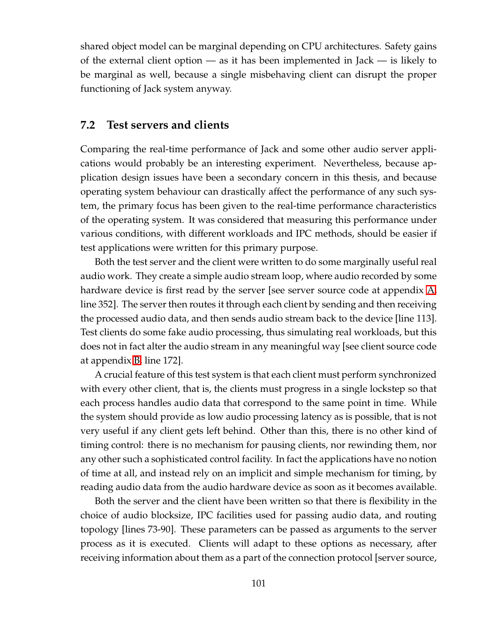shared object model can be marginal depending on CPU architectures. Safety gains of the external client option — as it has been implemented in Jack — is likely to be marginal as well, because a single misbehaving client can disrupt the proper functioning of Jack system anyway.

#### **7.2 Test servers and clients**

Comparing the real-time performance of Jack and some other audio server applications would probably be an interesting experiment. Nevertheless, because application design issues have been a secondary concern in this thesis, and because operating system behaviour can drastically affect the performance of any such system, the primary focus has been given to the real-time performance characteristics of the operating system. It was considered that measuring this performance under various conditions, with different workloads and IPC methods, should be easier if test applications were written for this primary purpose.

Both the test server and the client were written to do some marginally useful real audio work. They create a simple audio stream loop, where audio recorded by some hardware device is first read by the server [see server source code at appendix [A,](#page-128-0) line 352]. The server then routes it through each client by sending and then receiving the processed audio data, and then sends audio stream back to the device [line 113]. Test clients do some fake audio processing, thus simulating real workloads, but this does not in fact alter the audio stream in any meaningful way [see client source code at appendix [B,](#page-138-0) line 172].

A crucial feature of this test system is that each client must perform synchronized with every other client, that is, the clients must progress in a single lockstep so that each process handles audio data that correspond to the same point in time. While the system should provide as low audio processing latency as is possible, that is not very useful if any client gets left behind. Other than this, there is no other kind of timing control: there is no mechanism for pausing clients, nor rewinding them, nor any other such a sophisticated control facility. In fact the applications have no notion of time at all, and instead rely on an implicit and simple mechanism for timing, by reading audio data from the audio hardware device as soon as it becomes available.

Both the server and the client have been written so that there is flexibility in the choice of audio blocksize, IPC facilities used for passing audio data, and routing topology [lines 73-90]. These parameters can be passed as arguments to the server process as it is executed. Clients will adapt to these options as necessary, after receiving information about them as a part of the connection protocol [server source,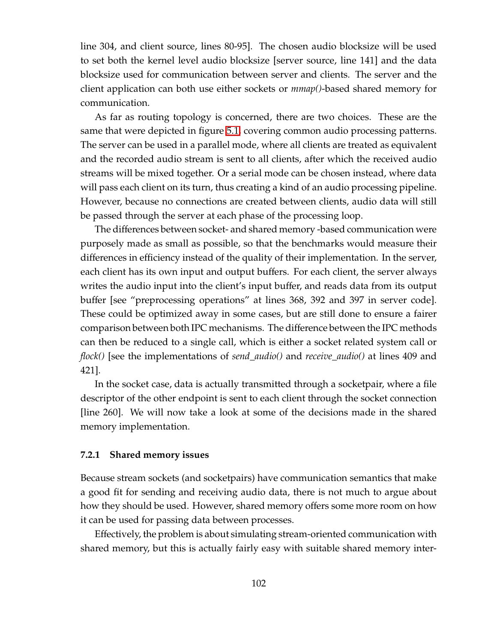line 304, and client source, lines 80-95]. The chosen audio blocksize will be used to set both the kernel level audio blocksize [server source, line 141] and the data blocksize used for communication between server and clients. The server and the client application can both use either sockets or *mmap()*-based shared memory for communication.

As far as routing topology is concerned, there are two choices. These are the same that were depicted in figure [5.1,](#page-74-0) covering common audio processing patterns. The server can be used in a parallel mode, where all clients are treated as equivalent and the recorded audio stream is sent to all clients, after which the received audio streams will be mixed together. Or a serial mode can be chosen instead, where data will pass each client on its turn, thus creating a kind of an audio processing pipeline. However, because no connections are created between clients, audio data will still be passed through the server at each phase of the processing loop.

The differences between socket- and shared memory -based communication were purposely made as small as possible, so that the benchmarks would measure their differences in efficiency instead of the quality of their implementation. In the server, each client has its own input and output buffers. For each client, the server always writes the audio input into the client's input buffer, and reads data from its output buffer [see "preprocessing operations" at lines 368, 392 and 397 in server code]. These could be optimized away in some cases, but are still done to ensure a fairer comparison between both IPC mechanisms. The difference between the IPC methods can then be reduced to a single call, which is either a socket related system call or *flock()* [see the implementations of *send\_audio()* and *receive\_audio()* at lines 409 and 421].

In the socket case, data is actually transmitted through a socketpair, where a file descriptor of the other endpoint is sent to each client through the socket connection [line 260]. We will now take a look at some of the decisions made in the shared memory implementation.

#### **7.2.1 Shared memory issues**

Because stream sockets (and socketpairs) have communication semantics that make a good fit for sending and receiving audio data, there is not much to argue about how they should be used. However, shared memory offers some more room on how it can be used for passing data between processes.

Effectively, the problem is about simulating stream-oriented communication with shared memory, but this is actually fairly easy with suitable shared memory inter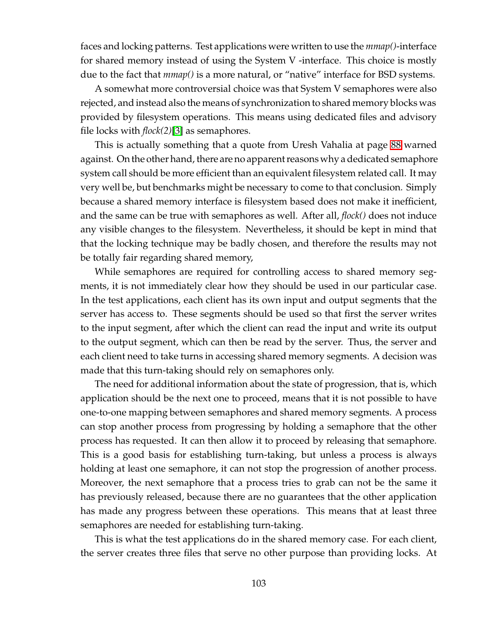faces and locking patterns. Test applications were written to use the *mmap()*-interface for shared memory instead of using the System V -interface. This choice is mostly due to the fact that *mmap()* is a more natural, or "native" interface for BSD systems.

A somewhat more controversial choice was that System V semaphores were also rejected, and instead also the means of synchronization to shared memory blocks was provided by filesystem operations. This means using dedicated files and advisory file locks with *flock(2)*[\[3\]](#page-124-0) as semaphores.

This is actually something that a quote from Uresh Vahalia at page [88](#page-94-0) warned against. On the other hand, there are no apparent reasons why a dedicated semaphore system call should be more efficient than an equivalent filesystem related call. It may very well be, but benchmarks might be necessary to come to that conclusion. Simply because a shared memory interface is filesystem based does not make it inefficient, and the same can be true with semaphores as well. After all, *flock()* does not induce any visible changes to the filesystem. Nevertheless, it should be kept in mind that that the locking technique may be badly chosen, and therefore the results may not be totally fair regarding shared memory,

While semaphores are required for controlling access to shared memory segments, it is not immediately clear how they should be used in our particular case. In the test applications, each client has its own input and output segments that the server has access to. These segments should be used so that first the server writes to the input segment, after which the client can read the input and write its output to the output segment, which can then be read by the server. Thus, the server and each client need to take turns in accessing shared memory segments. A decision was made that this turn-taking should rely on semaphores only.

The need for additional information about the state of progression, that is, which application should be the next one to proceed, means that it is not possible to have one-to-one mapping between semaphores and shared memory segments. A process can stop another process from progressing by holding a semaphore that the other process has requested. It can then allow it to proceed by releasing that semaphore. This is a good basis for establishing turn-taking, but unless a process is always holding at least one semaphore, it can not stop the progression of another process. Moreover, the next semaphore that a process tries to grab can not be the same it has previously released, because there are no guarantees that the other application has made any progress between these operations. This means that at least three semaphores are needed for establishing turn-taking.

This is what the test applications do in the shared memory case. For each client, the server creates three files that serve no other purpose than providing locks. At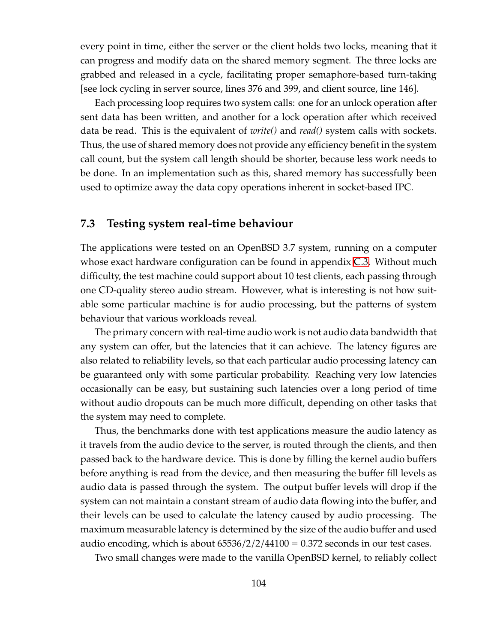every point in time, either the server or the client holds two locks, meaning that it can progress and modify data on the shared memory segment. The three locks are grabbed and released in a cycle, facilitating proper semaphore-based turn-taking [see lock cycling in server source, lines 376 and 399, and client source, line 146].

Each processing loop requires two system calls: one for an unlock operation after sent data has been written, and another for a lock operation after which received data be read. This is the equivalent of *write()* and *read()* system calls with sockets. Thus, the use of shared memory does not provide any efficiency benefit in the system call count, but the system call length should be shorter, because less work needs to be done. In an implementation such as this, shared memory has successfully been used to optimize away the data copy operations inherent in socket-based IPC.

## **7.3 Testing system real-time behaviour**

The applications were tested on an OpenBSD 3.7 system, running on a computer whose exact hardware configuration can be found in appendix [C.3.](#page-144-0) Without much difficulty, the test machine could support about 10 test clients, each passing through one CD-quality stereo audio stream. However, what is interesting is not how suitable some particular machine is for audio processing, but the patterns of system behaviour that various workloads reveal.

The primary concern with real-time audio work is not audio data bandwidth that any system can offer, but the latencies that it can achieve. The latency figures are also related to reliability levels, so that each particular audio processing latency can be guaranteed only with some particular probability. Reaching very low latencies occasionally can be easy, but sustaining such latencies over a long period of time without audio dropouts can be much more difficult, depending on other tasks that the system may need to complete.

Thus, the benchmarks done with test applications measure the audio latency as it travels from the audio device to the server, is routed through the clients, and then passed back to the hardware device. This is done by filling the kernel audio buffers before anything is read from the device, and then measuring the buffer fill levels as audio data is passed through the system. The output buffer levels will drop if the system can not maintain a constant stream of audio data flowing into the buffer, and their levels can be used to calculate the latency caused by audio processing. The maximum measurable latency is determined by the size of the audio buffer and used audio encoding, which is about  $65536/2/2/44100 = 0.372$  seconds in our test cases.

Two small changes were made to the vanilla OpenBSD kernel, to reliably collect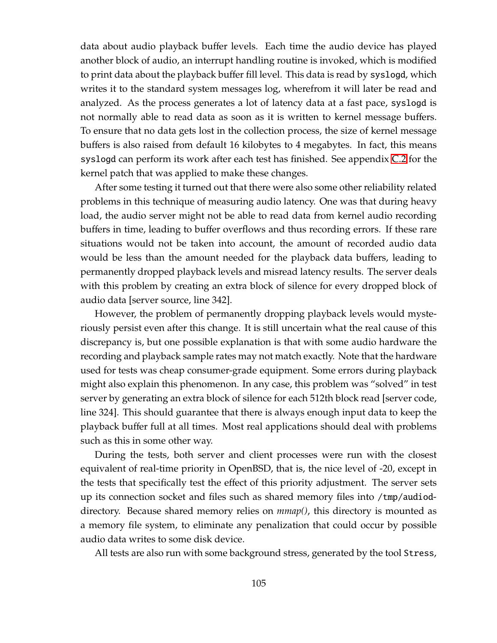data about audio playback buffer levels. Each time the audio device has played another block of audio, an interrupt handling routine is invoked, which is modified to print data about the playback buffer fill level. This data is read by syslogd, which writes it to the standard system messages log, wherefrom it will later be read and analyzed. As the process generates a lot of latency data at a fast pace, syslogd is not normally able to read data as soon as it is written to kernel message buffers. To ensure that no data gets lost in the collection process, the size of kernel message buffers is also raised from default 16 kilobytes to 4 megabytes. In fact, this means syslogd can perform its work after each test has finished. See appendix [C.2](#page-143-0) for the kernel patch that was applied to make these changes.

After some testing it turned out that there were also some other reliability related problems in this technique of measuring audio latency. One was that during heavy load, the audio server might not be able to read data from kernel audio recording buffers in time, leading to buffer overflows and thus recording errors. If these rare situations would not be taken into account, the amount of recorded audio data would be less than the amount needed for the playback data buffers, leading to permanently dropped playback levels and misread latency results. The server deals with this problem by creating an extra block of silence for every dropped block of audio data [server source, line 342].

However, the problem of permanently dropping playback levels would mysteriously persist even after this change. It is still uncertain what the real cause of this discrepancy is, but one possible explanation is that with some audio hardware the recording and playback sample rates may not match exactly. Note that the hardware used for tests was cheap consumer-grade equipment. Some errors during playback might also explain this phenomenon. In any case, this problem was "solved" in test server by generating an extra block of silence for each 512th block read [server code, line 324]. This should guarantee that there is always enough input data to keep the playback buffer full at all times. Most real applications should deal with problems such as this in some other way.

During the tests, both server and client processes were run with the closest equivalent of real-time priority in OpenBSD, that is, the nice level of -20, except in the tests that specifically test the effect of this priority adjustment. The server sets up its connection socket and files such as shared memory files into /tmp/audioddirectory. Because shared memory relies on *mmap()*, this directory is mounted as a memory file system, to eliminate any penalization that could occur by possible audio data writes to some disk device.

All tests are also run with some background stress, generated by the tool Stress,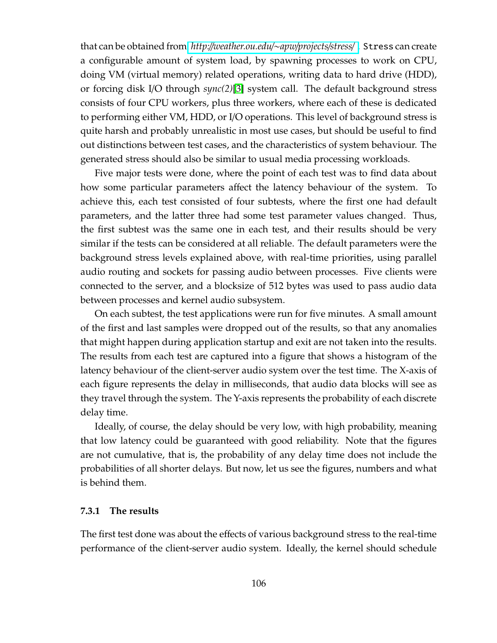that can be obtained from *http:*//*[weather.ou.edu](http://weather.ou.edu/~apw/projects/stress/)*/∼*apw*/*projects*/*stress*/ . Stress can create a configurable amount of system load, by spawning processes to work on CPU, doing VM (virtual memory) related operations, writing data to hard drive (HDD), or forcing disk I/O through *sync(2)*[\[3\]](#page-124-0) system call. The default background stress consists of four CPU workers, plus three workers, where each of these is dedicated to performing either VM, HDD, or I/O operations. This level of background stress is quite harsh and probably unrealistic in most use cases, but should be useful to find out distinctions between test cases, and the characteristics of system behaviour. The generated stress should also be similar to usual media processing workloads.

Five major tests were done, where the point of each test was to find data about how some particular parameters affect the latency behaviour of the system. To achieve this, each test consisted of four subtests, where the first one had default parameters, and the latter three had some test parameter values changed. Thus, the first subtest was the same one in each test, and their results should be very similar if the tests can be considered at all reliable. The default parameters were the background stress levels explained above, with real-time priorities, using parallel audio routing and sockets for passing audio between processes. Five clients were connected to the server, and a blocksize of 512 bytes was used to pass audio data between processes and kernel audio subsystem.

On each subtest, the test applications were run for five minutes. A small amount of the first and last samples were dropped out of the results, so that any anomalies that might happen during application startup and exit are not taken into the results. The results from each test are captured into a figure that shows a histogram of the latency behaviour of the client-server audio system over the test time. The X-axis of each figure represents the delay in milliseconds, that audio data blocks will see as they travel through the system. The Y-axis represents the probability of each discrete delay time.

Ideally, of course, the delay should be very low, with high probability, meaning that low latency could be guaranteed with good reliability. Note that the figures are not cumulative, that is, the probability of any delay time does not include the probabilities of all shorter delays. But now, let us see the figures, numbers and what is behind them.

#### **7.3.1 The results**

The first test done was about the effects of various background stress to the real-time performance of the client-server audio system. Ideally, the kernel should schedule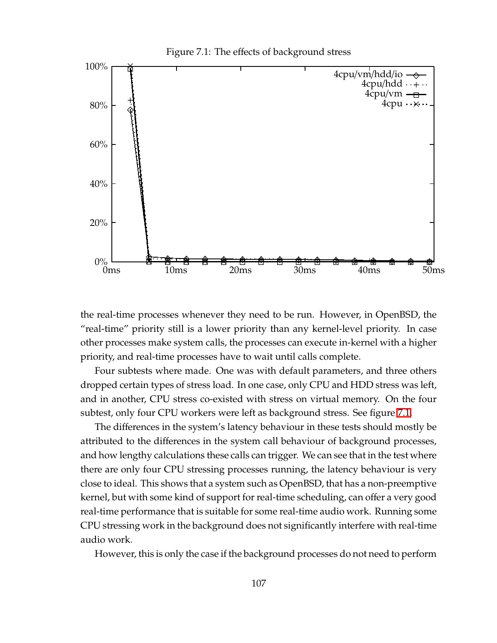<span id="page-115-0"></span>

the real-time processes whenever they need to be run. However, in OpenBSD, the "real-time" priority still is a lower priority than any kernel-level priority. In case other processes make system calls, the processes can execute in-kernel with a higher priority, and real-time processes have to wait until calls complete.

Four subtests where made. One was with default parameters, and three others dropped certain types of stress load. In one case, only CPU and HDD stress was left, and in another, CPU stress co-existed with stress on virtual memory. On the four subtest, only four CPU workers were left as background stress. See figure [7.1.](#page-115-0)

The differences in the system's latency behaviour in these tests should mostly be attributed to the differences in the system call behaviour of background processes, and how lengthy calculations these calls can trigger. We can see that in the test where there are only four CPU stressing processes running, the latency behaviour is very close to ideal. This shows that a system such as OpenBSD, that has a non-preemptive kernel, but with some kind of support for real-time scheduling, can offer a very good real-time performance that is suitable for some real-time audio work. Running some CPU stressing work in the background does not significantly interfere with real-time audio work.

However, this is only the case if the background processes do not need to perform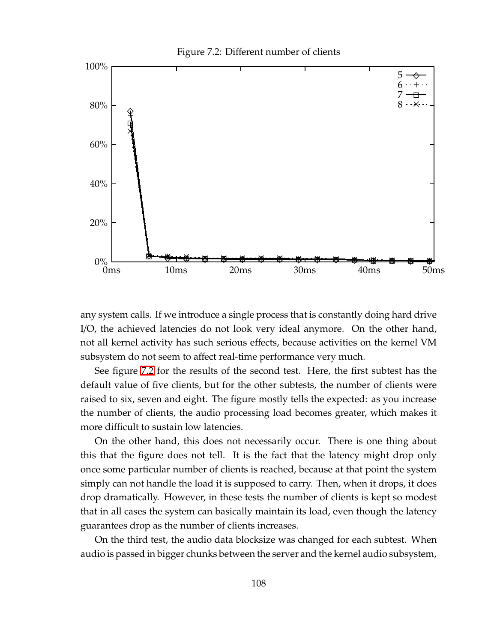<span id="page-116-0"></span>

any system calls. If we introduce a single process that is constantly doing hard drive I/O, the achieved latencies do not look very ideal anymore. On the other hand, not all kernel activity has such serious effects, because activities on the kernel VM subsystem do not seem to affect real-time performance very much.

See figure [7.2](#page-116-0) for the results of the second test. Here, the first subtest has the default value of five clients, but for the other subtests, the number of clients were raised to six, seven and eight. The figure mostly tells the expected: as you increase the number of clients, the audio processing load becomes greater, which makes it more difficult to sustain low latencies.

On the other hand, this does not necessarily occur. There is one thing about this that the figure does not tell. It is the fact that the latency might drop only once some particular number of clients is reached, because at that point the system simply can not handle the load it is supposed to carry. Then, when it drops, it does drop dramatically. However, in these tests the number of clients is kept so modest that in all cases the system can basically maintain its load, even though the latency guarantees drop as the number of clients increases.

On the third test, the audio data blocksize was changed for each subtest. When audio is passed in bigger chunks between the server and the kernel audio subsystem,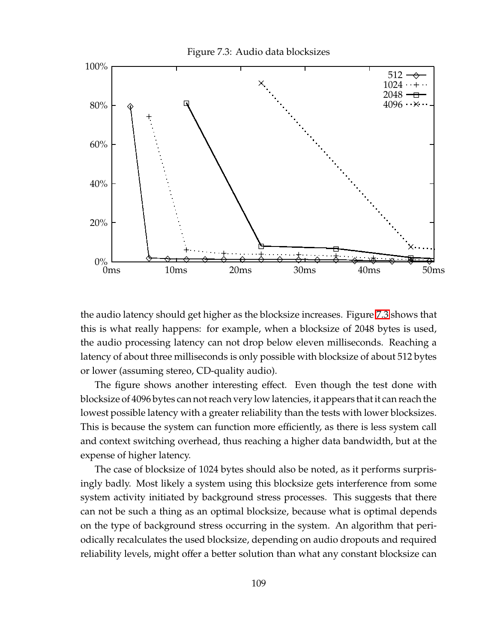<span id="page-117-0"></span>

the audio latency should get higher as the blocksize increases. Figure [7.3](#page-117-0) shows that this is what really happens: for example, when a blocksize of 2048 bytes is used, the audio processing latency can not drop below eleven milliseconds. Reaching a latency of about three milliseconds is only possible with blocksize of about 512 bytes or lower (assuming stereo, CD-quality audio).

The figure shows another interesting effect. Even though the test done with blocksize of 4096 bytes can notreach very low latencies, it appears that it can reach the lowest possible latency with a greater reliability than the tests with lower blocksizes. This is because the system can function more efficiently, as there is less system call and context switching overhead, thus reaching a higher data bandwidth, but at the expense of higher latency.

The case of blocksize of 1024 bytes should also be noted, as it performs surprisingly badly. Most likely a system using this blocksize gets interference from some system activity initiated by background stress processes. This suggests that there can not be such a thing as an optimal blocksize, because what is optimal depends on the type of background stress occurring in the system. An algorithm that periodically recalculates the used blocksize, depending on audio dropouts and required reliability levels, might offer a better solution than what any constant blocksize can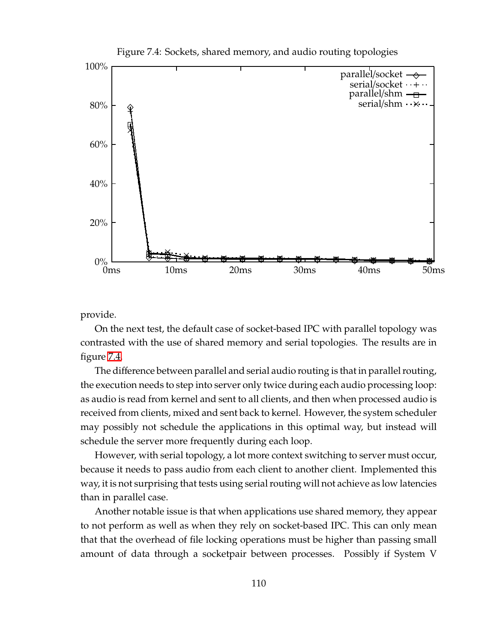

<span id="page-118-0"></span>Figure 7.4: Sockets, shared memory, and audio routing topologies

provide.

On the next test, the default case of socket-based IPC with parallel topology was contrasted with the use of shared memory and serial topologies. The results are in figure [7.4.](#page-118-0)

The difference between parallel and serial audio routing is that in parallel routing, the execution needs to step into server only twice during each audio processing loop: as audio is read from kernel and sent to all clients, and then when processed audio is received from clients, mixed and sent back to kernel. However, the system scheduler may possibly not schedule the applications in this optimal way, but instead will schedule the server more frequently during each loop.

However, with serial topology, a lot more context switching to server must occur, because it needs to pass audio from each client to another client. Implemented this way, it is not surprising that tests using serial routing will not achieve as low latencies than in parallel case.

Another notable issue is that when applications use shared memory, they appear to not perform as well as when they rely on socket-based IPC. This can only mean that that the overhead of file locking operations must be higher than passing small amount of data through a socketpair between processes. Possibly if System V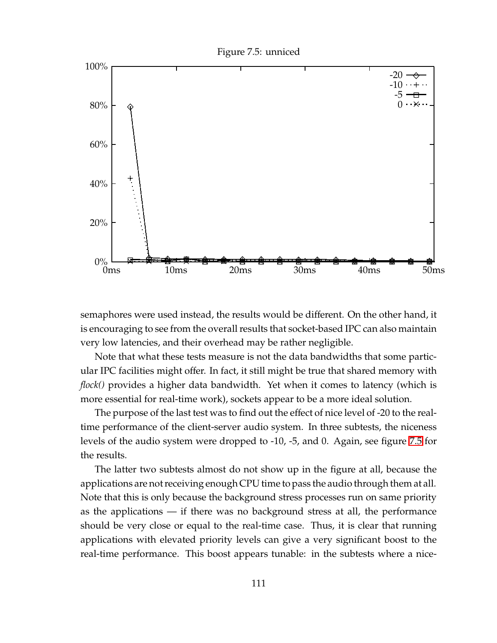<span id="page-119-0"></span>

semaphores were used instead, the results would be different. On the other hand, it is encouraging to see from the overall results that socket-based IPC can also maintain very low latencies, and their overhead may be rather negligible.

Note that what these tests measure is not the data bandwidths that some particular IPC facilities might offer. In fact, it still might be true that shared memory with *flock()* provides a higher data bandwidth. Yet when it comes to latency (which is more essential for real-time work), sockets appear to be a more ideal solution.

The purpose of the last test was to find out the effect of nice level of -20 to the realtime performance of the client-server audio system. In three subtests, the niceness levels of the audio system were dropped to -10, -5, and 0. Again, see figure [7.5](#page-119-0) for the results.

The latter two subtests almost do not show up in the figure at all, because the applications are not receiving enough CPU time to pass the audio through them at all. Note that this is only because the background stress processes run on same priority as the applications — if there was no background stress at all, the performance should be very close or equal to the real-time case. Thus, it is clear that running applications with elevated priority levels can give a very significant boost to the real-time performance. This boost appears tunable: in the subtests where a nice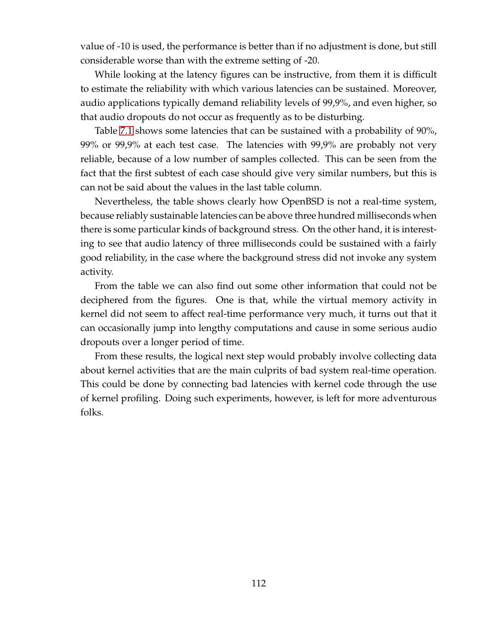value of -10 is used, the performance is better than if no adjustment is done, but still considerable worse than with the extreme setting of -20.

While looking at the latency figures can be instructive, from them it is difficult to estimate the reliability with which various latencies can be sustained. Moreover, audio applications typically demand reliability levels of 99,9%, and even higher, so that audio dropouts do not occur as frequently as to be disturbing.

Table [7.1](#page-121-0) shows some latencies that can be sustained with a probability of 90%, 99% or 99,9% at each test case. The latencies with 99,9% are probably not very reliable, because of a low number of samples collected. This can be seen from the fact that the first subtest of each case should give very similar numbers, but this is can not be said about the values in the last table column.

Nevertheless, the table shows clearly how OpenBSD is not a real-time system, because reliably sustainable latencies can be above three hundred milliseconds when there is some particular kinds of background stress. On the other hand, it is interesting to see that audio latency of three milliseconds could be sustained with a fairly good reliability, in the case where the background stress did not invoke any system activity.

From the table we can also find out some other information that could not be deciphered from the figures. One is that, while the virtual memory activity in kernel did not seem to affect real-time performance very much, it turns out that it can occasionally jump into lengthy computations and cause in some serious audio dropouts over a longer period of time.

From these results, the logical next step would probably involve collecting data about kernel activities that are the main culprits of bad system real-time operation. This could be done by connecting bad latencies with kernel code through the use of kernel profiling. Doing such experiments, however, is left for more adventurous folks.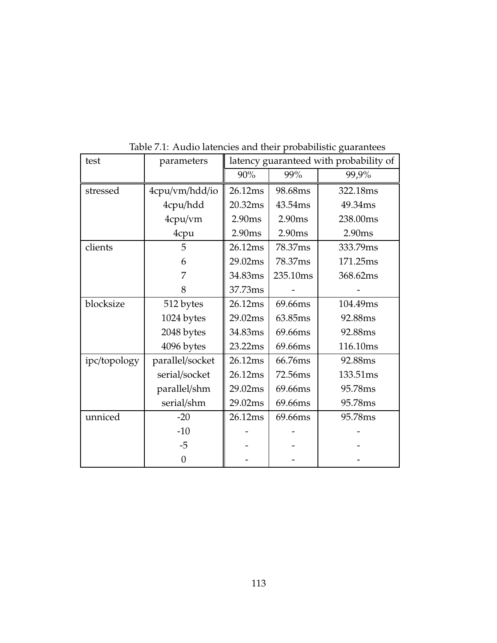| test         | parameters      | latency guaranteed with probability of |          |          |
|--------------|-----------------|----------------------------------------|----------|----------|
|              |                 | 90%                                    | 99%      | 99,9%    |
| stressed     | 4cpu/vm/hdd/io  | 26.12ms                                | 98.68ms  | 322.18ms |
|              | 4cpu/hdd        | 20.32ms                                | 43.54ms  | 49.34ms  |
|              | 4cpu/vm         | 2.90ms                                 | 2.90ms   | 238.00ms |
|              | 4cpu            | 2.90ms                                 | 2.90ms   | 2.90ms   |
| clients      | 5               | 26.12ms                                | 78.37ms  | 333.79ms |
|              | 6               | 29.02ms                                | 78.37ms  | 171.25ms |
|              | 7               | 34.83ms                                | 235.10ms | 368.62ms |
|              | 8               | 37.73ms                                |          |          |
| blocksize    | 512 bytes       | 26.12ms                                | 69.66ms  | 104.49ms |
|              | 1024 bytes      | 29.02ms                                | 63.85ms  | 92.88ms  |
|              | 2048 bytes      | 34.83ms                                | 69.66ms  | 92.88ms  |
|              | 4096 bytes      | 23.22ms                                | 69.66ms  | 116.10ms |
| ipc/topology | parallel/socket | 26.12ms                                | 66.76ms  | 92.88ms  |
|              | serial/socket   | 26.12ms                                | 72.56ms  | 133.51ms |
|              | parallel/shm    | 29.02ms                                | 69.66ms  | 95.78ms  |
|              | serial/shm      | 29.02ms                                | 69.66ms  | 95.78ms  |
| unniced      | $-20$           | 26.12ms                                | 69.66ms  | 95.78ms  |
|              | $-10$           |                                        |          |          |
|              | $-5$            |                                        |          |          |
|              | $\overline{0}$  |                                        |          |          |

<span id="page-121-0"></span>Table 7.1: Audio latencies and their probabilistic guarantees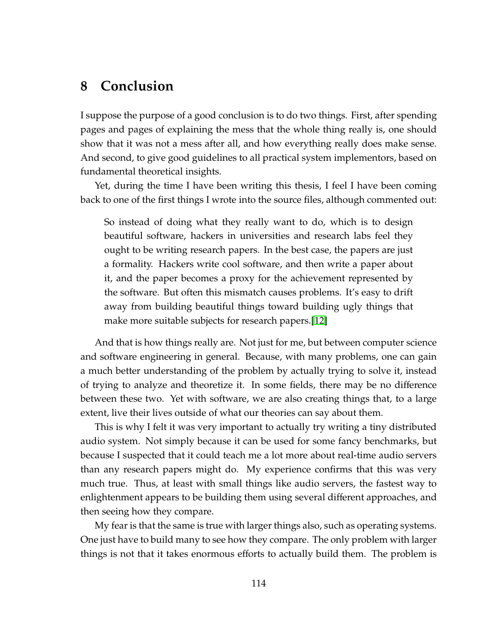# **8 Conclusion**

I suppose the purpose of a good conclusion is to do two things. First, after spending pages and pages of explaining the mess that the whole thing really is, one should show that it was not a mess after all, and how everything really does make sense. And second, to give good guidelines to all practical system implementors, based on fundamental theoretical insights.

Yet, during the time I have been writing this thesis, I feel I have been coming back to one of the first things I wrote into the source files, although commented out:

So instead of doing what they really want to do, which is to design beautiful software, hackers in universities and research labs feel they ought to be writing research papers. In the best case, the papers are just a formality. Hackers write cool software, and then write a paper about it, and the paper becomes a proxy for the achievement represented by the software. But often this mismatch causes problems. It's easy to drift away from building beautiful things toward building ugly things that make more suitable subjects for research papers.[\[12\]](#page-125-0)

And that is how things really are. Not just for me, but between computer science and software engineering in general. Because, with many problems, one can gain a much better understanding of the problem by actually trying to solve it, instead of trying to analyze and theoretize it. In some fields, there may be no difference between these two. Yet with software, we are also creating things that, to a large extent, live their lives outside of what our theories can say about them.

This is why I felt it was very important to actually try writing a tiny distributed audio system. Not simply because it can be used for some fancy benchmarks, but because I suspected that it could teach me a lot more about real-time audio servers than any research papers might do. My experience confirms that this was very much true. Thus, at least with small things like audio servers, the fastest way to enlightenment appears to be building them using several different approaches, and then seeing how they compare.

My fear is that the same is true with larger things also, such as operating systems. One just have to build many to see how they compare. The only problem with larger things is not that it takes enormous efforts to actually build them. The problem is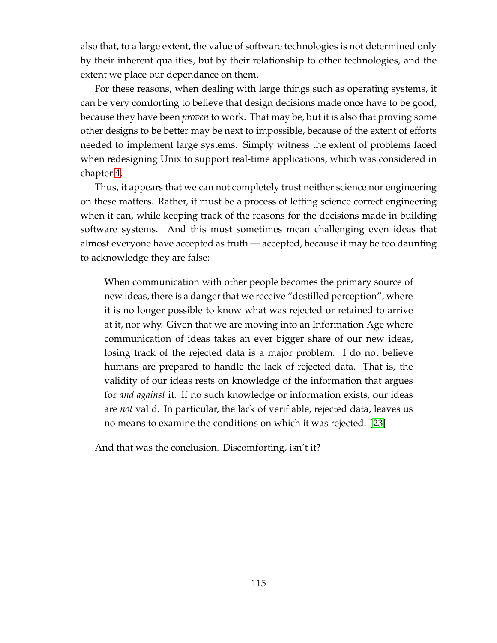also that, to a large extent, the value of software technologies is not determined only by their inherent qualities, but by their relationship to other technologies, and the extent we place our dependance on them.

For these reasons, when dealing with large things such as operating systems, it can be very comforting to believe that design decisions made once have to be good, because they have been *proven* to work. That may be, but it is also that proving some other designs to be better may be next to impossible, because of the extent of efforts needed to implement large systems. Simply witness the extent of problems faced when redesigning Unix to support real-time applications, which was considered in chapter [4.](#page-47-0)

Thus, it appears that we can not completely trust neither science nor engineering on these matters. Rather, it must be a process of letting science correct engineering when it can, while keeping track of the reasons for the decisions made in building software systems. And this must sometimes mean challenging even ideas that almost everyone have accepted as truth — accepted, because it may be too daunting to acknowledge they are false:

When communication with other people becomes the primary source of new ideas, there is a danger that we receive "destilled perception", where it is no longer possible to know what was rejected or retained to arrive at it, nor why. Given that we are moving into an Information Age where communication of ideas takes an ever bigger share of our new ideas, losing track of the rejected data is a major problem. I do not believe humans are prepared to handle the lack of rejected data. That is, the validity of our ideas rests on knowledge of the information that argues for *and against* it. If no such knowledge or information exists, our ideas are *not* valid. In particular, the lack of verifiable, rejected data, leaves us no means to examine the conditions on which it was rejected. [\[23\]](#page-125-1)

And that was the conclusion. Discomforting, isn't it?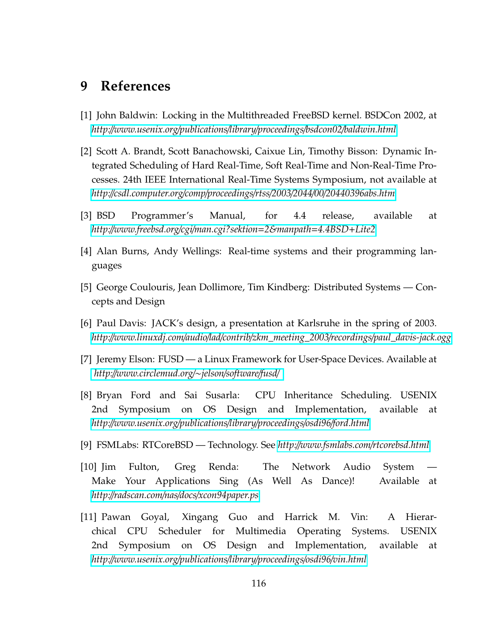# **9 References**

- [1] John Baldwin: Locking in the Multithreaded FreeBSD kernel. BSDCon 2002, at *http:*//*[www.usenix.org](http://www.usenix.org/publications/library/proceedings/bsdcon02/baldwin.html)*/*publications*/*library*/*proceedings*/*bsdcon02*/*baldwin.html*
- [2] Scott A. Brandt, Scott Banachowski, Caixue Lin, Timothy Bisson: Dynamic Integrated Scheduling of Hard Real-Time, Soft Real-Time and Non-Real-Time Processes. 24th IEEE International Real-Time Systems Symposium, not available at *http:*//*csdl.computer.org*/*comp*/*proceedings*/*rtss*/*2003*/*2044*/*00*/*[20440396abs.htm](http://csdl.computer.org/comp/proceedings/rtss/2003/2044/00/20440396abs.htm)*
- <span id="page-124-0"></span>[3] BSD Programmer's Manual, for 4.4 release, available at *http:*//*[www.freebsd.org](http://www.freebsd.org/cgi/man.cgi?sektion=2&manpath=4.4BSD+Lite2)*/*cgi*/*man.cgi?sektion*=*2&manpath*=*4.4BSD*+*Lite2*
- [4] Alan Burns, Andy Wellings: Real-time systems and their programming languages
- [5] George Coulouris, Jean Dollimore, Tim Kindberg: Distributed Systems Concepts and Design
- [6] Paul Davis: JACK's design, a presentation at Karlsruhe in the spring of 2003. *http:*//*www.linuxdj.com*/*audio*/*lad*/*contrib*/*zkm\_meeting\_2003*/*recordings*/*[paul\\_davis-jack.ogg](http://www.linuxdj.com/audio/lad/contrib/zkm_meeting_2003/recordings/paul_davis-jack.ogg)*
- [7] Jeremy Elson: FUSD a Linux Framework for User-Space Devices. Available at *http:*//*[www.circlemud.org](http://www.circlemud.org/~jelson/software/fusd/)*/∼*jelson*/*software*/*fusd*/
- [8] Bryan Ford and Sai Susarla: CPU Inheritance Scheduling. USENIX 2nd Symposium on OS Design and Implementation, available at *http:*//*[www.usenix.org](http://www.usenix.org/publications/library/proceedings/osdi96/ford.html)*/*publications*/*library*/*proceedings*/*osdi96*/*ford.html*
- [9] FSMLabs: RTCoreBSD Technology. See *http:*//*[www.fsmlabs.com](http://www.fsmlabs.com/rtcorebsd.html)*/*rtcorebsd.html*
- [10] Jim Fulton, Greg Renda: The Network Audio System Make Your Applications Sing (As Well As Dance)! Available at *http:*//*radscan.com*/*nas*/*docs*/*[xcon94paper.ps](http://radscan.com/nas/docs/xcon94paper.ps)*
- [11] Pawan Goyal, Xingang Guo and Harrick M. Vin: A Hierarchical CPU Scheduler for Multimedia Operating Systems. USENIX 2nd Symposium on OS Design and Implementation, available at *http:*//*[www.usenix.org](http://www.usenix.org/publications/library/proceedings/osdi96/vin.html)*/*publications*/*library*/*proceedings*/*osdi96*/*vin.html*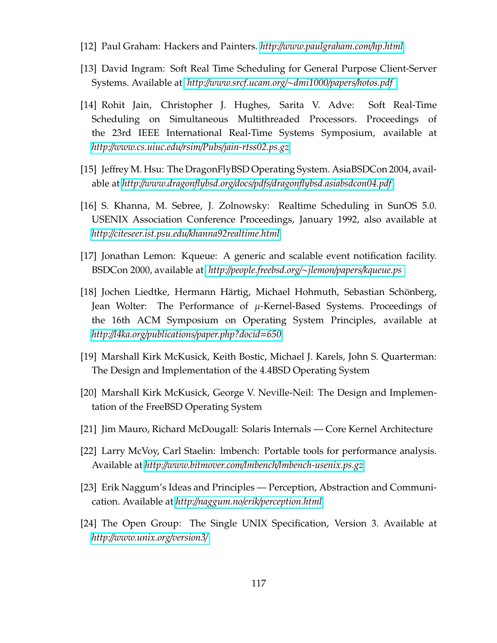- <span id="page-125-0"></span>[12] Paul Graham: Hackers and Painters. *http:*//*[www.paulgraham.com](http://www.paulgraham.com/hp.html)*/*hp.html*
- [13] David Ingram: Soft Real Time Scheduling for General Purpose Client-Server Systems. Available at *http:*//*[www.srcf.ucam.org](http://www.srcf.ucam.org/~dmi1000/papers/hotos.pdf)*/∼*dmi1000*/*papers*/*hotos.pdf*
- [14] Rohit Jain, Christopher J. Hughes, Sarita V. Adve: Soft Real-Time Scheduling on Simultaneous Multithreaded Processors. Proceedings of the 23rd IEEE International Real-Time Systems Symposium, available at *http:*//*[www.cs.uiuc.edu](http://www.cs.uiuc.edu/rsim/Pubs/jain-rtss02.ps.gz)*/*rsim*/*Pubs*/*jain-rtss02.ps.gz*
- [15] Jeffrey M. Hsu: The DragonFlyBSD Operating System. AsiaBSDCon 2004, available at *http:*//*www.dragonflybsd.org*/*docs*/*pdfs*/*[dragonflybsd.asiabsdcon04.pdf](http://www.dragonflybsd.org/docs/pdfs/dragonflybsd.asiabsdcon04.pdf)*
- [16] S. Khanna, M. Sebree, J. Zolnowsky: Realtime Scheduling in SunOS 5.0. USENIX Association Conference Proceedings, January 1992, also available at *http:*//*citeseer.ist.psu.edu*/*[khanna92realtime.html](http://citeseer.ist.psu.edu/khanna92realtime.html)*
- [17] Jonathan Lemon: Kqueue: A generic and scalable event notification facility. BSDCon 2000, available at *http:*//*[people.freebsd.org](http://people.freebsd.org/~jlemon/papers/kqueue.ps)*/∼*jlemon*/*papers*/*kqueue.ps*
- [18] Jochen Liedtke, Hermann Härtig, Michael Hohmuth, Sebastian Schönberg, Jean Wolter: The Performance of  $\mu$ -Kernel-Based Systems. Proceedings of the 16th ACM Symposium on Operating System Principles, available at *http:*//*l4ka.org*/*publications*/*[paper.php?docid](http://l4ka.org/publications/paper.php?docid=650)*=*650*
- [19] Marshall Kirk McKusick, Keith Bostic, Michael J. Karels, John S. Quarterman: The Design and Implementation of the 4.4BSD Operating System
- [20] Marshall Kirk McKusick, George V. Neville-Neil: The Design and Implementation of the FreeBSD Operating System
- [21] Jim Mauro, Richard McDougall: Solaris Internals Core Kernel Architecture
- <span id="page-125-1"></span>[22] Larry McVoy, Carl Staelin: lmbench: Portable tools for performance analysis. Available at *http:*//*www.bitmover.com*/*lmbench*/*[lmbench-usenix.ps.gz](http://www.bitmover.com/lmbench/lmbench-usenix.ps.gz)*
- [23] Erik Naggum's Ideas and Principles Perception, Abstraction and Communication. Available at *http:*//*naggum.no*/*erik*/*[perception.html](http://naggum.no/erik/perception.html)*
- [24] The Open Group: The Single UNIX Specification, Version 3. Available at *http:*//*[www.unix.org](http://www.unix.org/version3/)*/*version3*/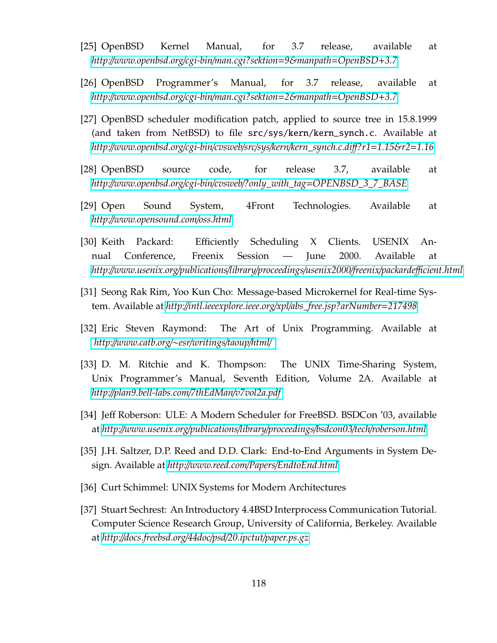- [25] OpenBSD Kernel Manual, for 3.7 release, available at *http:*//*[www.openbsd.org](http://www.openbsd.org/cgi-bin/man.cgi?sektion=9&manpath=OpenBSD+3.7)*/*cgi-bin*/*man.cgi?sektion*=*9&manpath*=*OpenBSD*+*3.7*
- [26] OpenBSD Programmer's Manual, for 3.7 release, available at *http:*//*[www.openbsd.org](http://www.openbsd.org/cgi-bin/man.cgi?sektion=2&manpath=OpenBSD+3.7)*/*cgi-bin*/*man.cgi?sektion*=*2&manpath*=*OpenBSD*+*3.7*
- [27] OpenBSD scheduler modification patch, applied to source tree in 15.8.1999 (and taken from NetBSD) to file src/sys/kern/kern\_synch.c. Available at *http:*//*[www.openbsd.org](http://www.openbsd.org/cgi-bin/cvsweb/src/sys/kern/kern_synch.c.diff?r1=1.15&r2=1.16)*/*cgi-bin*/*cvsweb*/*src*/*sys*/*kern*/*kern\_synch.c.di*ff*?r1*=*1.15&r2*=*1.16*
- [28] OpenBSD source code, for release 3.7, available at *http:*//*www.openbsd.org*/*cgi-bin*/*cvsweb*/*?only\_with\_tag*=*[OPENBSD\\_3\\_7\\_BASE](http://www.openbsd.org/cgi-bin/cvsweb/?only_with_tag=OPENBSD_3_7_BASE)*
- [29] Open Sound System, 4Front Technologies. Available at *http:*//*[www.opensound.com](http://www.opensound.com/oss.html)*/*oss.html*
- [30] Keith Packard: Efficiently Scheduling X Clients. USENIX Annual Conference, Freenix Session — June 2000. Available at *http:*//*[www.usenix.org](http://www.usenix.org/publications/library/proceedings/usenix2000/freenix/packardefficient.html)*/*publications*/*library*/*proceedings*/*usenix2000*/*freenix*/*packarde*ffi*cient.html*
- [31] Seong Rak Rim, Yoo Kun Cho: Message-based Microkernel for Real-time System. Available at *http:*//*intl.ieeexplore.ieee.org*/*xpl*/*[abs\\_free.jsp?arNumber](http://intl.ieeexplore.ieee.org/xpl/abs_free.jsp?arNumber=217498)*=*217498*
- [32] Eric Steven Raymond: The Art of Unix Programming. Available at *http:*//*[www.catb.org](http://www.catb.org/~esr/writings/taoup/html/)*/∼*esr*/*writings*/*taoup*/*html*/
- [33] D. M. Ritchie and K. Thompson: The UNIX Time-Sharing System, Unix Programmer's Manual, Seventh Edition, Volume 2A. Available at *http:*//*[plan9.bell-labs.com](http://plan9.bell-labs.com/7thEdMan/v7vol2a.pdf)*/*7thEdMan*/*v7vol2a.pdf*
- [34] Jeff Roberson: ULE: A Modern Scheduler for FreeBSD. BSDCon '03, available at *http:*//*[www.usenix.org](http://www.usenix.org/publications/library/proceedings/bsdcon03/tech/roberson.html)*/*publications*/*library*/*proceedings*/*bsdcon03*/*tech*/*roberson.html*
- [35] J.H. Saltzer, D.P. Reed and D.D. Clark: End-to-End Arguments in System Design. Available at *http:*//*www.reed.com*/*Papers*/*[EndtoEnd.html](http://www.reed.com/Papers/EndtoEnd.html)*
- [36] Curt Schimmel: UNIX Systems for Modern Architectures
- [37] Stuart Sechrest: An Introductory 4.4BSD Interprocess Communication Tutorial. Computer Science Research Group, University of California, Berkeley. Available at *http:*//*[docs.freebsd.org](http://docs.freebsd.org/44doc/psd/20.ipctut/paper.ps.gz)*/*44doc*/*psd*/*20.ipctut*/*paper.ps.gz*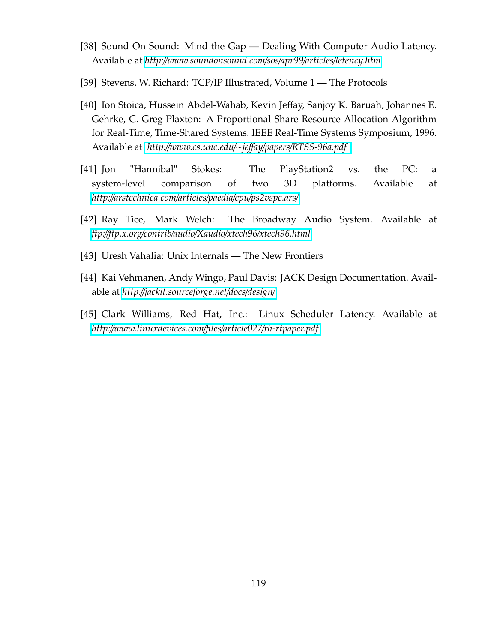- [38] Sound On Sound: Mind the Gap Dealing With Computer Audio Latency. Available at *http:*//*[www.soundonsound.com](http://www.soundonsound.com/sos/apr99/articles/letency.htm)*/*sos*/*apr99*/*articles*/*letency.htm*
- [39] Stevens, W. Richard: TCP/IP Illustrated, Volume 1 The Protocols
- [40] Ion Stoica, Hussein Abdel-Wahab, Kevin Jeffay, Sanjoy K. Baruah, Johannes E. Gehrke, C. Greg Plaxton: A Proportional Share Resource Allocation Algorithm for Real-Time, Time-Shared Systems. IEEE Real-Time Systems Symposium, 1996. Available at *http:*//*[www.cs.unc.edu](http://www.cs.unc.edu/~jeffay/papers/RTSS-96a.pdf)*/∼*je*ff*ay*/*papers*/*RTSS-96a.pdf*
- [41] Jon "Hannibal" Stokes: The PlayStation2 vs. the PC: a system-level comparison of two 3D platforms. Available at *http:*//*[arstechnica.com](http://arstechnica.com/articles/paedia/cpu/ps2vspc.ars/)*/*articles*/*paedia*/*cpu*/*ps2vspc.ars*/
- [42] Ray Tice, Mark Welch: The Broadway Audio System. Available at *ftp:*//*ftp.x.org*/*contrib*/*audio*/*Xaudio*/*xtech96*/*[xtech96.html](ftp://ftp.x.org/contrib/audio/Xaudio/xtech96/xtech96.html)*
- <span id="page-127-0"></span>[43] Uresh Vahalia: Unix Internals — The New Frontiers
- [44] Kai Vehmanen, Andy Wingo, Paul Davis: JACK Design Documentation. Available at *http:*//*[jackit.sourceforge.net](http://jackit.sourceforge.net/docs/design/)*/*docs*/*design*/
- [45] Clark Williams, Red Hat, Inc.: Linux Scheduler Latency. Available at *http:*//*[www.linuxdevices.com](http://www.linuxdevices.com/files/article027/rh-rtpaper.pdf)*/*files*/*article027*/*rh-rtpaper.pdf*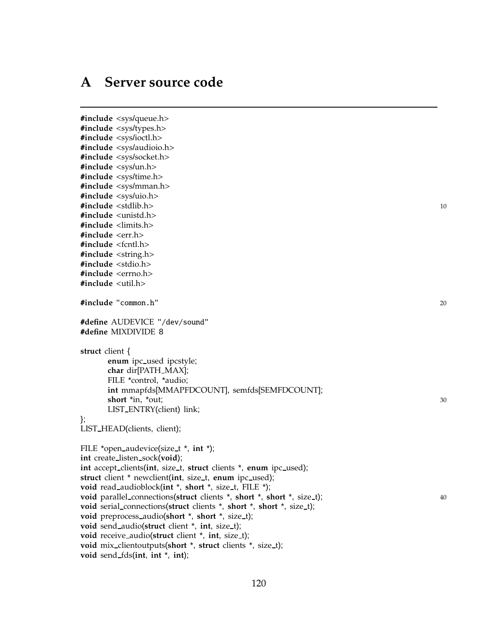## <span id="page-128-0"></span>**A Server source code**

#**include** <sys/queue.h> #**include** <sys/types.h> #**include** <sys/ioctl.h> #**include** <sys/audioio.h> #**include** <sys/socket.h> #**include** <sys/un.h> #**include** <sys/time.h> #**include** <sys/mman.h> #**include** <sys/uio.h> #**include** <stdlib.h> <sup>10</sup> #**include** <unistd.h> #**include** <limits.h> #**include** <err.h> #**include** <fcntl.h> #**include** <string.h> #**include** <stdio.h> #**include** <errno.h> #**include** <util.h> #**include** "common.h" <sup>20</sup> #**define** AUDEVICE "/dev/sound" #**define** MIXDIVIDE 8 **struct** client { **enum** ipc used ipcstyle; **char** dir[PATH MAX]; FILE \*control, \*audio; **int** mmapfds[MMAPFDCOUNT], semfds[SEMFDCOUNT]; **short** \*in, \*out; 30 LIST ENTRY(client) link; }; LIST HEAD(clients, client); FILE \*open audevice(size t \*, **int** \*); **int** create listen sock(**void**); int accept\_clients(int, size\_t, struct clients \*, enum ipc\_used); struct client \* newclient(int, size\_t, enum ipc\_used); **void** read audioblock(**int** \*, **short** \*, size t, FILE \*); **void** parallel\_connections(**struct** clients \*, **short** \*, **short** \*, size\_t); 40 **void** serial connections(**struct** clients \*, **short** \*, **short** \*, size t); **void** preprocess\_audio(**short** \*, **short** \*, size\_t); void send\_audio(struct client \*, int, size\_t); **void** receive audio(**struct** client \*, **int**, size t); **void** mix clientoutputs(**short** \*, **struct** clients \*, size t); **void** send fds(**int**, **int** \*, **int**);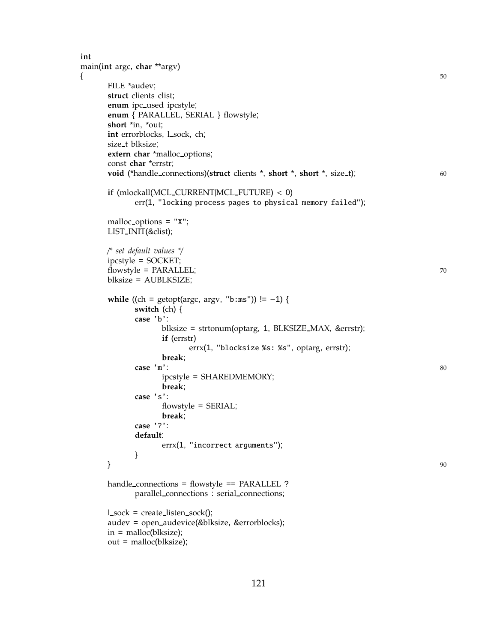```
int
main(int argc, char **argv)
\{ 50
     FILE *audev;
     struct clients clist;
     enum ipc_used ipcstyle;
     enum { PARALLEL, SERIAL } flowstyle;
     short *in, *out;
     int errorblocks, l_sock, ch;
     size_t blksize;
     extern char *malloc options;
     const char *errstr;
     void (*handle_connections)(struct clients *, short *, short *, size_t); 60
     if (mlockall(MCL CURRENT|MCL FUTURE) < 0)
           err(1, "locking process pages to physical memory failed");
     malloc options = "X";
     LIST INIT(&clist);
     /* set default values */
     ipcstyle = SOCKET;
     flowstyle = PARALLEL; 70
     blksize = AUBLKSIZE;
     while ((ch = getopt(argc, argv, "b:ms")) != -1) {
           switch (ch) {
           case 'b':
                blksize = strtonum(optarg, 1, BLKSIZE MAX, &errstr);
                if (errstr)
                      errx(1, "blocksize %s: %s", optarg, errstr);
                break;
           case 'm': 80
                ipcstyle = SHAREDMEMORY;
                break;
           case 's':
                flowstyle = SERIAL;
                break;
           case '?':
           default:
                errx(1, "incorrect arguments");
           }
     \} 90
     handle_connections = flowstyle == PARALLEL ?
           parallel connections : serial connections;
     l sock = create listen sock();
     audev = open audevice(&blksize, &errorblocks);
     in = malloc(blksize);
     out = malloc(blksize);
```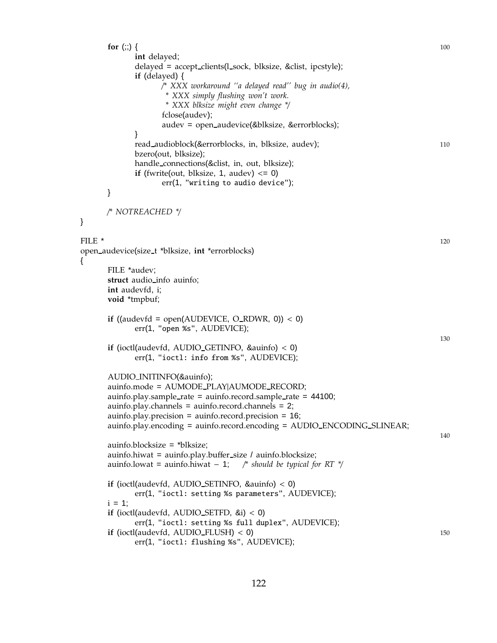**for** (;;) { 100 **int** delayed; delayed = accept clients(l sock, blksize, &clist, ipcstyle); **if** (delayed) { /*\* XXX workaround ''a delayed read'' bug in audio(4), \* XXX simply flushing won't work. \* XXX blksize might even change \**/ fclose(audev); audev = open audevice(&blksize, &errorblocks); } read audioblock(&errorblocks, in, blksize, audev); 110 bzero(out, blksize); handle connections(&clist, in, out, blksize); **if** (fwrite(out, blksize, 1, audev)  $\leq 0$ ) err(1, "writing to audio device"); } /*\* NOTREACHED \**/ } FILE  $^*$  120 open audevice(size t \*blksize, **int** \*errorblocks) { FILE \*audev; **struct** audio info auinfo; **int** audevfd, i; **void** \*tmpbuf; **if** ((audevfd = open(AUDEVICE,  $O_RDWR$ , 0)) < 0) err(1, "open %s", AUDEVICE); 130 **if** (ioctl(audevfd, AUDIO GETINFO, &auinfo) < 0) err(1, "ioctl: info from %s", AUDEVICE); AUDIO INITINFO(&auinfo); auinfo.mode = AUMODE PLAY|AUMODE RECORD; auinfo.play.sample\_rate = auinfo.record.sample\_rate = 44100; auinfo.play.channels = auinfo.record.channels = 2; auinfo.play.precision = auinfo.record.precision = 16; auinfo.play.encoding = auinfo.record.encoding = AUDIO\_ENCODING\_SLINEAR; 140 auinfo.blocksize = \*blksize; auinfo.hiwat = auinfo.play.buffer size / auinfo.blocksize; auinfo.lowat = auinfo.hiwat − 1; /*\* should be typical for RT \**/ **if** (ioctl(audevfd, AUDIO SETINFO, &auinfo) < 0) err(1, "ioctl: setting %s parameters", AUDEVICE);  $i = 1$ ; **if** (ioctl(audevfd, AUDIO SETFD, &i) < 0) err(1, "ioctl: setting %s full duplex", AUDEVICE); **if** (ioctl(audevfd, AUDIO\_FLUSH) < 0) 150 err(1, "ioctl: flushing %s", AUDEVICE);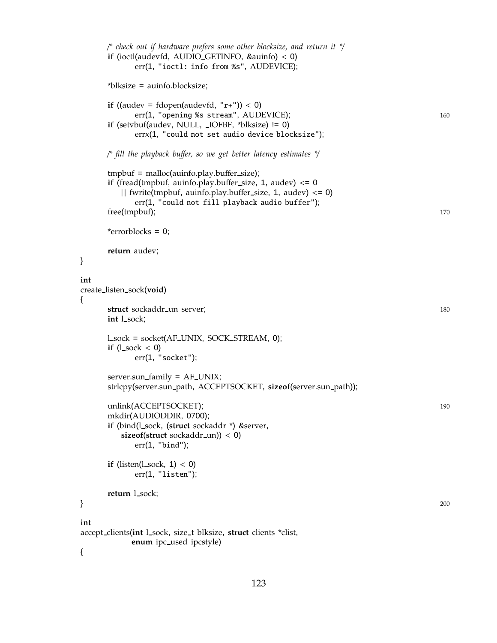```
/* check out if hardware prefers some other blocksize, and return it */
     if (ioctl(audevfd, AUDIO GETINFO, &auinfo) < 0)
           err(1, "ioctl: info from %s", AUDEVICE);
      *blksize = auinfo.blocksize;
     if ((audev = fdopen(audevfd, "r+")) < 0)
           err(1, "opening %s stream", AUDEVICE); 160
      if (setvbuf(audev, NULL, IOFBF, *blksize) != 0)
           errx(1, "could not set audio device blocksize");
     /* fill the playback buffer, so we get better latency estimates */
      tmpbut = malloc(auinfo.play.buffer_size);if (fread(tmpbuf, auinfo.play.buffer size, 1, audev) <= 0
        || fwrite(tmpbuf, auinfo.play.buffer_size, 1, audev) \leq 0)
           err(1, "could not fill playback audio buffer");
      free(tmpbuf); 170
      *errorblocks = 0;
      return audev;
int
create listen sock(void)
     struct sockaddr_un server; 180
     int l sock;
     l sock = socket(AF UNIX, SOCK STREAM, 0);
     if (l_sock < 0)
           err(1, "socket");
      server.sun family = AF UNIX;
      strlcpy(server.sun path, ACCEPTSOCKET, sizeof(server.sun path));
      unlink(ACCEPTSOCKET); 190
      mkdir(AUDIODDIR, 0700);
     if (bind(l_sock, (struct sockaddr<sup>*</sup>) &server,
        sizeof(struct sockaddr un)) < 0)
           err(1, "bind");
     if (listen(l_sock, 1) < 0)
           err(1, "listen");
      return l_sock;
\} 200
int
accept clients(int l sock, size t blksize, struct clients *clist,
          enum ipc_used ipcstyle)
```
}

{

{

```
123
```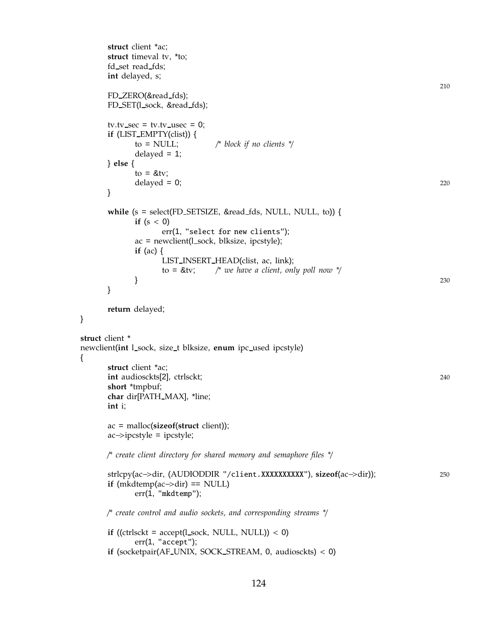```
struct client *ac;
      struct timeval tv, *to;
      fd_set read_fds;
      int delayed, s;
                                                                                  210
      FD_ZERO(&read_fds);
      FD_SET(l_sock, &read_fds);
      tv.tv\_sec = tv.tv\_usec = 0;if (LIST EMPTY(clist)) {
            to = NULL; /* block if no clients */
            delayed = 1;
      } else {
            to = 8tv;
            delayed = 0; 220
      }
      while (s = select(FD_SETSIZE, &read_fds, NULL, NULL, to)) {
            if (s < 0)err(1, "select for new clients");
            ac = newclient(1_score, blksize, ipcstyle);if (ac) {
                  LIST INSERT HEAD(clist, ac, link);
                  to = &tv; /* we have a client, only poll now */
            \} 230
      }
      return delayed;
struct client *
newclient(int l sock, size t blksize, enum ipc used ipcstyle)
      struct client *ac;
      int audiosckts[2], ctrlsckt; 240
      short *tmpbuf;
      char dir[PATH MAX], *line;
      int i;
      ac = malloc(sizeof(struct client));
      ac−>ipcstyle = ipcstyle;
      /* create client directory for shared memory and semaphore files */
      strlcpy(ac−>dir, (AUDIODDIR "/client.XXXXXXXXXX"), sizeof(ac−>dir)); 250
      if (mkdtemp(ac−>dir) == NULL)
            err(1, "mkdtemp");
      /* create control and audio sockets, and corresponding streams */
      if ((ctrlsckt = accept(l\_sock, NULL, NULL)) < 0)
            err(1, "accept");
      if (socketpair(AF UNIX, SOCK STREAM, 0, audiosckts) < 0)
```
}

{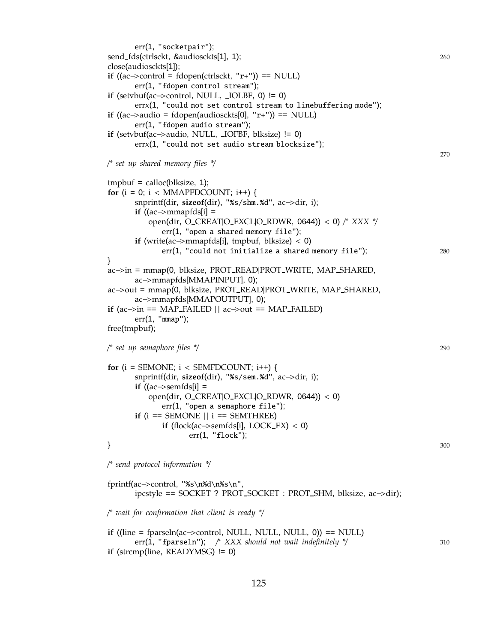err(1, "socketpair"); send fds(ctrlsckt, &audiosckts[1], 1); 260 close(audiosckts[1]); **if** ((ac $\rightarrow$ control = fdopen(ctrlsckt, "r+")) == NULL) err(1, "fdopen control stream"); **if** (setvbuf(ac $\rightarrow$ control, NULL,  $\rightarrow$ IOLBF, 0) != 0) errx(1, "could not set control stream to linebuffering mode"); **if** ((ac→audio = fdopen(audiosckts[0], "r+")) == NULL) err(1, "fdopen audio stream"); **if** (setvbuf(ac−>audio, NULL, IOFBF, blksize) != 0) errx(1, "could not set audio stream blocksize"); 270 /*\* set up shared memory files \**/  $tmpbut = calloc(blksize, 1);$ **for** ( $i = 0$ ;  $i <$  MMAPFDCOUNT;  $i++$ ) { snprintf(dir, **sizeof**(dir), "%s/shm.%d", ac−>dir, i); **if** ((ac−>mmapfds[i] = open(dir, O CREAT|O EXCL|O RDWR, 0644)) < 0) /*\* XXX \**/ err(1, "open a shared memory file"); **if** (write(ac−>mmapfds[i], tmpbuf, blksize) < 0) err(1, "could not initialize a shared memory file"); 280 } ac−>in = mmap(0, blksize, PROT READ|PROT WRITE, MAP SHARED, ac−>mmapfds[MMAPINPUT], 0); ac−>out = mmap(0, blksize, PROT READ|PROT WRITE, MAP SHARED, ac−>mmapfds[MMAPOUTPUT], 0); **if** (ac $\rightarrow$ in == MAP FAILED || ac $\rightarrow$ out == MAP FAILED) err(1, "mmap"); free(tmpbuf); /*\* set up semaphore files \**/ 290 for  $(i = SEMONE$ ;  $i < SEMFDCOUNT$ ;  $i++)$  { snprintf(dir, **sizeof**(dir), "%s/sem.%d", ac−>dir, i); **if** ((ac−>semfds[i] = open(dir, O\_CREAT|O\_EXCL|O\_RDWR,  $0644$ )) < 0) err(1, "open a semaphore file"); **if** ( $i =$  SEMONE  $\vert \vert$   $i =$  SEMTHREE) **if** (flock(ac−>semfds[i], LOCK $EX$ ) < 0) err(1, "flock");  $\}$  300 /*\* send protocol information \**/ fprintf(ac−>control, "%s\n%d\n%s\n", ipcstyle == SOCKET ? PROT SOCKET : PROT SHM, blksize, ac−>dir); /*\* wait for confirmation that client is ready \**/ **if** ((line = fparseln(ac−>control, NULL, NULL, NULL, 0)) == NULL)

```
err(1, "fparseln"); /* XXX should not wait indefinitely */ 310
if (strcmp(line, READYMSG) != 0)
```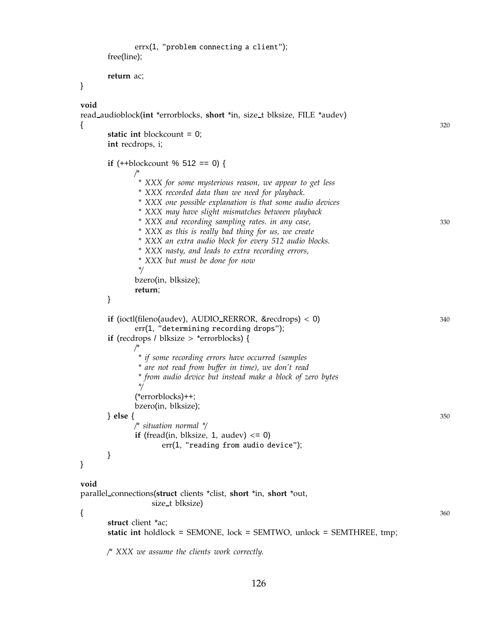```
errx(1, "problem connecting a client");
      free(line);
      return ac;
}
void
read audioblock(int *errorblocks, short *in, size t blksize, FILE *audev)
{ 320
      static int blockcount = 0;
      int recdrops, i;
      if (++blockcount % 512 == 0) {
            /*
             * XXX for some mysterious reason, we appear to get less
             * XXX recorded data than we need for playback.
             * XXX one possible explanation is that some audio devices
             * XXX may have slight mismatches between playback
             * XXX and recording sampling rates. in any case, 330
             * XXX as this is really bad thing for us, we create
             * XXX an extra audio block for every 512 audio blocks.
             * XXX nasty, and leads to extra recording errors,
             * XXX but must be done for now
             */
            bzero(in, blksize);
            return;
      }
      if (ioctl(fileno(audev), AUDIO_RERROR, &recdrops) < 0) 340
            err(1, "determining recording drops");
      if (recdrops / blksize > *errorblocks) {
            /*
             * if some recording errors have occurred (samples
             * are not read from buffer in time), we don't read
             * from audio device but instead make a block of zero bytes
             */
            (*errorblocks)++;
            bzero(in, blksize);
      } else { 350
            /* situation normal */
            if (fread(in, blksize, 1, audev) \leq 0)
                  err(1, "reading from audio device");
      }
}
void
parallel connections(struct clients *clist, short *in, short *out,
                size_t blksize)
\{ 360
      struct client *ac;
      static int holdlock = SEMONE, lock = SEMTWO, unlock = SEMTHREE, tmp;
      /* XXX we assume the clients work correctly.
```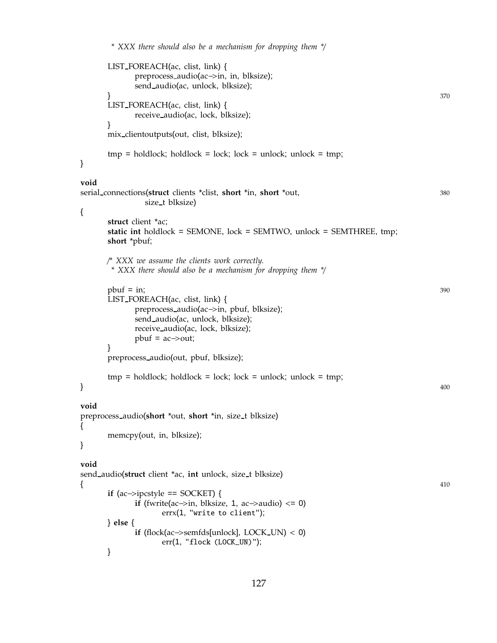```
* XXX there should also be a mechanism for dropping them */
     LIST FOREACH(ac, clist, link) {
           preprocess audio(ac−>in, in, blksize);
           send audio(ac, unlock, blksize);
      \} 370
     LIST FOREACH(ac, clist, link) {
           receive audio(ac, lock, blksize);
     }
     mix clientoutputs(out, clist, blksize);
     tmp = holdlock; holdlock = lock; lock = unlock; unlock; unlock = tmp;}
void
serial connections(struct clients *clist, short *in, short *out, 380
             size t blksize)
{
     struct client *ac;
     static int holdlock = SEMONE, lock = SEMTWO, unlock = SEMTHREE, tmp;
     short *pbuf;
     /* XXX we assume the clients work correctly.
      * XXX there should also be a mechanism for dropping them */
     pbuf = in; 390
     LIST FOREACH(ac, clist, link) {
           preprocess audio(ac−>in, pbuf, blksize);
           send audio(ac, unlock, blksize);
           receive audio(ac, lock, blksize);
           pbuf = ac \rightarrow out;}
     preprocess audio(out, pbuf, blksize);
     tmp = holdlock; holdlock = lock; lock = unlock; unlock = tmp;\} 400
void
preprocess audio(short *out, short *in, size t blksize)
{
     memcpy(out, in, blksize);
}
void
send audio(struct client *ac, int unlock, size t blksize)
{ 410
     if (ac−>ipcstyle == SOCKET) {
           if (fwrite(ac→in, blksize, 1, ac→audio) \leq 0)
                 errx(1, "write to client");
     } else {
           if (flock(ac−>semfds[unlock], LOCK UN) < 0)
                 err(1, "flock (LOCK_UN)");
     }
```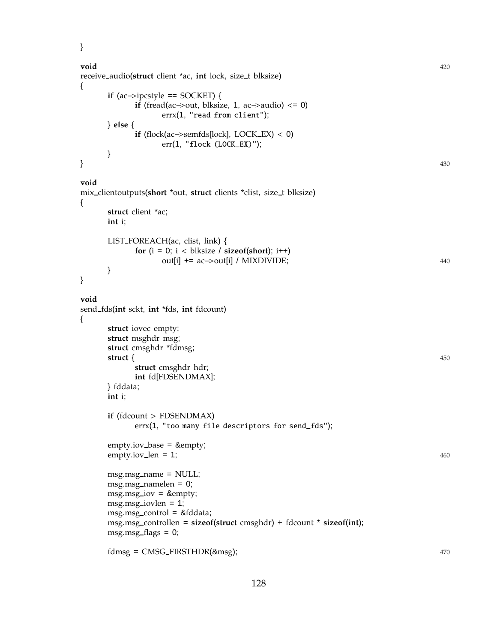}

{

{

}

{

```
void 420
receive audio(struct client *ac, int lock, size t blksize)
     if (ac−>ipcstyle == SOCKET) {
          if (fread(ac→out, blksize, 1, ac→audio) \leq 0)
               errx(1, "read from client");
     } else {
          if (flock(ac\rightarrowsemfds[lock], LOCK EX) < 0)
               err(1, "flock (LOCK_EX)");
     }
\} 430
void
mix clientoutputs(short *out, struct clients *clist, size t blksize)
     struct client *ac;
     int i;
     LIST FOREACH(ac, clist, link) {
          for (i = 0; i < blksize / sizeof(short); i++)
               out[i] + = ac→out[i] / MIXDIVIDE; 440
     }
void
send fds(int sckt, int *fds, int fdcount)
     struct iovec empty;
     struct msghdr msg;
     struct cmsghdr *fdmsg;
     struct { 450
          struct cmsghdr hdr;
          int fd[FDSENDMAX];
     } fddata;
     int i;
     if (fdcount > FDSENDMAX)
          errx(1, "too many file descriptors for send_fds");
     empty.iov_base = &empty;
     empty.iov_len = 1; 460
     msg.msg name = NULL;
     msg.msg_namelen = 0;msg.msg.iov = \∅msg.msg iovlen = 1;
     msg.msg control = &fddata;
     msg.msg controllen = sizeof(struct cmsghdr) + fdcount * sizeof(int);
     msg.msg_flags = 0;fdmsg = CMSG_FIRSTHDR(&msg); 470
```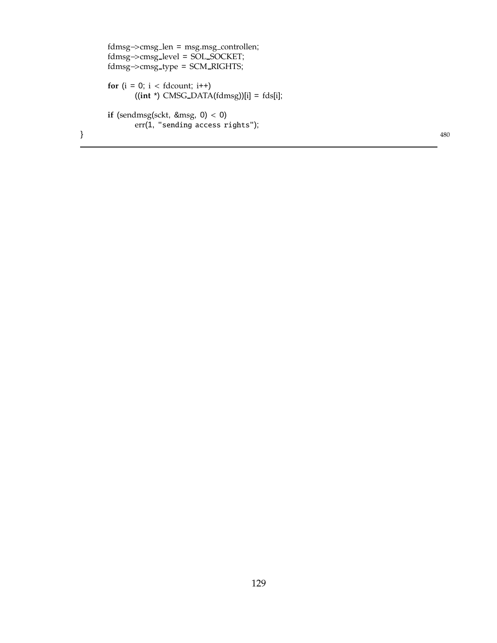```
fdmsg−>cmsg len = msg.msg controllen;
    fdmsg−>cmsg level = SOL SOCKET;
    fdmsg−>cmsg type = SCM RIGHTS;
    for (i = 0; i < fdcount; i++1((int *) CMSG DATA(fdmsg))[i] = fds[i];
    if (sendmsg(sckt, &msg, 0) < 0)
         err(1, "sending access rights");
\} 480
```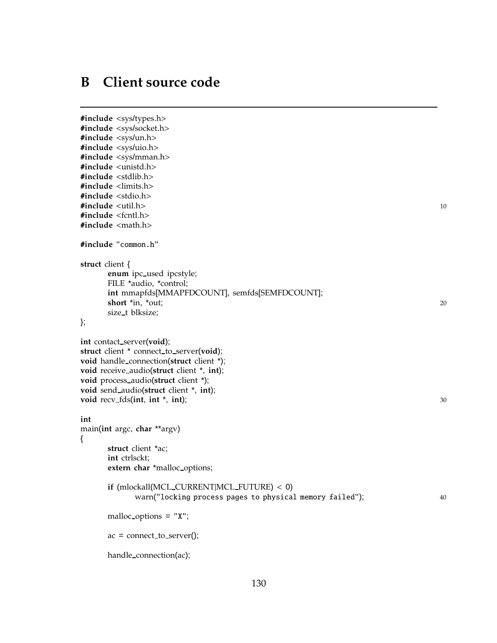# <span id="page-138-0"></span>**B Client source code**

```
#include <sys/types.h>
#include <sys/socket.h>
#include <sys/un.h>
#include <sys/uio.h>
#include <sys/mman.h>
#include <unistd.h>
#include <stdlib.h>
#include <limits.h>
#include <stdio.h>
#include <util.h> 10
#include <fcntl.h>
#include <math.h>
#include "common.h"
struct client {
     enum ipc used ipcstyle;
     FILE *audio, *control;
     int mmapfds[MMAPFDCOUNT], semfds[SEMFDCOUNT];
     short *in, *out; 20
     size t blksize;
};
int contact_server(void);
struct client * connect_to_server(void);
void handle connection(struct client *);
void receive audio(struct client *, int);
void process audio(struct client *);
void send audio(struct client *, int);
void recv fds(int, int *, int); 30
int
main(int argc, char **argv)
{
     struct client *ac;
     int ctrlsckt;
     extern char *malloc options;
     if (mlockall(MCL CURRENT|MCL FUTURE) < 0)
           warn("locking process pages to physical memory failed"); 40
     malloc options = "X";
     ac = connect_to_server();handle connection(ac);
```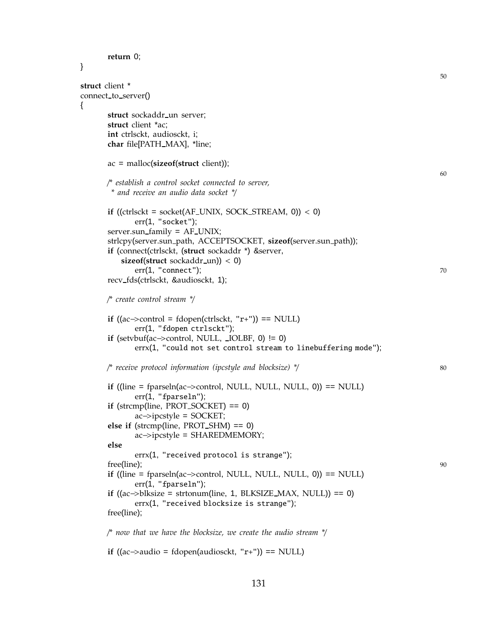```
return 0;
}
                                                                                        50
struct client *
connect to server()
{
      struct sockaddr_un server;
      struct client *ac;
      int ctrlsckt, audiosckt, i;
      char file[PATH MAX], *line;
      ac = malloc(sizeof(struct client));
                                                                                        60
      /* establish a control socket connected to server,
       * and receive an audio data socket */
      if ((ctrlsckt = socket(AF_UNIX, SOCK STREAM, 0)) < 0)
             err(1, "socket");
      server.sun_family = AF_UNIX;
      strlcpy(server.sun path, ACCEPTSOCKET, sizeof(server.sun path));
      if (connect(ctrlsckt, (struct sockaddr *) &server,
          sizeof(struct sockaddr un)) < 0)
             err(1, "connect"); 70
      recv fds(ctrlsckt, &audiosckt, 1);
      /* create control stream */
      if ((ac \rightarrow control = fdopen(ctrlsckt, "r+")) == NULL)err(1, "fdopen ctrlsckt");
      if (setvbuf(ac\rightarrowcontrol, NULL, _IOLBF, 0) != 0)
             errx(1, "could not set control stream to linebuffering mode");
      /* receive protocol information (ipcstyle and blocksize) */ 80
      if ((line = fparseln(ac−>control, NULL, NULL, NULL, 0)) == NULL)
             err(1, "fparseln");
      if (strcmp(line, PROT SOCKET) == 0)
             ac−>ipcstyle = SOCKET;
       else if (strcmp(line, PROT SHM) == 0)
             ac−>ipcstyle = SHAREDMEMORY;
      else
             errx(1, "received protocol is strange");
       free(line); 90
      if ((line = fparseln(ac−>control, NULL, NULL, NULL, 0)) == NULL)
             err(1, "fparseln");
      if ((ac\rightarrowblksize = strtonum(line, 1, BLKSIZE_MAX, NULL)) == 0)
             errx(1, "received blocksize is strange");
      free(line);
      /* now that we have the blocksize, we create the audio stream */
      if ((ac→audio = fdopen(audiosckt, "r+")) == NULL)
```
131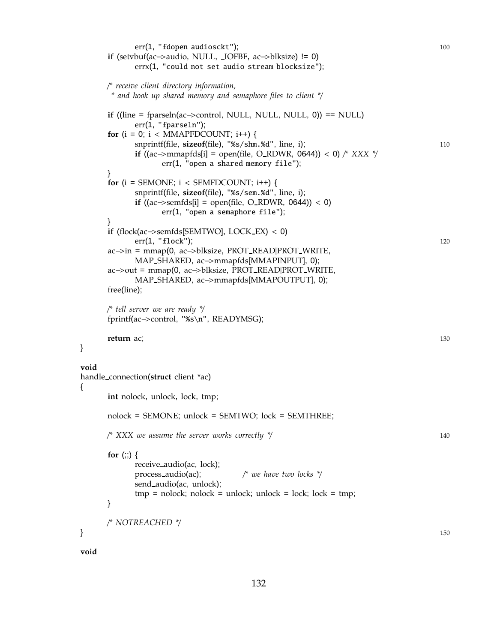err(1, "fdopen audiosckt"); 100 **if** (setvbuf(ac−>audio, NULL, IOFBF, ac−>blksize) != 0) errx(1, "could not set audio stream blocksize"); /*\* receive client directory information, \* and hook up shared memory and semaphore files to client \**/ **if** ((line = fparseln(ac−>control, NULL, NULL, NULL, 0)) == NULL)  $err(1, "fparseln");$ **for**  $(i = 0; i < MMAPFDCOUNT; i++)$  { snprintf(file, **sizeof**(file), "%s/shm.%d", line, i); 110 **if** ((ac−>mmapfds[i] = open(file, O RDWR, 0644)) < 0) /*\* XXX \**/ err(1, "open a shared memory file"); } for  $(i = SEMONE; i < SEMFDCOUNT; i++)$  { snprintf(file, **sizeof**(file), "%s/sem.%d", line, i); **if** ((ac−>semfds[i] = open(file, O\_RDWR, 0644)) < 0) err(1, "open a semaphore file"); } **if** (flock(ac−>semfds[SEMTWO], LOCK EX) < 0) err(1, "flock"); 120 ac−>in = mmap(0, ac−>blksize, PROT READ|PROT WRITE, MAP SHARED, ac−>mmapfds[MMAPINPUT], 0); ac−>out = mmap(0, ac−>blksize, PROT READ|PROT WRITE, MAP SHARED, ac−>mmapfds[MMAPOUTPUT], 0); free(line); /*\* tell server we are ready \**/ fprintf(ac−>control, "%s\n", READYMSG); **return** ac; 130 **void** handle connection(**struct** client \*ac) **int** nolock, unlock, lock, tmp; nolock = SEMONE; unlock = SEMTWO; lock = SEMTHREE; /*\* XXX we assume the server works correctly \**/ 140 **for** (;;) { receive audio(ac, lock); process audio(ac); /*\* we have two locks \**/ send audio(ac, unlock);  $tmp = nolock; nolock = unlock; unlock = lock; lock = tmp;$ } /*\* NOTREACHED \**/  $\}$  150

**void**

}

{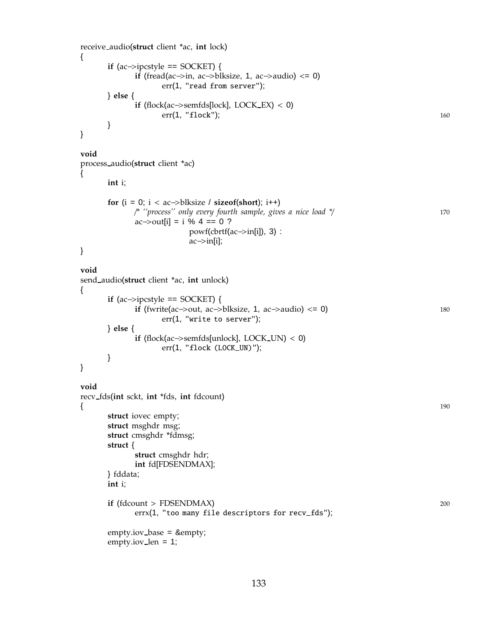```
receive audio(struct client *ac, int lock)
{
      if (ac−>ipcstyle == SOCKET) {
            if (fread(ac\rightarrowin, ac\rightarrowblksize, 1, ac\rightarrowaudio) <= 0)
                   err(1, "read from server");
      } else {
            if (flock(ac\rightarrowsemfds[lock], LOCK_EX) < 0)
                   err(1, "float"); 160
      }
}
void
process audio(struct client *ac)
{
      int i;
      for (i = 0; i < ac \rightarrow blksize / sizeof(short); i++)/* ''process'' only every fourth sample, gives a nice load */ 170
            ac \rightarrow \text{out}[i] = i \% 4 == 0 ?powf<mark>(\text{cbrtf}(ac\rightarrow in[i]), 3)</b> :</mark>
                         ac−>in[i];
}
void
send audio(struct client *ac, int unlock)
{
      if (ac\rightarrowipcstyle == SOCKET) {
            if (fwrite(ac–>out, ac–>blksize, 1, ac–>audio) <= 0) 180
                   err(1, "write to server");
      } else {
            if (flock(ac−>semfds[unlock], LOCK UN) < 0)
                   err(1, "flock (LOCK_UN)");
      }
}
void
recv fds(int sckt, int *fds, int fdcount)
{ 190
      struct iovec empty;
      struct msghdr msg;
      struct cmsghdr *fdmsg;
      struct {
            struct cmsghdr hdr;
            int fd[FDSENDMAX];
      } fddata;
      int i;
      if (fdcount > FDSENDMAX) 200
            errx(1, "too many file descriptors for recv_fds");
      empty.iov_base = ∅empty.iov len = 1;
```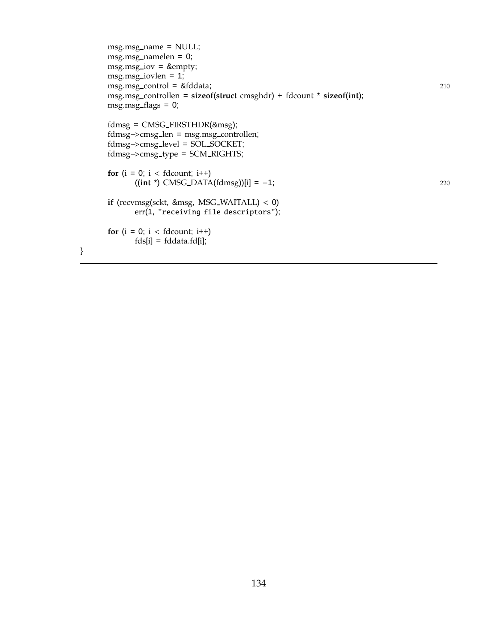```
msg.msg name = NULL;
msg.msg namelen = 0;
msg.msg.iov = \∅msg.msg iovlen = 1;
msg.msg control = &fddata; 210
msg.msg controllen = sizeof(struct cmsghdr) + fdcount * sizeof(int);
msg.msg_flags = 0;fdmsg = CMSG FIRSTHDR(&msg);
fdmsg−>cmsg len = msg.msg controllen;
fdmsg−>cmsg level = SOL SOCKET;
fdmsg−>cmsg type = SCM RIGHTS;
for (i = 0; i < fdcount; i++1)
     ((int *) CMSG DATA(fdmsg))[i] = −1; 220
if (recvmsg(sckt, &msg, MSG WAITALL) < 0)
     err(1, "receiving file descriptors");
for (i = 0; i < fdcount; i++1)
     fds[i] = fddata.fd[i];
```
}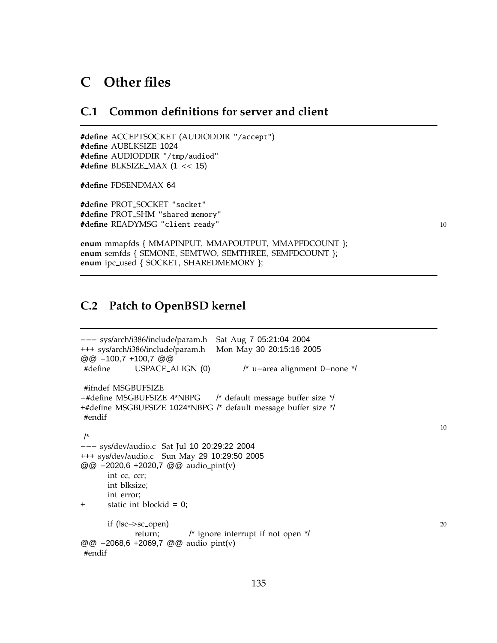# **C Other files**

### **C.1 Common definitions for server and client**

#**define** ACCEPTSOCKET (AUDIODDIR "/accept") #**define** AUBLKSIZE 1024 #**define** AUDIODDIR "/tmp/audiod" #**define** BLKSIZE MAX (1 << 15)

#**define** FDSENDMAX 64

#**define** PROT SOCKET "socket" #**define** PROT SHM "shared memory" #**define** READYMSG "client ready" <sup>10</sup>

**enum** mmapfds { MMAPINPUT, MMAPOUTPUT, MMAPFDCOUNT }; **enum** semfds { SEMONE, SEMTWO, SEMTHREE, SEMFDCOUNT }; **enum** ipc used { SOCKET, SHAREDMEMORY };

## <span id="page-143-0"></span>**C.2 Patch to OpenBSD kernel**

```
−−− sys/arch/i386/include/param.h Sat Aug 7 05:21:04 2004
+++ sys/arch/i386/include/param.h Mon May 30 20:15:16 2005
@@ −100,7 +100,7 @@
#define USPACE ALIGN (0) /* u−area alignment 0−none */
#ifndef MSGBUFSIZE
−#define MSGBUFSIZE 4*NBPG /* default message buffer size */
+#define MSGBUFSIZE 1024*NBPG /* default message buffer size */
#endif
/*
−−− sys/dev/audio.c Sat Jul 10 20:29:22 2004
+++ sys/dev/audio.c Sun May 29 10:29:50 2005
@@ −2020,6 +2020,7 @@ audio pint(v)
     int cc, ccr;
     int blksize;
     int error;
+ static int blockid = 0;
     if (!sc→sc_open) 20
           return; /* ignore interrupt if not open */
@@ −2068,6 +2069,7 @@ audio pint(v)
#endif
```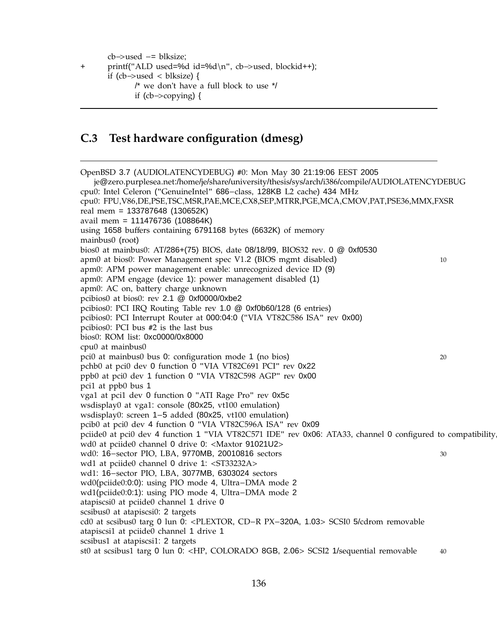cb−>used −= blksize;

```
+ printf("ALD used=%d id=%d\n", cb−>used, blockid++);
```

```
if (cb−>used < blksize) {
```

```
/* we don't have a full block to use */
```

```
if (cb−>copying) {
```
## **C.3 Test hardware configuration (dmesg)**

OpenBSD 3.7 (AUDIOLATENCYDEBUG) #0: Mon May 30 21:19:06 EEST 2005 je@zero.purplesea.net:/home/je/share/university/thesis/sys/arch/i386/compile/AUDIOLATENCYDEBUG cpu0: Intel Celeron ("GenuineIntel" 686−class, 128KB L2 cache) 434 MHz cpu0: FPU,V86,DE,PSE,TSC,MSR,PAE,MCE,CX8,SEP,MTRR,PGE,MCA,CMOV,PAT,PSE36,MMX,FXSR real mem = 133787648 (130652K) avail mem = 111476736 (108864K) using 1658 buffers containing 6791168 bytes (6632K) of memory mainbus0 (root) bios0 at mainbus0: AT/286+(75) BIOS, date 08/18/99, BIOS32 rev. 0 @ 0xf0530 apm0 at bios0: Power Management spec V1.2 (BIOS mgmt disabled) 10 apm0: APM power management enable: unrecognized device ID (9) apm0: APM engage (device 1): power management disabled (1) apm0: AC on, battery charge unknown pcibios0 at bios0: rev 2.1 @ 0xf0000/0xbe2 pcibios0: PCI IRQ Routing Table rev 1.0 @ 0xf0b60/128 (6 entries) pcibios0: PCI Interrupt Router at 000:04:0 ("VIA VT82C586 ISA" rev 0x00) pcibios0: PCI bus #2 is the last bus bios0: ROM list: 0xc0000/0x8000 cpu0 at mainbus0 pci0 at mainbus0 bus 0: configuration mode 1 (no bios) 20 pchb0 at pci0 dev 0 function 0 "VIA VT82C691 PCI" rev 0x22 ppb0 at pci0 dev 1 function 0 "VIA VT82C598 AGP" rev 0x00 pci1 at ppb0 bus 1 vga1 at pci1 dev 0 function 0 "ATI Rage Pro" rev 0x5c wsdisplay0 at vga1: console (80x25, vt100 emulation) wsdisplay0: screen 1−5 added (80x25, vt100 emulation) pcib0 at pci0 dev 4 function 0 "VIA VT82C596A ISA" rev 0x09 pciide0 at pci0 dev 4 function 1 "VIA VT82C571 IDE" rev 0x06: ATA33, channel 0 configured to compatibility wd0 at pciide0 channel 0 drive 0: <Maxtor 91021U2> wd0: 16−sector PIO, LBA, 9770MB, 20010816 sectors 30 wd1 at pciide0 channel 0 drive 1: <ST33232A> wd1: 16−sector PIO, LBA, 3077MB, 6303024 sectors wd0(pciide0:0:0): using PIO mode 4, Ultra−DMA mode 2 wd1(pciide0:0:1): using PIO mode 4, Ultra−DMA mode 2 atapiscsi0 at pciide0 channel 1 drive 0 scsibus0 at atapiscsi0: 2 targets cd0 at scsibus0 targ 0 lun 0: <PLEXTOR, CD−R PX−320A, 1.03> SCSI0 5/cdrom removable atapiscsi1 at pciide0 channel 1 drive 1 scsibus1 at atapiscsi1: 2 targets st0 at scsibus1 targ 0 lun 0: <HP, COLORADO 8GB, 2.06> SCSI2 1/sequential removable 40